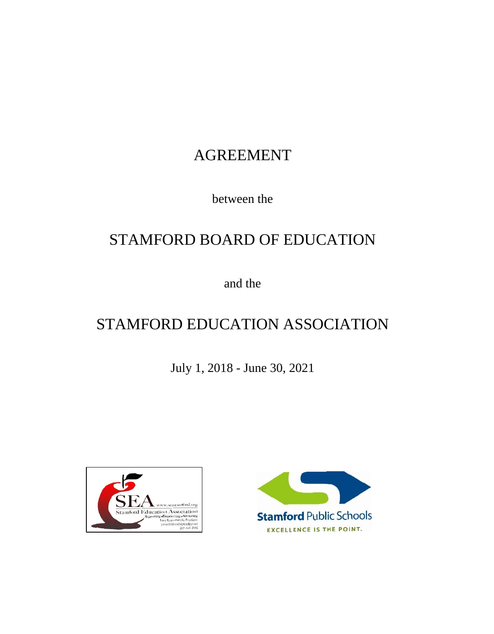# AGREEMENT

between the

# STAMFORD BOARD OF EDUCATION

and the

# STAMFORD EDUCATION ASSOCIATION

July 1, 2018 - June 30, 2021



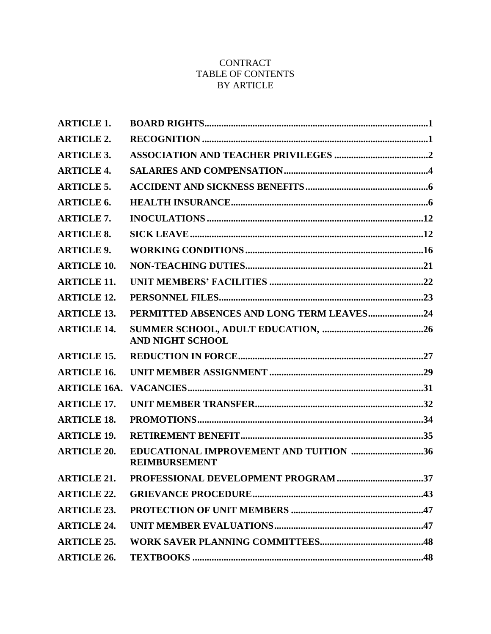# **CONTRACT** TABLE OF CONTENTS BY ARTICLE

| <b>ARTICLE 1.</b>   |                                                                |
|---------------------|----------------------------------------------------------------|
| <b>ARTICLE 2.</b>   |                                                                |
| <b>ARTICLE 3.</b>   |                                                                |
| <b>ARTICLE 4.</b>   |                                                                |
| <b>ARTICLE 5.</b>   |                                                                |
| <b>ARTICLE 6.</b>   |                                                                |
| <b>ARTICLE 7.</b>   |                                                                |
| <b>ARTICLE 8.</b>   |                                                                |
| <b>ARTICLE 9.</b>   |                                                                |
| <b>ARTICLE 10.</b>  |                                                                |
| <b>ARTICLE 11.</b>  |                                                                |
| <b>ARTICLE 12.</b>  |                                                                |
| <b>ARTICLE 13.</b>  | PERMITTED ABSENCES AND LONG TERM LEAVES24                      |
| <b>ARTICLE 14.</b>  | <b>AND NIGHT SCHOOL</b>                                        |
| <b>ARTICLE 15.</b>  |                                                                |
| <b>ARTICLE 16.</b>  |                                                                |
| <b>ARTICLE 16A.</b> |                                                                |
| <b>ARTICLE 17.</b>  |                                                                |
| <b>ARTICLE 18.</b>  |                                                                |
| <b>ARTICLE 19.</b>  |                                                                |
| <b>ARTICLE 20.</b>  | EDUCATIONAL IMPROVEMENT AND TUITION 36<br><b>REIMBURSEMENT</b> |
| <b>ARTICLE 21.</b>  |                                                                |
| <b>ARTICLE 22.</b>  |                                                                |
| <b>ARTICLE 23.</b>  |                                                                |
| <b>ARTICLE 24.</b>  |                                                                |
| <b>ARTICLE 25.</b>  |                                                                |
| <b>ARTICLE 26.</b>  |                                                                |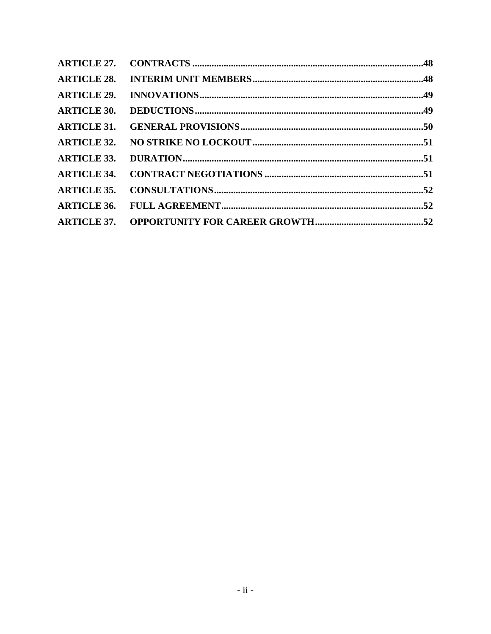| <b>ARTICLE 28.</b> |  |
|--------------------|--|
| <b>ARTICLE 29.</b> |  |
| <b>ARTICLE 30.</b> |  |
| <b>ARTICLE 31.</b> |  |
| <b>ARTICLE 32.</b> |  |
| <b>ARTICLE 33.</b> |  |
| <b>ARTICLE 34.</b> |  |
| <b>ARTICLE 35.</b> |  |
| <b>ARTICLE 36.</b> |  |
|                    |  |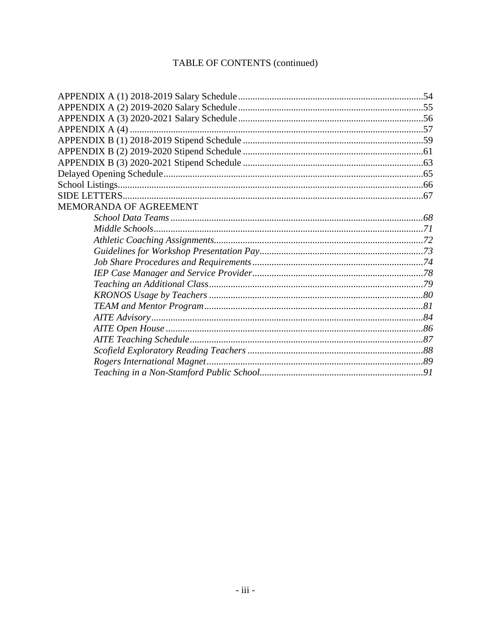# TABLE OF CONTENTS (continued)

| MEMORANDA OF AGREEMENT |  |
|------------------------|--|
|                        |  |
|                        |  |
|                        |  |
|                        |  |
|                        |  |
|                        |  |
|                        |  |
|                        |  |
|                        |  |
|                        |  |
|                        |  |
|                        |  |
|                        |  |
|                        |  |
|                        |  |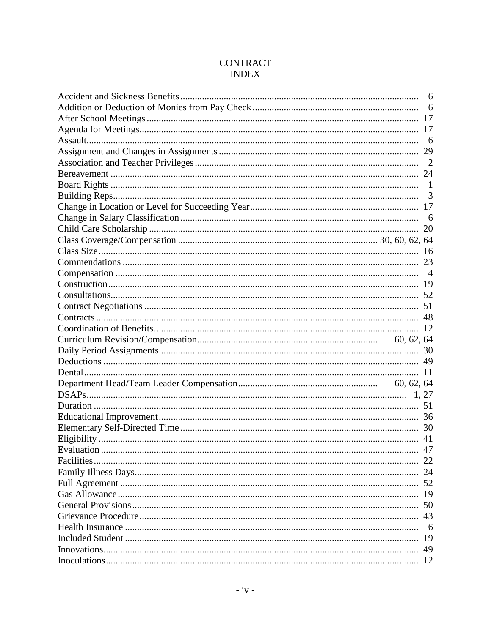# **CONTRACT INDEX**

| 6   |
|-----|
| 6   |
|     |
|     |
| 6   |
|     |
|     |
|     |
|     |
| 3   |
|     |
| 6   |
|     |
|     |
|     |
|     |
|     |
|     |
|     |
|     |
|     |
|     |
|     |
|     |
|     |
|     |
|     |
|     |
|     |
|     |
|     |
|     |
|     |
|     |
|     |
|     |
|     |
| 50  |
| 43  |
| - 6 |
|     |
|     |
|     |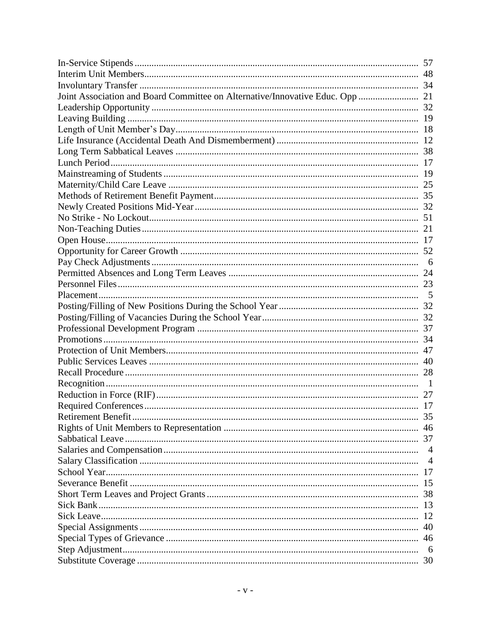| 35             |
|----------------|
|                |
|                |
| $\overline{4}$ |
| $\overline{4}$ |
| 17             |
| 15             |
| 38             |
| 13             |
| 12             |
| 40             |
| 46             |
| 6              |
|                |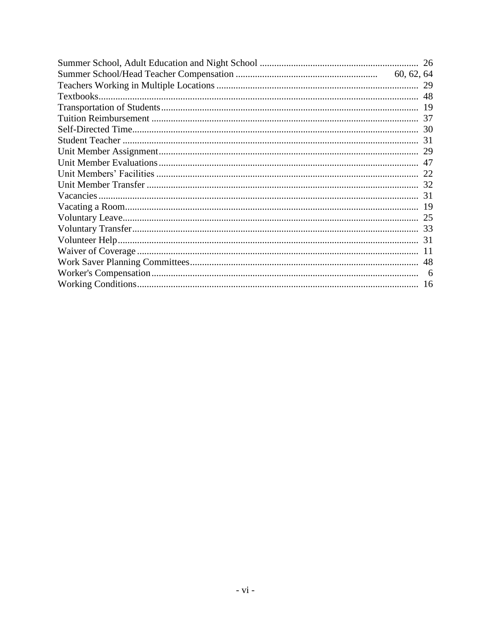| 26  |
|-----|
|     |
| 29  |
| 48  |
| 19  |
| 37  |
| 30  |
| 31  |
| 29  |
| 47  |
|     |
|     |
|     |
|     |
| 25  |
| 33  |
| 31  |
| -11 |
| 48  |
|     |
|     |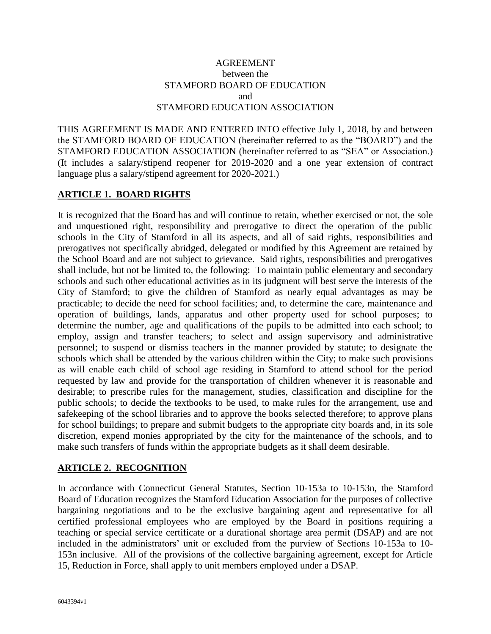#### AGREEMENT between the STAMFORD BOARD OF EDUCATION and STAMFORD EDUCATION ASSOCIATION

THIS AGREEMENT IS MADE AND ENTERED INTO effective July 1, 2018, by and between the STAMFORD BOARD OF EDUCATION (hereinafter referred to as the "BOARD") and the STAMFORD EDUCATION ASSOCIATION (hereinafter referred to as "SEA" or Association.) (It includes a salary/stipend reopener for 2019-2020 and a one year extension of contract language plus a salary/stipend agreement for 2020-2021.)

#### **ARTICLE 1. BOARD RIGHTS**

It is recognized that the Board has and will continue to retain, whether exercised or not, the sole and unquestioned right, responsibility and prerogative to direct the operation of the public schools in the City of Stamford in all its aspects, and all of said rights, responsibilities and prerogatives not specifically abridged, delegated or modified by this Agreement are retained by the School Board and are not subject to grievance. Said rights, responsibilities and prerogatives shall include, but not be limited to, the following: To maintain public elementary and secondary schools and such other educational activities as in its judgment will best serve the interests of the City of Stamford; to give the children of Stamford as nearly equal advantages as may be practicable; to decide the need for school facilities; and, to determine the care, maintenance and operation of buildings, lands, apparatus and other property used for school purposes; to determine the number, age and qualifications of the pupils to be admitted into each school; to employ, assign and transfer teachers; to select and assign supervisory and administrative personnel; to suspend or dismiss teachers in the manner provided by statute; to designate the schools which shall be attended by the various children within the City; to make such provisions as will enable each child of school age residing in Stamford to attend school for the period requested by law and provide for the transportation of children whenever it is reasonable and desirable; to prescribe rules for the management, studies, classification and discipline for the public schools; to decide the textbooks to be used, to make rules for the arrangement, use and safekeeping of the school libraries and to approve the books selected therefore; to approve plans for school buildings; to prepare and submit budgets to the appropriate city boards and, in its sole discretion, expend monies appropriated by the city for the maintenance of the schools, and to make such transfers of funds within the appropriate budgets as it shall deem desirable.

#### **ARTICLE 2. RECOGNITION**

In accordance with Connecticut General Statutes, Section 10-153a to 10-153n, the Stamford Board of Education recognizes the Stamford Education Association for the purposes of collective bargaining negotiations and to be the exclusive bargaining agent and representative for all certified professional employees who are employed by the Board in positions requiring a teaching or special service certificate or a durational shortage area permit (DSAP) and are not included in the administrators' unit or excluded from the purview of Sections 10-153a to 10- 153n inclusive. All of the provisions of the collective bargaining agreement, except for Article 15, Reduction in Force, shall apply to unit members employed under a DSAP.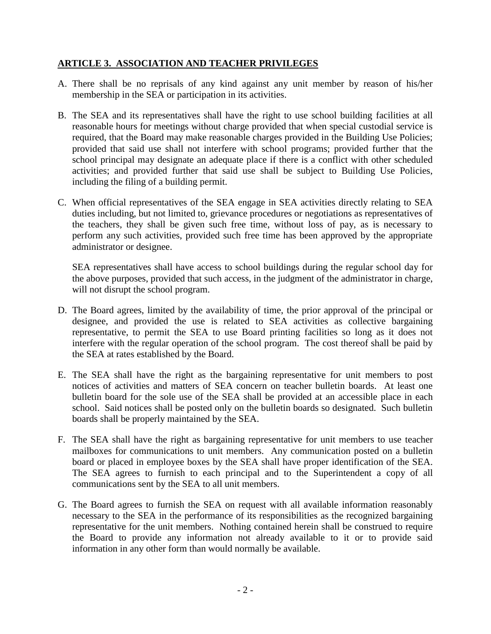### **ARTICLE 3. ASSOCIATION AND TEACHER PRIVILEGES**

- A. There shall be no reprisals of any kind against any unit member by reason of his/her membership in the SEA or participation in its activities.
- B. The SEA and its representatives shall have the right to use school building facilities at all reasonable hours for meetings without charge provided that when special custodial service is required, that the Board may make reasonable charges provided in the Building Use Policies; provided that said use shall not interfere with school programs; provided further that the school principal may designate an adequate place if there is a conflict with other scheduled activities; and provided further that said use shall be subject to Building Use Policies, including the filing of a building permit.
- C. When official representatives of the SEA engage in SEA activities directly relating to SEA duties including, but not limited to, grievance procedures or negotiations as representatives of the teachers, they shall be given such free time, without loss of pay, as is necessary to perform any such activities, provided such free time has been approved by the appropriate administrator or designee.

SEA representatives shall have access to school buildings during the regular school day for the above purposes, provided that such access, in the judgment of the administrator in charge, will not disrupt the school program.

- D. The Board agrees, limited by the availability of time, the prior approval of the principal or designee, and provided the use is related to SEA activities as collective bargaining representative, to permit the SEA to use Board printing facilities so long as it does not interfere with the regular operation of the school program. The cost thereof shall be paid by the SEA at rates established by the Board.
- E. The SEA shall have the right as the bargaining representative for unit members to post notices of activities and matters of SEA concern on teacher bulletin boards. At least one bulletin board for the sole use of the SEA shall be provided at an accessible place in each school. Said notices shall be posted only on the bulletin boards so designated. Such bulletin boards shall be properly maintained by the SEA.
- F. The SEA shall have the right as bargaining representative for unit members to use teacher mailboxes for communications to unit members. Any communication posted on a bulletin board or placed in employee boxes by the SEA shall have proper identification of the SEA. The SEA agrees to furnish to each principal and to the Superintendent a copy of all communications sent by the SEA to all unit members.
- G. The Board agrees to furnish the SEA on request with all available information reasonably necessary to the SEA in the performance of its responsibilities as the recognized bargaining representative for the unit members. Nothing contained herein shall be construed to require the Board to provide any information not already available to it or to provide said information in any other form than would normally be available.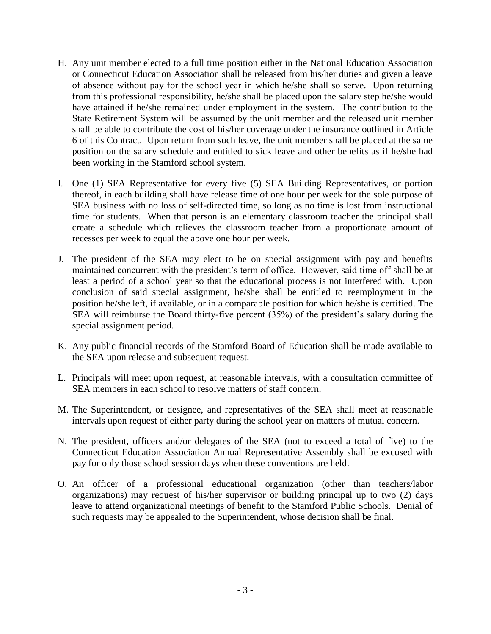- H. Any unit member elected to a full time position either in the National Education Association or Connecticut Education Association shall be released from his/her duties and given a leave of absence without pay for the school year in which he/she shall so serve. Upon returning from this professional responsibility, he/she shall be placed upon the salary step he/she would have attained if he/she remained under employment in the system. The contribution to the State Retirement System will be assumed by the unit member and the released unit member shall be able to contribute the cost of his/her coverage under the insurance outlined in Article 6 of this Contract. Upon return from such leave, the unit member shall be placed at the same position on the salary schedule and entitled to sick leave and other benefits as if he/she had been working in the Stamford school system.
- I. One (1) SEA Representative for every five (5) SEA Building Representatives, or portion thereof, in each building shall have release time of one hour per week for the sole purpose of SEA business with no loss of self-directed time, so long as no time is lost from instructional time for students. When that person is an elementary classroom teacher the principal shall create a schedule which relieves the classroom teacher from a proportionate amount of recesses per week to equal the above one hour per week.
- J. The president of the SEA may elect to be on special assignment with pay and benefits maintained concurrent with the president's term of office. However, said time off shall be at least a period of a school year so that the educational process is not interfered with. Upon conclusion of said special assignment, he/she shall be entitled to reemployment in the position he/she left, if available, or in a comparable position for which he/she is certified. The SEA will reimburse the Board thirty-five percent (35%) of the president's salary during the special assignment period.
- K. Any public financial records of the Stamford Board of Education shall be made available to the SEA upon release and subsequent request.
- L. Principals will meet upon request, at reasonable intervals, with a consultation committee of SEA members in each school to resolve matters of staff concern.
- M. The Superintendent, or designee, and representatives of the SEA shall meet at reasonable intervals upon request of either party during the school year on matters of mutual concern.
- N. The president, officers and/or delegates of the SEA (not to exceed a total of five) to the Connecticut Education Association Annual Representative Assembly shall be excused with pay for only those school session days when these conventions are held.
- O. An officer of a professional educational organization (other than teachers/labor organizations) may request of his/her supervisor or building principal up to two (2) days leave to attend organizational meetings of benefit to the Stamford Public Schools. Denial of such requests may be appealed to the Superintendent, whose decision shall be final.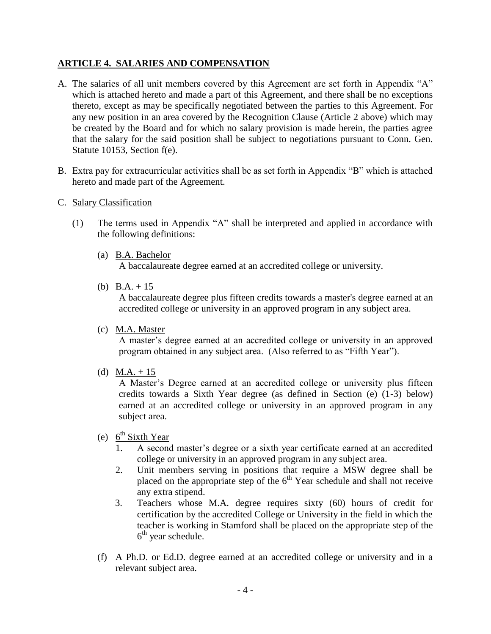#### **ARTICLE 4. SALARIES AND COMPENSATION**

- A. The salaries of all unit members covered by this Agreement are set forth in Appendix "A" which is attached hereto and made a part of this Agreement, and there shall be no exceptions thereto, except as may be specifically negotiated between the parties to this Agreement. For any new position in an area covered by the Recognition Clause (Article 2 above) which may be created by the Board and for which no salary provision is made herein, the parties agree that the salary for the said position shall be subject to negotiations pursuant to Conn. Gen. Statute 10153, Section f(e).
- B. Extra pay for extracurricular activities shall be as set forth in Appendix "B" which is attached hereto and made part of the Agreement.
- C. Salary Classification
	- (1) The terms used in Appendix "A" shall be interpreted and applied in accordance with the following definitions:
		- (a) B.A. Bachelor A baccalaureate degree earned at an accredited college or university.
		- (b)  $B.A. + 15$

A baccalaureate degree plus fifteen credits towards a master's degree earned at an accredited college or university in an approved program in any subject area.

(c) M.A. Master

A master's degree earned at an accredited college or university in an approved program obtained in any subject area. (Also referred to as "Fifth Year").

(d)  $M.A. + 15$ 

A Master's Degree earned at an accredited college or university plus fifteen credits towards a Sixth Year degree (as defined in Section (e) (1-3) below) earned at an accredited college or university in an approved program in any subject area.

- (e)  $6^{\text{th}}$  Sixth Year
	- 1. A second master's degree or a sixth year certificate earned at an accredited college or university in an approved program in any subject area.
	- 2. Unit members serving in positions that require a MSW degree shall be placed on the appropriate step of the  $6<sup>th</sup>$  Year schedule and shall not receive any extra stipend.
	- 3. Teachers whose M.A. degree requires sixty (60) hours of credit for certification by the accredited College or University in the field in which the teacher is working in Stamford shall be placed on the appropriate step of the 6<sup>th</sup> year schedule.
- (f) A Ph.D. or Ed.D. degree earned at an accredited college or university and in a relevant subject area.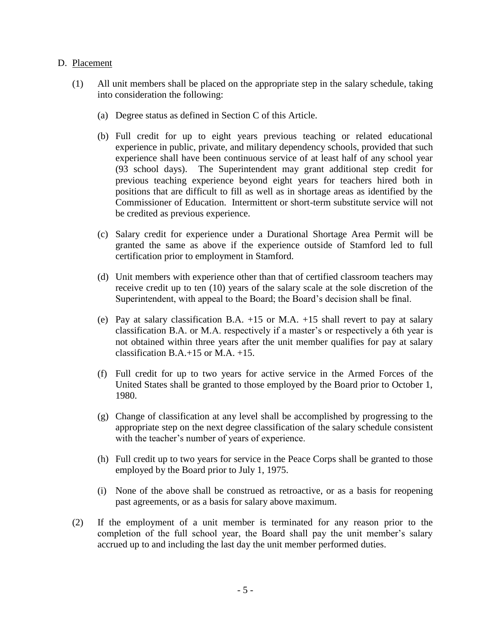#### D. Placement

- (1) All unit members shall be placed on the appropriate step in the salary schedule, taking into consideration the following:
	- (a) Degree status as defined in Section C of this Article.
	- (b) Full credit for up to eight years previous teaching or related educational experience in public, private, and military dependency schools, provided that such experience shall have been continuous service of at least half of any school year (93 school days). The Superintendent may grant additional step credit for previous teaching experience beyond eight years for teachers hired both in positions that are difficult to fill as well as in shortage areas as identified by the Commissioner of Education. Intermittent or short-term substitute service will not be credited as previous experience.
	- (c) Salary credit for experience under a Durational Shortage Area Permit will be granted the same as above if the experience outside of Stamford led to full certification prior to employment in Stamford.
	- (d) Unit members with experience other than that of certified classroom teachers may receive credit up to ten (10) years of the salary scale at the sole discretion of the Superintendent, with appeal to the Board; the Board's decision shall be final.
	- (e) Pay at salary classification B.A. +15 or M.A. +15 shall revert to pay at salary classification B.A. or M.A. respectively if a master's or respectively a 6th year is not obtained within three years after the unit member qualifies for pay at salary classification B.A.+15 or M.A. +15.
	- (f) Full credit for up to two years for active service in the Armed Forces of the United States shall be granted to those employed by the Board prior to October 1, 1980.
	- (g) Change of classification at any level shall be accomplished by progressing to the appropriate step on the next degree classification of the salary schedule consistent with the teacher's number of years of experience.
	- (h) Full credit up to two years for service in the Peace Corps shall be granted to those employed by the Board prior to July 1, 1975.
	- (i) None of the above shall be construed as retroactive, or as a basis for reopening past agreements, or as a basis for salary above maximum.
- (2) If the employment of a unit member is terminated for any reason prior to the completion of the full school year, the Board shall pay the unit member's salary accrued up to and including the last day the unit member performed duties.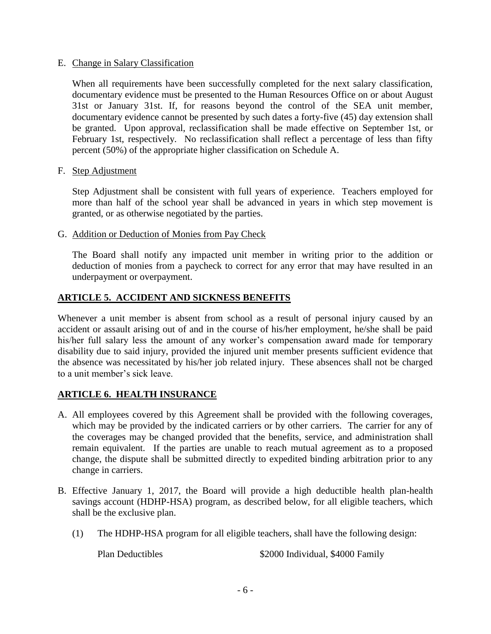#### E. Change in Salary Classification

When all requirements have been successfully completed for the next salary classification, documentary evidence must be presented to the Human Resources Office on or about August 31st or January 31st. If, for reasons beyond the control of the SEA unit member, documentary evidence cannot be presented by such dates a forty-five (45) day extension shall be granted. Upon approval, reclassification shall be made effective on September 1st, or February 1st, respectively. No reclassification shall reflect a percentage of less than fifty percent (50%) of the appropriate higher classification on Schedule A.

F. Step Adjustment

Step Adjustment shall be consistent with full years of experience. Teachers employed for more than half of the school year shall be advanced in years in which step movement is granted, or as otherwise negotiated by the parties.

G. Addition or Deduction of Monies from Pay Check

The Board shall notify any impacted unit member in writing prior to the addition or deduction of monies from a paycheck to correct for any error that may have resulted in an underpayment or overpayment.

### **ARTICLE 5. ACCIDENT AND SICKNESS BENEFITS**

Whenever a unit member is absent from school as a result of personal injury caused by an accident or assault arising out of and in the course of his/her employment, he/she shall be paid his/her full salary less the amount of any worker's compensation award made for temporary disability due to said injury, provided the injured unit member presents sufficient evidence that the absence was necessitated by his/her job related injury. These absences shall not be charged to a unit member's sick leave.

### **ARTICLE 6. HEALTH INSURANCE**

- A. All employees covered by this Agreement shall be provided with the following coverages, which may be provided by the indicated carriers or by other carriers. The carrier for any of the coverages may be changed provided that the benefits, service, and administration shall remain equivalent. If the parties are unable to reach mutual agreement as to a proposed change, the dispute shall be submitted directly to expedited binding arbitration prior to any change in carriers.
- B. Effective January 1, 2017, the Board will provide a high deductible health plan-health savings account (HDHP-HSA) program, as described below, for all eligible teachers, which shall be the exclusive plan.
	- (1) The HDHP-HSA program for all eligible teachers, shall have the following design:

Plan Deductibles  $$2000$  Individual, \$4000 Family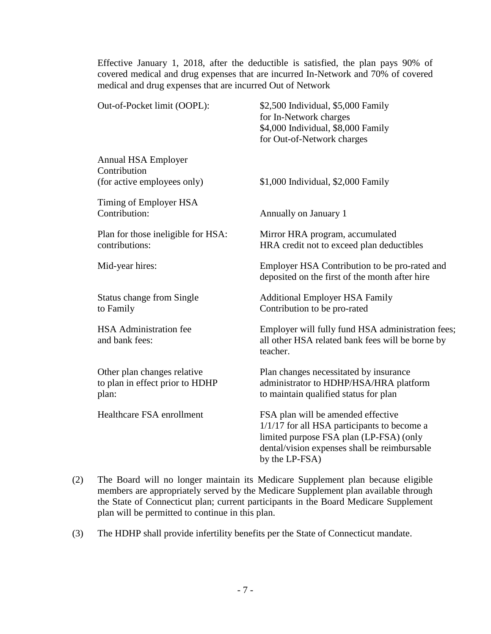Effective January 1, 2018, after the deductible is satisfied, the plan pays 90% of covered medical and drug expenses that are incurred In-Network and 70% of covered medical and drug expenses that are incurred Out of Network

| Out-of-Pocket limit (OOPL):                                             | \$2,500 Individual, \$5,000 Family<br>for In-Network charges<br>\$4,000 Individual, \$8,000 Family<br>for Out-of-Network charges                                                                 |
|-------------------------------------------------------------------------|--------------------------------------------------------------------------------------------------------------------------------------------------------------------------------------------------|
| Annual HSA Employer<br>Contribution<br>(for active employees only)      | \$1,000 Individual, \$2,000 Family                                                                                                                                                               |
| Timing of Employer HSA<br>Contribution:                                 | Annually on January 1                                                                                                                                                                            |
| Plan for those ineligible for HSA:<br>contributions:                    | Mirror HRA program, accumulated<br>HRA credit not to exceed plan deductibles                                                                                                                     |
| Mid-year hires:                                                         | Employer HSA Contribution to be pro-rated and<br>deposited on the first of the month after hire                                                                                                  |
| <b>Status change from Single</b><br>to Family                           | <b>Additional Employer HSA Family</b><br>Contribution to be pro-rated                                                                                                                            |
| <b>HSA</b> Administration fee<br>and bank fees:                         | Employer will fully fund HSA administration fees;<br>all other HSA related bank fees will be borne by<br>teacher.                                                                                |
| Other plan changes relative<br>to plan in effect prior to HDHP<br>plan: | Plan changes necessitated by insurance<br>administrator to HDHP/HSA/HRA platform<br>to maintain qualified status for plan                                                                        |
| Healthcare FSA enrollment                                               | FSA plan will be amended effective<br>$1/1/17$ for all HSA participants to become a<br>limited purpose FSA plan (LP-FSA) (only<br>dental/vision expenses shall be reimbursable<br>by the LP-FSA) |

- (2) The Board will no longer maintain its Medicare Supplement plan because eligible members are appropriately served by the Medicare Supplement plan available through the State of Connecticut plan; current participants in the Board Medicare Supplement plan will be permitted to continue in this plan.
- (3) The HDHP shall provide infertility benefits per the State of Connecticut mandate.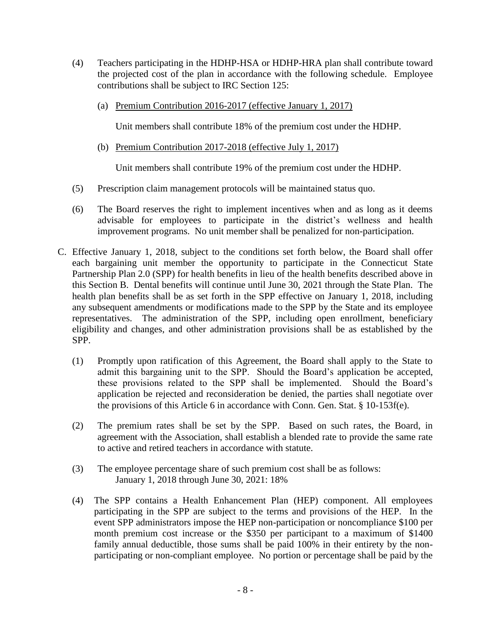- (4) Teachers participating in the HDHP-HSA or HDHP-HRA plan shall contribute toward the projected cost of the plan in accordance with the following schedule. Employee contributions shall be subject to IRC Section 125:
	- (a) Premium Contribution 2016-2017 (effective January 1, 2017)

Unit members shall contribute 18% of the premium cost under the HDHP.

(b) Premium Contribution 2017-2018 (effective July 1, 2017)

Unit members shall contribute 19% of the premium cost under the HDHP.

- (5) Prescription claim management protocols will be maintained status quo.
- (6) The Board reserves the right to implement incentives when and as long as it deems advisable for employees to participate in the district's wellness and health improvement programs. No unit member shall be penalized for non-participation.
- C. Effective January 1, 2018, subject to the conditions set forth below, the Board shall offer each bargaining unit member the opportunity to participate in the Connecticut State Partnership Plan 2.0 (SPP) for health benefits in lieu of the health benefits described above in this Section B. Dental benefits will continue until June 30, 2021 through the State Plan. The health plan benefits shall be as set forth in the SPP effective on January 1, 2018, including any subsequent amendments or modifications made to the SPP by the State and its employee representatives. The administration of the SPP, including open enrollment, beneficiary eligibility and changes, and other administration provisions shall be as established by the SPP.
	- (1) Promptly upon ratification of this Agreement, the Board shall apply to the State to admit this bargaining unit to the SPP. Should the Board's application be accepted, these provisions related to the SPP shall be implemented. Should the Board's application be rejected and reconsideration be denied, the parties shall negotiate over the provisions of this Article 6 in accordance with Conn. Gen. Stat. § 10-153f(e).
	- (2) The premium rates shall be set by the SPP. Based on such rates, the Board, in agreement with the Association, shall establish a blended rate to provide the same rate to active and retired teachers in accordance with statute.
	- (3) The employee percentage share of such premium cost shall be as follows: January 1, 2018 through June 30, 2021: 18%
	- (4) The SPP contains a Health Enhancement Plan (HEP) component. All employees participating in the SPP are subject to the terms and provisions of the HEP. In the event SPP administrators impose the HEP non-participation or noncompliance \$100 per month premium cost increase or the \$350 per participant to a maximum of \$1400 family annual deductible, those sums shall be paid 100% in their entirety by the nonparticipating or non-compliant employee. No portion or percentage shall be paid by the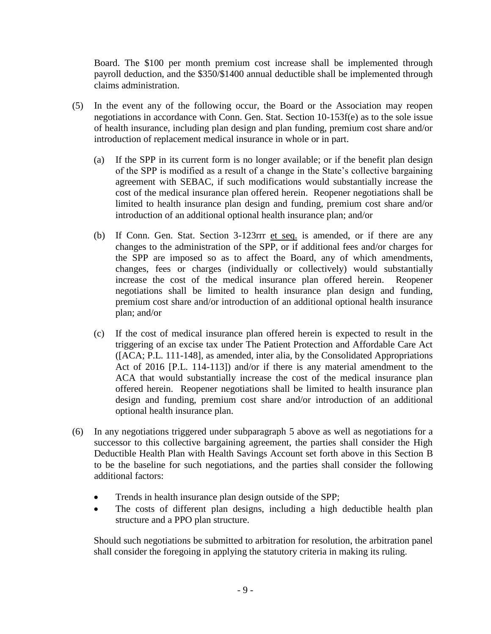Board. The \$100 per month premium cost increase shall be implemented through payroll deduction, and the \$350/\$1400 annual deductible shall be implemented through claims administration.

- (5) In the event any of the following occur, the Board or the Association may reopen negotiations in accordance with Conn. Gen. Stat. Section 10-153f(e) as to the sole issue of health insurance, including plan design and plan funding, premium cost share and/or introduction of replacement medical insurance in whole or in part.
	- (a) If the SPP in its current form is no longer available; or if the benefit plan design of the SPP is modified as a result of a change in the State's collective bargaining agreement with SEBAC, if such modifications would substantially increase the cost of the medical insurance plan offered herein. Reopener negotiations shall be limited to health insurance plan design and funding, premium cost share and/or introduction of an additional optional health insurance plan; and/or
	- (b) If Conn. Gen. Stat. Section 3-123rrr et seq. is amended, or if there are any changes to the administration of the SPP, or if additional fees and/or charges for the SPP are imposed so as to affect the Board, any of which amendments, changes, fees or charges (individually or collectively) would substantially increase the cost of the medical insurance plan offered herein. Reopener negotiations shall be limited to health insurance plan design and funding, premium cost share and/or introduction of an additional optional health insurance plan; and/or
	- (c) If the cost of medical insurance plan offered herein is expected to result in the triggering of an excise tax under The Patient Protection and Affordable Care Act ([ACA; P.L. 111-148], as amended, inter alia, by the Consolidated Appropriations Act of 2016 [P.L. 114-113]) and/or if there is any material amendment to the ACA that would substantially increase the cost of the medical insurance plan offered herein. Reopener negotiations shall be limited to health insurance plan design and funding, premium cost share and/or introduction of an additional optional health insurance plan.
- (6) In any negotiations triggered under subparagraph 5 above as well as negotiations for a successor to this collective bargaining agreement, the parties shall consider the High Deductible Health Plan with Health Savings Account set forth above in this Section B to be the baseline for such negotiations, and the parties shall consider the following additional factors:
	- Trends in health insurance plan design outside of the SPP;
	- The costs of different plan designs, including a high deductible health plan structure and a PPO plan structure.

Should such negotiations be submitted to arbitration for resolution, the arbitration panel shall consider the foregoing in applying the statutory criteria in making its ruling.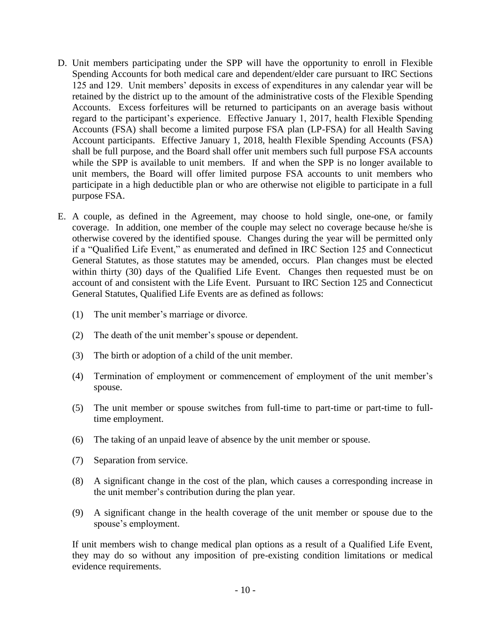- D. Unit members participating under the SPP will have the opportunity to enroll in Flexible Spending Accounts for both medical care and dependent/elder care pursuant to IRC Sections 125 and 129. Unit members' deposits in excess of expenditures in any calendar year will be retained by the district up to the amount of the administrative costs of the Flexible Spending Accounts. Excess forfeitures will be returned to participants on an average basis without regard to the participant's experience. Effective January 1, 2017, health Flexible Spending Accounts (FSA) shall become a limited purpose FSA plan (LP-FSA) for all Health Saving Account participants. Effective January 1, 2018, health Flexible Spending Accounts (FSA) shall be full purpose, and the Board shall offer unit members such full purpose FSA accounts while the SPP is available to unit members. If and when the SPP is no longer available to unit members, the Board will offer limited purpose FSA accounts to unit members who participate in a high deductible plan or who are otherwise not eligible to participate in a full purpose FSA.
- E. A couple, as defined in the Agreement, may choose to hold single, one-one, or family coverage. In addition, one member of the couple may select no coverage because he/she is otherwise covered by the identified spouse. Changes during the year will be permitted only if a "Qualified Life Event," as enumerated and defined in IRC Section 125 and Connecticut General Statutes, as those statutes may be amended, occurs. Plan changes must be elected within thirty (30) days of the Qualified Life Event. Changes then requested must be on account of and consistent with the Life Event. Pursuant to IRC Section 125 and Connecticut General Statutes, Qualified Life Events are as defined as follows:
	- (1) The unit member's marriage or divorce.
	- (2) The death of the unit member's spouse or dependent.
	- (3) The birth or adoption of a child of the unit member.
	- (4) Termination of employment or commencement of employment of the unit member's spouse.
	- (5) The unit member or spouse switches from full-time to part-time or part-time to fulltime employment.
	- (6) The taking of an unpaid leave of absence by the unit member or spouse.
	- (7) Separation from service.
	- (8) A significant change in the cost of the plan, which causes a corresponding increase in the unit member's contribution during the plan year.
	- (9) A significant change in the health coverage of the unit member or spouse due to the spouse's employment.

If unit members wish to change medical plan options as a result of a Qualified Life Event, they may do so without any imposition of pre-existing condition limitations or medical evidence requirements.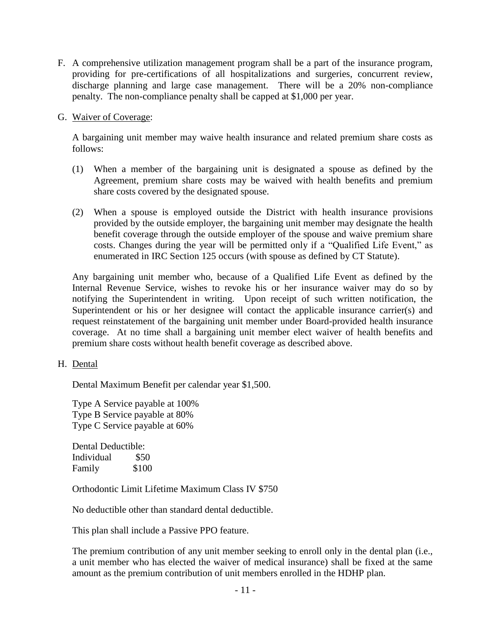- F. A comprehensive utilization management program shall be a part of the insurance program, providing for pre-certifications of all hospitalizations and surgeries, concurrent review, discharge planning and large case management. There will be a 20% non-compliance penalty. The non-compliance penalty shall be capped at \$1,000 per year.
- G. Waiver of Coverage:

A bargaining unit member may waive health insurance and related premium share costs as follows:

- (1) When a member of the bargaining unit is designated a spouse as defined by the Agreement, premium share costs may be waived with health benefits and premium share costs covered by the designated spouse.
- (2) When a spouse is employed outside the District with health insurance provisions provided by the outside employer, the bargaining unit member may designate the health benefit coverage through the outside employer of the spouse and waive premium share costs. Changes during the year will be permitted only if a "Qualified Life Event," as enumerated in IRC Section 125 occurs (with spouse as defined by CT Statute).

Any bargaining unit member who, because of a Qualified Life Event as defined by the Internal Revenue Service, wishes to revoke his or her insurance waiver may do so by notifying the Superintendent in writing. Upon receipt of such written notification, the Superintendent or his or her designee will contact the applicable insurance carrier(s) and request reinstatement of the bargaining unit member under Board-provided health insurance coverage. At no time shall a bargaining unit member elect waiver of health benefits and premium share costs without health benefit coverage as described above.

H. Dental

Dental Maximum Benefit per calendar year \$1,500.

Type A Service payable at 100% Type B Service payable at 80% Type C Service payable at 60%

Dental Deductible: Individual \$50 Family \$100

Orthodontic Limit Lifetime Maximum Class IV \$750

No deductible other than standard dental deductible.

This plan shall include a Passive PPO feature.

The premium contribution of any unit member seeking to enroll only in the dental plan (i.e., a unit member who has elected the waiver of medical insurance) shall be fixed at the same amount as the premium contribution of unit members enrolled in the HDHP plan.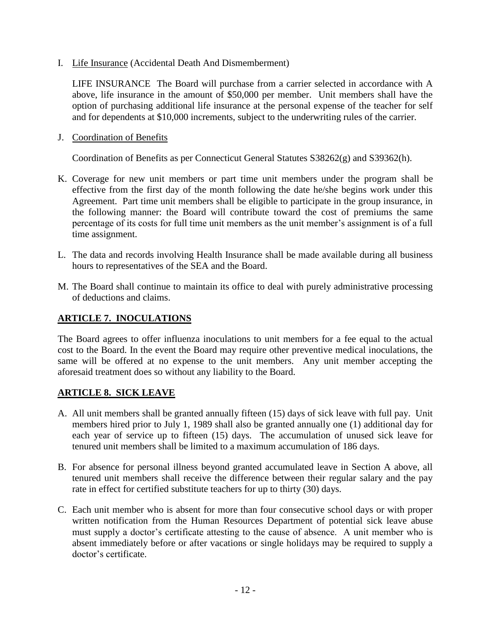I. Life Insurance (Accidental Death And Dismemberment)

LIFE INSURANCE The Board will purchase from a carrier selected in accordance with A above, life insurance in the amount of \$50,000 per member. Unit members shall have the option of purchasing additional life insurance at the personal expense of the teacher for self and for dependents at \$10,000 increments, subject to the underwriting rules of the carrier.

J. Coordination of Benefits

Coordination of Benefits as per Connecticut General Statutes S38262(g) and S39362(h).

- K. Coverage for new unit members or part time unit members under the program shall be effective from the first day of the month following the date he/she begins work under this Agreement. Part time unit members shall be eligible to participate in the group insurance, in the following manner: the Board will contribute toward the cost of premiums the same percentage of its costs for full time unit members as the unit member's assignment is of a full time assignment.
- L. The data and records involving Health Insurance shall be made available during all business hours to representatives of the SEA and the Board.
- M. The Board shall continue to maintain its office to deal with purely administrative processing of deductions and claims.

#### **ARTICLE 7. INOCULATIONS**

The Board agrees to offer influenza inoculations to unit members for a fee equal to the actual cost to the Board. In the event the Board may require other preventive medical inoculations, the same will be offered at no expense to the unit members. Any unit member accepting the aforesaid treatment does so without any liability to the Board.

### **ARTICLE 8. SICK LEAVE**

- A. All unit members shall be granted annually fifteen (15) days of sick leave with full pay. Unit members hired prior to July 1, 1989 shall also be granted annually one (1) additional day for each year of service up to fifteen (15) days. The accumulation of unused sick leave for tenured unit members shall be limited to a maximum accumulation of 186 days.
- B. For absence for personal illness beyond granted accumulated leave in Section A above, all tenured unit members shall receive the difference between their regular salary and the pay rate in effect for certified substitute teachers for up to thirty (30) days.
- C. Each unit member who is absent for more than four consecutive school days or with proper written notification from the Human Resources Department of potential sick leave abuse must supply a doctor's certificate attesting to the cause of absence. A unit member who is absent immediately before or after vacations or single holidays may be required to supply a doctor's certificate.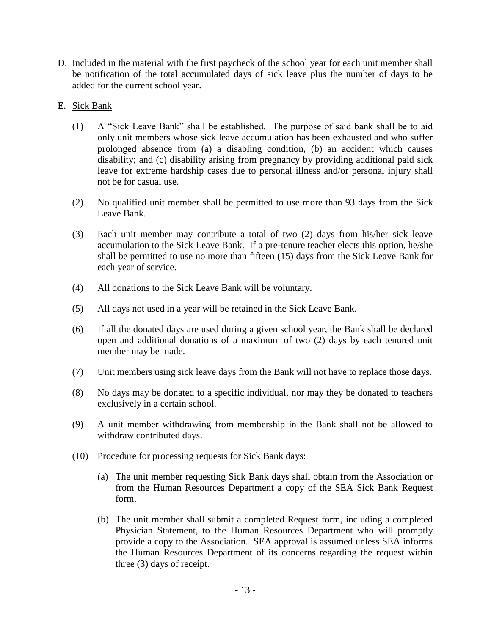- D. Included in the material with the first paycheck of the school year for each unit member shall be notification of the total accumulated days of sick leave plus the number of days to be added for the current school year.
- E. Sick Bank
	- (1) A "Sick Leave Bank" shall be established. The purpose of said bank shall be to aid only unit members whose sick leave accumulation has been exhausted and who suffer prolonged absence from (a) a disabling condition, (b) an accident which causes disability; and (c) disability arising from pregnancy by providing additional paid sick leave for extreme hardship cases due to personal illness and/or personal injury shall not be for casual use.
	- (2) No qualified unit member shall be permitted to use more than 93 days from the Sick Leave Bank.
	- (3) Each unit member may contribute a total of two (2) days from his/her sick leave accumulation to the Sick Leave Bank. If a pre-tenure teacher elects this option, he/she shall be permitted to use no more than fifteen (15) days from the Sick Leave Bank for each year of service.
	- (4) All donations to the Sick Leave Bank will be voluntary.
	- (5) All days not used in a year will be retained in the Sick Leave Bank.
	- (6) If all the donated days are used during a given school year, the Bank shall be declared open and additional donations of a maximum of two (2) days by each tenured unit member may be made.
	- (7) Unit members using sick leave days from the Bank will not have to replace those days.
	- (8) No days may be donated to a specific individual, nor may they be donated to teachers exclusively in a certain school.
	- (9) A unit member withdrawing from membership in the Bank shall not be allowed to withdraw contributed days.
	- (10) Procedure for processing requests for Sick Bank days:
		- (a) The unit member requesting Sick Bank days shall obtain from the Association or from the Human Resources Department a copy of the SEA Sick Bank Request form.
		- (b) The unit member shall submit a completed Request form, including a completed Physician Statement, to the Human Resources Department who will promptly provide a copy to the Association. SEA approval is assumed unless SEA informs the Human Resources Department of its concerns regarding the request within three (3) days of receipt.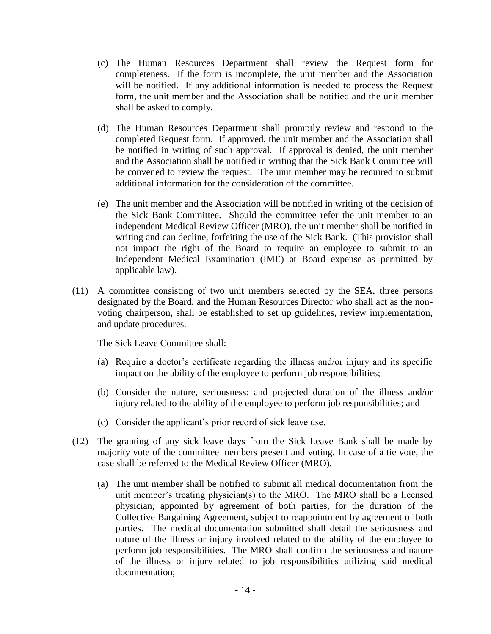- (c) The Human Resources Department shall review the Request form for completeness. If the form is incomplete, the unit member and the Association will be notified. If any additional information is needed to process the Request form, the unit member and the Association shall be notified and the unit member shall be asked to comply.
- (d) The Human Resources Department shall promptly review and respond to the completed Request form. If approved, the unit member and the Association shall be notified in writing of such approval. If approval is denied, the unit member and the Association shall be notified in writing that the Sick Bank Committee will be convened to review the request. The unit member may be required to submit additional information for the consideration of the committee.
- (e) The unit member and the Association will be notified in writing of the decision of the Sick Bank Committee. Should the committee refer the unit member to an independent Medical Review Officer (MRO), the unit member shall be notified in writing and can decline, forfeiting the use of the Sick Bank. (This provision shall not impact the right of the Board to require an employee to submit to an Independent Medical Examination (IME) at Board expense as permitted by applicable law).
- (11) A committee consisting of two unit members selected by the SEA, three persons designated by the Board, and the Human Resources Director who shall act as the nonvoting chairperson, shall be established to set up guidelines, review implementation, and update procedures.

The Sick Leave Committee shall:

- (a) Require a doctor's certificate regarding the illness and/or injury and its specific impact on the ability of the employee to perform job responsibilities;
- (b) Consider the nature, seriousness; and projected duration of the illness and/or injury related to the ability of the employee to perform job responsibilities; and
- (c) Consider the applicant's prior record of sick leave use.
- (12) The granting of any sick leave days from the Sick Leave Bank shall be made by majority vote of the committee members present and voting. In case of a tie vote, the case shall be referred to the Medical Review Officer (MRO).
	- (a) The unit member shall be notified to submit all medical documentation from the unit member's treating physician(s) to the MRO. The MRO shall be a licensed physician, appointed by agreement of both parties, for the duration of the Collective Bargaining Agreement, subject to reappointment by agreement of both parties. The medical documentation submitted shall detail the seriousness and nature of the illness or injury involved related to the ability of the employee to perform job responsibilities. The MRO shall confirm the seriousness and nature of the illness or injury related to job responsibilities utilizing said medical documentation;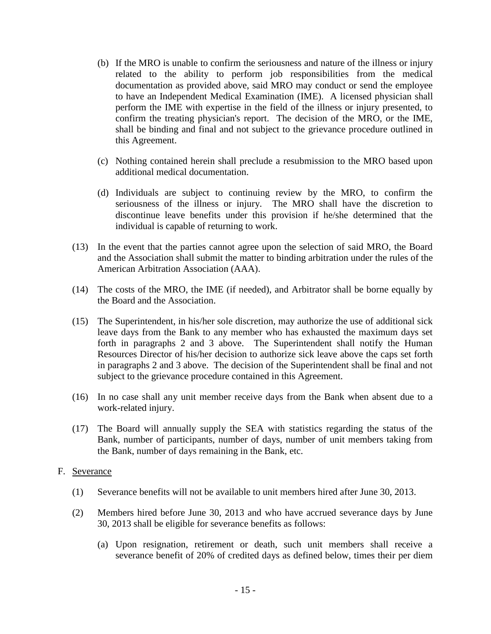- (b) If the MRO is unable to confirm the seriousness and nature of the illness or injury related to the ability to perform job responsibilities from the medical documentation as provided above, said MRO may conduct or send the employee to have an Independent Medical Examination (IME). A licensed physician shall perform the IME with expertise in the field of the illness or injury presented, to confirm the treating physician's report. The decision of the MRO, or the IME, shall be binding and final and not subject to the grievance procedure outlined in this Agreement.
- (c) Nothing contained herein shall preclude a resubmission to the MRO based upon additional medical documentation.
- (d) Individuals are subject to continuing review by the MRO, to confirm the seriousness of the illness or injury. The MRO shall have the discretion to discontinue leave benefits under this provision if he/she determined that the individual is capable of returning to work.
- (13) In the event that the parties cannot agree upon the selection of said MRO, the Board and the Association shall submit the matter to binding arbitration under the rules of the American Arbitration Association (AAA).
- (14) The costs of the MRO, the IME (if needed), and Arbitrator shall be borne equally by the Board and the Association.
- (15) The Superintendent, in his/her sole discretion, may authorize the use of additional sick leave days from the Bank to any member who has exhausted the maximum days set forth in paragraphs 2 and 3 above. The Superintendent shall notify the Human Resources Director of his/her decision to authorize sick leave above the caps set forth in paragraphs 2 and 3 above. The decision of the Superintendent shall be final and not subject to the grievance procedure contained in this Agreement.
- (16) In no case shall any unit member receive days from the Bank when absent due to a work-related injury.
- (17) The Board will annually supply the SEA with statistics regarding the status of the Bank, number of participants, number of days, number of unit members taking from the Bank, number of days remaining in the Bank, etc.

#### F. Severance

- (1) Severance benefits will not be available to unit members hired after June 30, 2013.
- (2) Members hired before June 30, 2013 and who have accrued severance days by June 30, 2013 shall be eligible for severance benefits as follows:
	- (a) Upon resignation, retirement or death, such unit members shall receive a severance benefit of 20% of credited days as defined below, times their per diem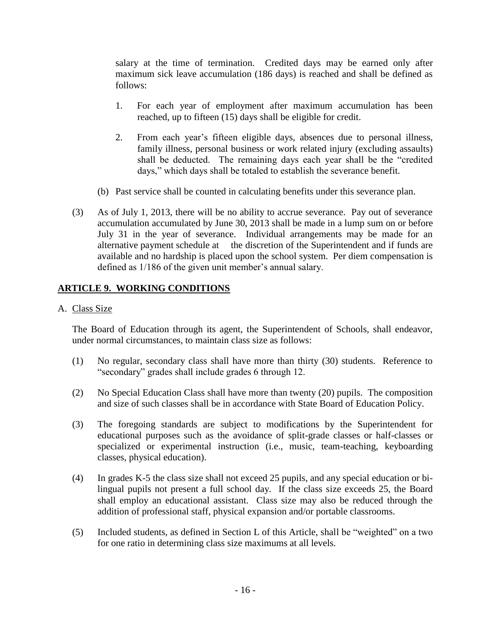salary at the time of termination. Credited days may be earned only after maximum sick leave accumulation (186 days) is reached and shall be defined as follows:

- 1. For each year of employment after maximum accumulation has been reached, up to fifteen (15) days shall be eligible for credit.
- 2. From each year's fifteen eligible days, absences due to personal illness, family illness, personal business or work related injury (excluding assaults) shall be deducted. The remaining days each year shall be the "credited days," which days shall be totaled to establish the severance benefit.
- (b) Past service shall be counted in calculating benefits under this severance plan.
- (3) As of July 1, 2013, there will be no ability to accrue severance. Pay out of severance accumulation accumulated by June 30, 2013 shall be made in a lump sum on or before July 31 in the year of severance. Individual arrangements may be made for an alternative payment schedule at the discretion of the Superintendent and if funds are available and no hardship is placed upon the school system. Per diem compensation is defined as 1/186 of the given unit member's annual salary.

# **ARTICLE 9. WORKING CONDITIONS**

#### A. Class Size

The Board of Education through its agent, the Superintendent of Schools, shall endeavor, under normal circumstances, to maintain class size as follows:

- (1) No regular, secondary class shall have more than thirty (30) students. Reference to "secondary" grades shall include grades 6 through 12.
- (2) No Special Education Class shall have more than twenty (20) pupils. The composition and size of such classes shall be in accordance with State Board of Education Policy.
- (3) The foregoing standards are subject to modifications by the Superintendent for educational purposes such as the avoidance of split-grade classes or half-classes or specialized or experimental instruction (i.e., music, team-teaching, keyboarding classes, physical education).
- (4) In grades K-5 the class size shall not exceed 25 pupils, and any special education or bilingual pupils not present a full school day. If the class size exceeds 25, the Board shall employ an educational assistant. Class size may also be reduced through the addition of professional staff, physical expansion and/or portable classrooms.
- (5) Included students, as defined in Section L of this Article, shall be "weighted" on a two for one ratio in determining class size maximums at all levels.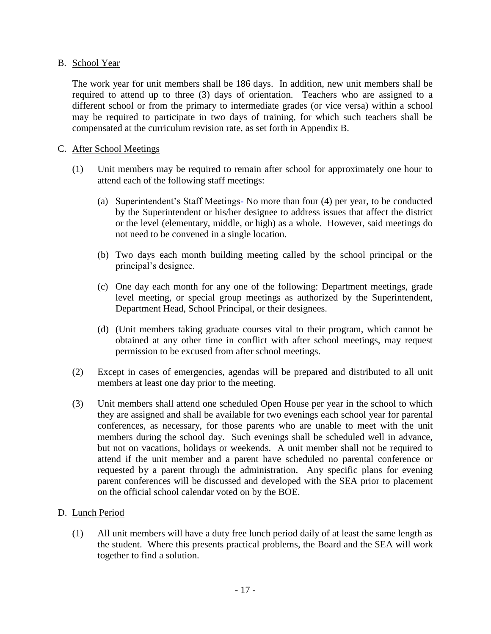#### B. School Year

The work year for unit members shall be 186 days. In addition, new unit members shall be required to attend up to three (3) days of orientation. Teachers who are assigned to a different school or from the primary to intermediate grades (or vice versa) within a school may be required to participate in two days of training, for which such teachers shall be compensated at the curriculum revision rate, as set forth in Appendix B.

#### C. After School Meetings

- (1) Unit members may be required to remain after school for approximately one hour to attend each of the following staff meetings:
	- (a) Superintendent's Staff Meetings- No more than four (4) per year, to be conducted by the Superintendent or his/her designee to address issues that affect the district or the level (elementary, middle, or high) as a whole. However, said meetings do not need to be convened in a single location.
	- (b) Two days each month building meeting called by the school principal or the principal's designee.
	- (c) One day each month for any one of the following: Department meetings, grade level meeting, or special group meetings as authorized by the Superintendent, Department Head, School Principal, or their designees.
	- (d) (Unit members taking graduate courses vital to their program, which cannot be obtained at any other time in conflict with after school meetings, may request permission to be excused from after school meetings.
- (2) Except in cases of emergencies, agendas will be prepared and distributed to all unit members at least one day prior to the meeting.
- (3) Unit members shall attend one scheduled Open House per year in the school to which they are assigned and shall be available for two evenings each school year for parental conferences, as necessary, for those parents who are unable to meet with the unit members during the school day. Such evenings shall be scheduled well in advance, but not on vacations, holidays or weekends. A unit member shall not be required to attend if the unit member and a parent have scheduled no parental conference or requested by a parent through the administration. Any specific plans for evening parent conferences will be discussed and developed with the SEA prior to placement on the official school calendar voted on by the BOE.

### D. Lunch Period

(1) All unit members will have a duty free lunch period daily of at least the same length as the student. Where this presents practical problems, the Board and the SEA will work together to find a solution.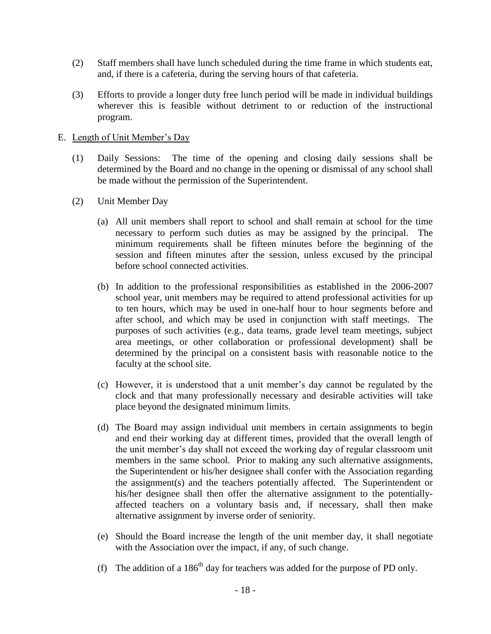- (2) Staff members shall have lunch scheduled during the time frame in which students eat, and, if there is a cafeteria, during the serving hours of that cafeteria.
- (3) Efforts to provide a longer duty free lunch period will be made in individual buildings wherever this is feasible without detriment to or reduction of the instructional program.

#### E. Length of Unit Member's Day

- (1) Daily Sessions: The time of the opening and closing daily sessions shall be determined by the Board and no change in the opening or dismissal of any school shall be made without the permission of the Superintendent.
- (2) Unit Member Day
	- (a) All unit members shall report to school and shall remain at school for the time necessary to perform such duties as may be assigned by the principal. The minimum requirements shall be fifteen minutes before the beginning of the session and fifteen minutes after the session, unless excused by the principal before school connected activities.
	- (b) In addition to the professional responsibilities as established in the 2006-2007 school year, unit members may be required to attend professional activities for up to ten hours, which may be used in one-half hour to hour segments before and after school, and which may be used in conjunction with staff meetings. The purposes of such activities (e.g., data teams, grade level team meetings, subject area meetings, or other collaboration or professional development) shall be determined by the principal on a consistent basis with reasonable notice to the faculty at the school site.
	- (c) However, it is understood that a unit member's day cannot be regulated by the clock and that many professionally necessary and desirable activities will take place beyond the designated minimum limits.
	- (d) The Board may assign individual unit members in certain assignments to begin and end their working day at different times, provided that the overall length of the unit member's day shall not exceed the working day of regular classroom unit members in the same school. Prior to making any such alternative assignments, the Superintendent or his/her designee shall confer with the Association regarding the assignment(s) and the teachers potentially affected. The Superintendent or his/her designee shall then offer the alternative assignment to the potentiallyaffected teachers on a voluntary basis and, if necessary, shall then make alternative assignment by inverse order of seniority.
	- (e) Should the Board increase the length of the unit member day, it shall negotiate with the Association over the impact, if any, of such change.
	- (f) The addition of a  $186<sup>th</sup>$  day for teachers was added for the purpose of PD only.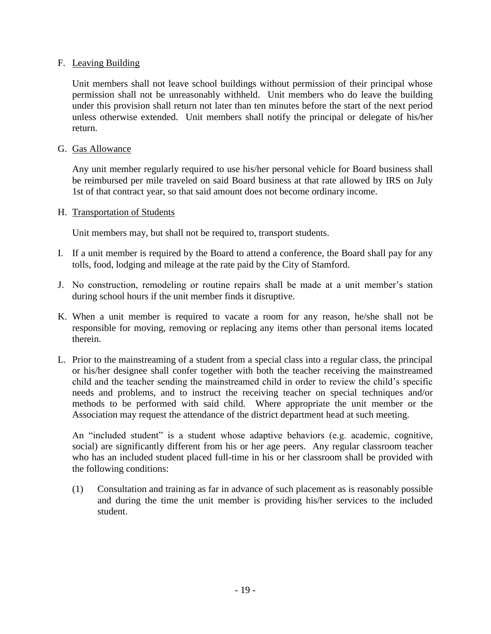#### F. Leaving Building

Unit members shall not leave school buildings without permission of their principal whose permission shall not be unreasonably withheld. Unit members who do leave the building under this provision shall return not later than ten minutes before the start of the next period unless otherwise extended. Unit members shall notify the principal or delegate of his/her return.

#### G. Gas Allowance

Any unit member regularly required to use his/her personal vehicle for Board business shall be reimbursed per mile traveled on said Board business at that rate allowed by IRS on July 1st of that contract year, so that said amount does not become ordinary income.

#### H. Transportation of Students

Unit members may, but shall not be required to, transport students.

- I. If a unit member is required by the Board to attend a conference, the Board shall pay for any tolls, food, lodging and mileage at the rate paid by the City of Stamford.
- J. No construction, remodeling or routine repairs shall be made at a unit member's station during school hours if the unit member finds it disruptive.
- K. When a unit member is required to vacate a room for any reason, he/she shall not be responsible for moving, removing or replacing any items other than personal items located therein.
- L. Prior to the mainstreaming of a student from a special class into a regular class, the principal or his/her designee shall confer together with both the teacher receiving the mainstreamed child and the teacher sending the mainstreamed child in order to review the child's specific needs and problems, and to instruct the receiving teacher on special techniques and/or methods to be performed with said child. Where appropriate the unit member or the Association may request the attendance of the district department head at such meeting.

An "included student" is a student whose adaptive behaviors (e.g. academic, cognitive, social) are significantly different from his or her age peers. Any regular classroom teacher who has an included student placed full-time in his or her classroom shall be provided with the following conditions:

(1) Consultation and training as far in advance of such placement as is reasonably possible and during the time the unit member is providing his/her services to the included student.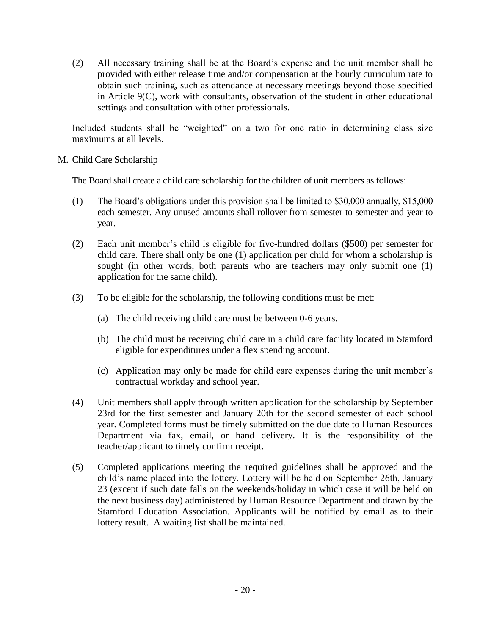(2) All necessary training shall be at the Board's expense and the unit member shall be provided with either release time and/or compensation at the hourly curriculum rate to obtain such training, such as attendance at necessary meetings beyond those specified in Article 9(C), work with consultants, observation of the student in other educational settings and consultation with other professionals.

Included students shall be "weighted" on a two for one ratio in determining class size maximums at all levels.

#### M. Child Care Scholarship

The Board shall create a child care scholarship for the children of unit members as follows:

- (1) The Board's obligations under this provision shall be limited to \$30,000 annually, \$15,000 each semester. Any unused amounts shall rollover from semester to semester and year to year.
- (2) Each unit member's child is eligible for five-hundred dollars (\$500) per semester for child care. There shall only be one (1) application per child for whom a scholarship is sought (in other words, both parents who are teachers may only submit one (1) application for the same child).
- (3) To be eligible for the scholarship, the following conditions must be met:
	- (a) The child receiving child care must be between 0-6 years.
	- (b) The child must be receiving child care in a child care facility located in Stamford eligible for expenditures under a flex spending account.
	- (c) Application may only be made for child care expenses during the unit member's contractual workday and school year.
- (4) Unit members shall apply through written application for the scholarship by September 23rd for the first semester and January 20th for the second semester of each school year. Completed forms must be timely submitted on the due date to Human Resources Department via fax, email, or hand delivery. It is the responsibility of the teacher/applicant to timely confirm receipt.
- (5) Completed applications meeting the required guidelines shall be approved and the child's name placed into the lottery. Lottery will be held on September 26th, January 23 (except if such date falls on the weekends/holiday in which case it will be held on the next business day) administered by Human Resource Department and drawn by the Stamford Education Association. Applicants will be notified by email as to their lottery result. A waiting list shall be maintained.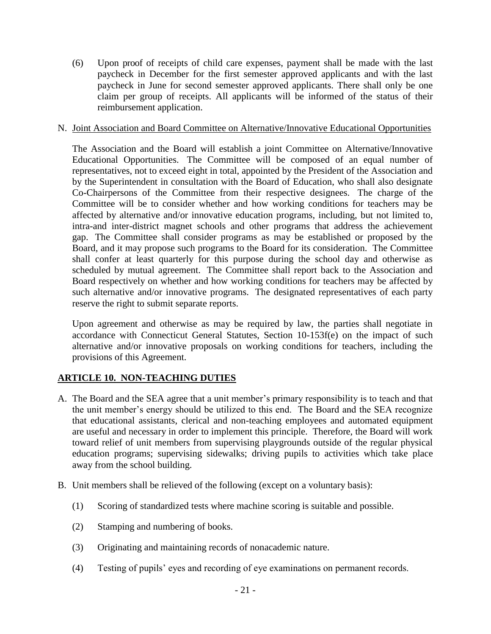(6) Upon proof of receipts of child care expenses, payment shall be made with the last paycheck in December for the first semester approved applicants and with the last paycheck in June for second semester approved applicants. There shall only be one claim per group of receipts. All applicants will be informed of the status of their reimbursement application.

#### N. Joint Association and Board Committee on Alternative/Innovative Educational Opportunities

The Association and the Board will establish a joint Committee on Alternative/Innovative Educational Opportunities. The Committee will be composed of an equal number of representatives, not to exceed eight in total, appointed by the President of the Association and by the Superintendent in consultation with the Board of Education, who shall also designate Co-Chairpersons of the Committee from their respective designees. The charge of the Committee will be to consider whether and how working conditions for teachers may be affected by alternative and/or innovative education programs, including, but not limited to, intra-and inter-district magnet schools and other programs that address the achievement gap. The Committee shall consider programs as may be established or proposed by the Board, and it may propose such programs to the Board for its consideration. The Committee shall confer at least quarterly for this purpose during the school day and otherwise as scheduled by mutual agreement. The Committee shall report back to the Association and Board respectively on whether and how working conditions for teachers may be affected by such alternative and/or innovative programs. The designated representatives of each party reserve the right to submit separate reports.

Upon agreement and otherwise as may be required by law, the parties shall negotiate in accordance with Connecticut General Statutes, Section 10-153f(e) on the impact of such alternative and/or innovative proposals on working conditions for teachers, including the provisions of this Agreement.

### **ARTICLE 10. NON-TEACHING DUTIES**

- A. The Board and the SEA agree that a unit member's primary responsibility is to teach and that the unit member's energy should be utilized to this end. The Board and the SEA recognize that educational assistants, clerical and non-teaching employees and automated equipment are useful and necessary in order to implement this principle. Therefore, the Board will work toward relief of unit members from supervising playgrounds outside of the regular physical education programs; supervising sidewalks; driving pupils to activities which take place away from the school building.
- B. Unit members shall be relieved of the following (except on a voluntary basis):
	- (1) Scoring of standardized tests where machine scoring is suitable and possible.
	- (2) Stamping and numbering of books.
	- (3) Originating and maintaining records of nonacademic nature.
	- (4) Testing of pupils' eyes and recording of eye examinations on permanent records.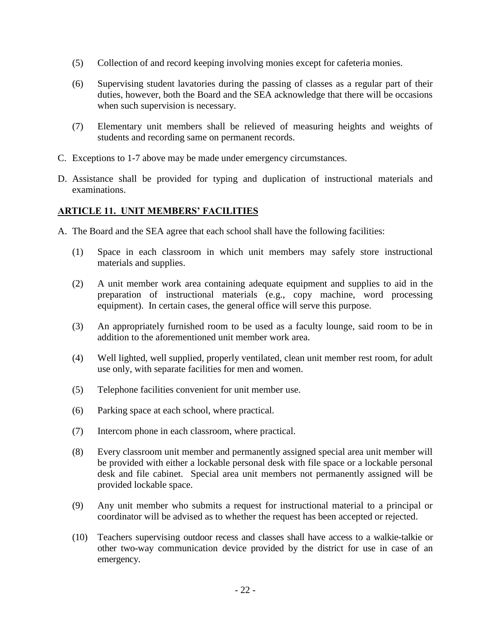- (5) Collection of and record keeping involving monies except for cafeteria monies.
- (6) Supervising student lavatories during the passing of classes as a regular part of their duties, however, both the Board and the SEA acknowledge that there will be occasions when such supervision is necessary.
- (7) Elementary unit members shall be relieved of measuring heights and weights of students and recording same on permanent records.
- C. Exceptions to 1-7 above may be made under emergency circumstances.
- D. Assistance shall be provided for typing and duplication of instructional materials and examinations.

# **ARTICLE 11. UNIT MEMBERS' FACILITIES**

- A. The Board and the SEA agree that each school shall have the following facilities:
	- (1) Space in each classroom in which unit members may safely store instructional materials and supplies.
	- (2) A unit member work area containing adequate equipment and supplies to aid in the preparation of instructional materials (e.g., copy machine, word processing equipment). In certain cases, the general office will serve this purpose.
	- (3) An appropriately furnished room to be used as a faculty lounge, said room to be in addition to the aforementioned unit member work area.
	- (4) Well lighted, well supplied, properly ventilated, clean unit member rest room, for adult use only, with separate facilities for men and women.
	- (5) Telephone facilities convenient for unit member use.
	- (6) Parking space at each school, where practical.
	- (7) Intercom phone in each classroom, where practical.
	- (8) Every classroom unit member and permanently assigned special area unit member will be provided with either a lockable personal desk with file space or a lockable personal desk and file cabinet. Special area unit members not permanently assigned will be provided lockable space.
	- (9) Any unit member who submits a request for instructional material to a principal or coordinator will be advised as to whether the request has been accepted or rejected.
	- (10) Teachers supervising outdoor recess and classes shall have access to a walkie-talkie or other two-way communication device provided by the district for use in case of an emergency.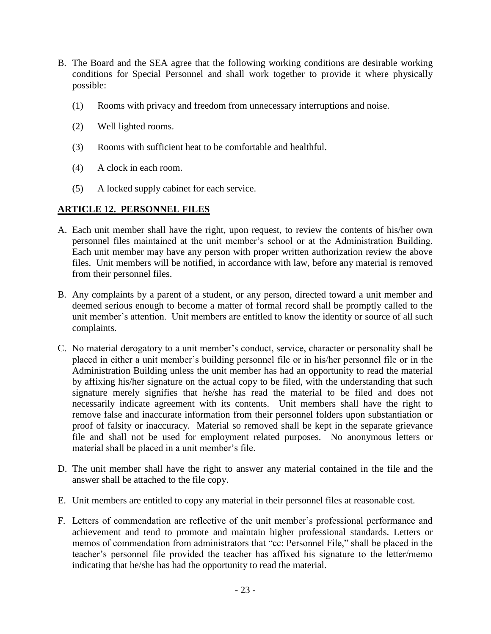- B. The Board and the SEA agree that the following working conditions are desirable working conditions for Special Personnel and shall work together to provide it where physically possible:
	- (1) Rooms with privacy and freedom from unnecessary interruptions and noise.
	- (2) Well lighted rooms.
	- (3) Rooms with sufficient heat to be comfortable and healthful.
	- (4) A clock in each room.
	- (5) A locked supply cabinet for each service.

#### **ARTICLE 12. PERSONNEL FILES**

- A. Each unit member shall have the right, upon request, to review the contents of his/her own personnel files maintained at the unit member's school or at the Administration Building. Each unit member may have any person with proper written authorization review the above files. Unit members will be notified, in accordance with law, before any material is removed from their personnel files.
- B. Any complaints by a parent of a student, or any person, directed toward a unit member and deemed serious enough to become a matter of formal record shall be promptly called to the unit member's attention. Unit members are entitled to know the identity or source of all such complaints.
- C. No material derogatory to a unit member's conduct, service, character or personality shall be placed in either a unit member's building personnel file or in his/her personnel file or in the Administration Building unless the unit member has had an opportunity to read the material by affixing his/her signature on the actual copy to be filed, with the understanding that such signature merely signifies that he/she has read the material to be filed and does not necessarily indicate agreement with its contents. Unit members shall have the right to remove false and inaccurate information from their personnel folders upon substantiation or proof of falsity or inaccuracy. Material so removed shall be kept in the separate grievance file and shall not be used for employment related purposes. No anonymous letters or material shall be placed in a unit member's file.
- D. The unit member shall have the right to answer any material contained in the file and the answer shall be attached to the file copy.
- E. Unit members are entitled to copy any material in their personnel files at reasonable cost.
- F. Letters of commendation are reflective of the unit member's professional performance and achievement and tend to promote and maintain higher professional standards. Letters or memos of commendation from administrators that "cc: Personnel File," shall be placed in the teacher's personnel file provided the teacher has affixed his signature to the letter/memo indicating that he/she has had the opportunity to read the material.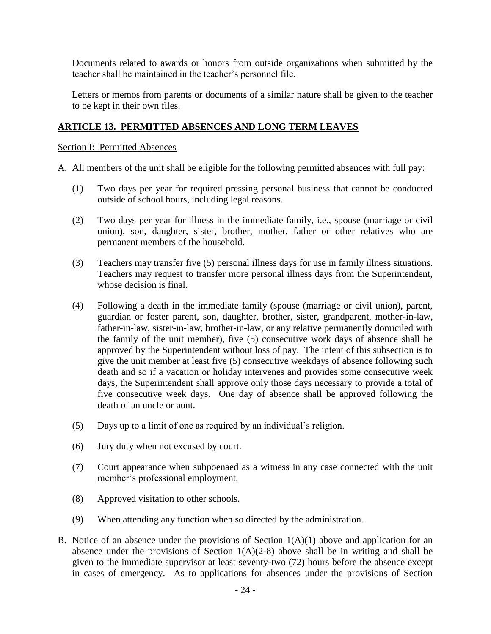Documents related to awards or honors from outside organizations when submitted by the teacher shall be maintained in the teacher's personnel file.

Letters or memos from parents or documents of a similar nature shall be given to the teacher to be kept in their own files.

# **ARTICLE 13. PERMITTED ABSENCES AND LONG TERM LEAVES**

#### Section I: Permitted Absences

- A. All members of the unit shall be eligible for the following permitted absences with full pay:
	- (1) Two days per year for required pressing personal business that cannot be conducted outside of school hours, including legal reasons.
	- (2) Two days per year for illness in the immediate family, i.e., spouse (marriage or civil union), son, daughter, sister, brother, mother, father or other relatives who are permanent members of the household.
	- (3) Teachers may transfer five (5) personal illness days for use in family illness situations. Teachers may request to transfer more personal illness days from the Superintendent, whose decision is final.
	- (4) Following a death in the immediate family (spouse (marriage or civil union), parent, guardian or foster parent, son, daughter, brother, sister, grandparent, mother-in-law, father-in-law, sister-in-law, brother-in-law, or any relative permanently domiciled with the family of the unit member), five (5) consecutive work days of absence shall be approved by the Superintendent without loss of pay. The intent of this subsection is to give the unit member at least five (5) consecutive weekdays of absence following such death and so if a vacation or holiday intervenes and provides some consecutive week days, the Superintendent shall approve only those days necessary to provide a total of five consecutive week days. One day of absence shall be approved following the death of an uncle or aunt.
	- (5) Days up to a limit of one as required by an individual's religion.
	- (6) Jury duty when not excused by court.
	- (7) Court appearance when subpoenaed as a witness in any case connected with the unit member's professional employment.
	- (8) Approved visitation to other schools.
	- (9) When attending any function when so directed by the administration.
- B. Notice of an absence under the provisions of Section  $1(A)(1)$  above and application for an absence under the provisions of Section  $1(A)(2-8)$  above shall be in writing and shall be given to the immediate supervisor at least seventy-two (72) hours before the absence except in cases of emergency. As to applications for absences under the provisions of Section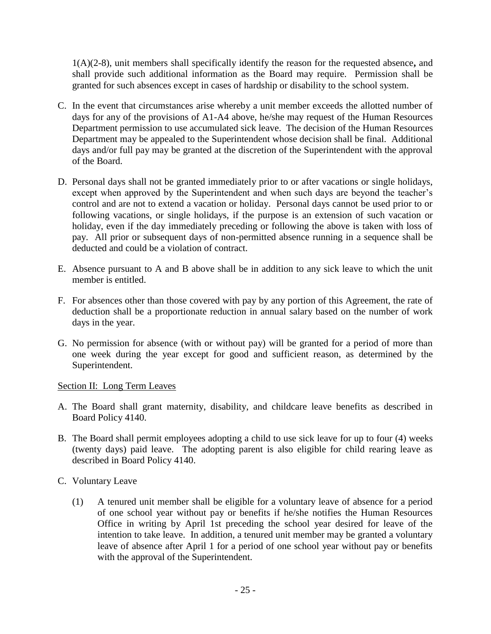1(A)(2-8), unit members shall specifically identify the reason for the requested absence**,** and shall provide such additional information as the Board may require. Permission shall be granted for such absences except in cases of hardship or disability to the school system.

- C. In the event that circumstances arise whereby a unit member exceeds the allotted number of days for any of the provisions of A1-A4 above, he/she may request of the Human Resources Department permission to use accumulated sick leave. The decision of the Human Resources Department may be appealed to the Superintendent whose decision shall be final. Additional days and/or full pay may be granted at the discretion of the Superintendent with the approval of the Board.
- D. Personal days shall not be granted immediately prior to or after vacations or single holidays, except when approved by the Superintendent and when such days are beyond the teacher's control and are not to extend a vacation or holiday. Personal days cannot be used prior to or following vacations, or single holidays, if the purpose is an extension of such vacation or holiday, even if the day immediately preceding or following the above is taken with loss of pay. All prior or subsequent days of non-permitted absence running in a sequence shall be deducted and could be a violation of contract.
- E. Absence pursuant to A and B above shall be in addition to any sick leave to which the unit member is entitled.
- F. For absences other than those covered with pay by any portion of this Agreement, the rate of deduction shall be a proportionate reduction in annual salary based on the number of work days in the year.
- G. No permission for absence (with or without pay) will be granted for a period of more than one week during the year except for good and sufficient reason, as determined by the Superintendent.

### Section II: Long Term Leaves

- A. The Board shall grant maternity, disability, and childcare leave benefits as described in Board Policy 4140.
- B. The Board shall permit employees adopting a child to use sick leave for up to four (4) weeks (twenty days) paid leave. The adopting parent is also eligible for child rearing leave as described in Board Policy 4140.
- C. Voluntary Leave
	- (1) A tenured unit member shall be eligible for a voluntary leave of absence for a period of one school year without pay or benefits if he/she notifies the Human Resources Office in writing by April 1st preceding the school year desired for leave of the intention to take leave. In addition, a tenured unit member may be granted a voluntary leave of absence after April 1 for a period of one school year without pay or benefits with the approval of the Superintendent.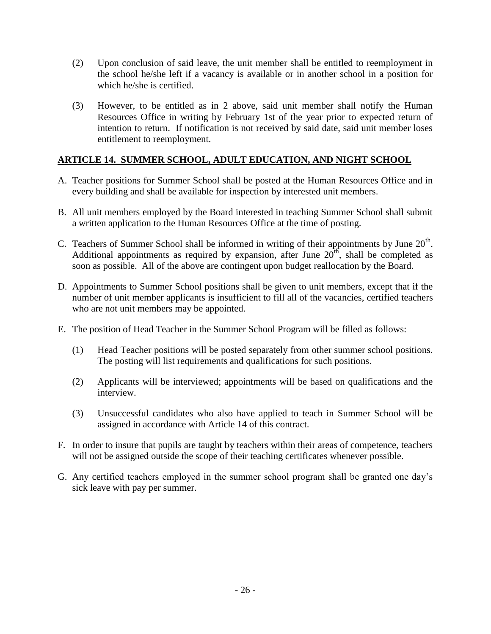- (2) Upon conclusion of said leave, the unit member shall be entitled to reemployment in the school he/she left if a vacancy is available or in another school in a position for which he/she is certified.
- (3) However, to be entitled as in 2 above, said unit member shall notify the Human Resources Office in writing by February 1st of the year prior to expected return of intention to return. If notification is not received by said date, said unit member loses entitlement to reemployment.

# **ARTICLE 14. SUMMER SCHOOL, ADULT EDUCATION, AND NIGHT SCHOOL**

- A. Teacher positions for Summer School shall be posted at the Human Resources Office and in every building and shall be available for inspection by interested unit members.
- B. All unit members employed by the Board interested in teaching Summer School shall submit a written application to the Human Resources Office at the time of posting.
- C. Teachers of Summer School shall be informed in writing of their appointments by June  $20<sup>th</sup>$ . Additional appointments as required by expansion, after June  $20<sup>th</sup>$ , shall be completed as soon as possible. All of the above are contingent upon budget reallocation by the Board.
- D. Appointments to Summer School positions shall be given to unit members, except that if the number of unit member applicants is insufficient to fill all of the vacancies, certified teachers who are not unit members may be appointed.
- E. The position of Head Teacher in the Summer School Program will be filled as follows:
	- (1) Head Teacher positions will be posted separately from other summer school positions. The posting will list requirements and qualifications for such positions.
	- (2) Applicants will be interviewed; appointments will be based on qualifications and the interview.
	- (3) Unsuccessful candidates who also have applied to teach in Summer School will be assigned in accordance with Article 14 of this contract.
- F. In order to insure that pupils are taught by teachers within their areas of competence, teachers will not be assigned outside the scope of their teaching certificates whenever possible.
- G. Any certified teachers employed in the summer school program shall be granted one day's sick leave with pay per summer.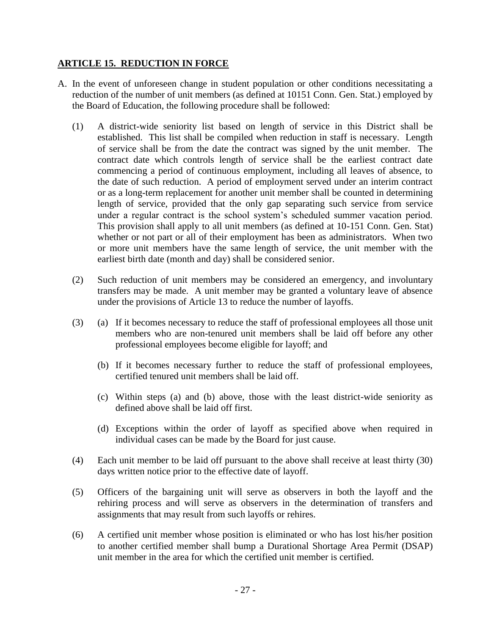# **ARTICLE 15. REDUCTION IN FORCE**

- A. In the event of unforeseen change in student population or other conditions necessitating a reduction of the number of unit members (as defined at 10151 Conn. Gen. Stat.) employed by the Board of Education, the following procedure shall be followed:
	- (1) A district-wide seniority list based on length of service in this District shall be established. This list shall be compiled when reduction in staff is necessary. Length of service shall be from the date the contract was signed by the unit member. The contract date which controls length of service shall be the earliest contract date commencing a period of continuous employment, including all leaves of absence, to the date of such reduction. A period of employment served under an interim contract or as a long-term replacement for another unit member shall be counted in determining length of service, provided that the only gap separating such service from service under a regular contract is the school system's scheduled summer vacation period. This provision shall apply to all unit members (as defined at 10-151 Conn. Gen. Stat) whether or not part or all of their employment has been as administrators. When two or more unit members have the same length of service, the unit member with the earliest birth date (month and day) shall be considered senior.
	- (2) Such reduction of unit members may be considered an emergency, and involuntary transfers may be made. A unit member may be granted a voluntary leave of absence under the provisions of Article 13 to reduce the number of layoffs.
	- (3) (a) If it becomes necessary to reduce the staff of professional employees all those unit members who are non-tenured unit members shall be laid off before any other professional employees become eligible for layoff; and
		- (b) If it becomes necessary further to reduce the staff of professional employees, certified tenured unit members shall be laid off.
		- (c) Within steps (a) and (b) above, those with the least district-wide seniority as defined above shall be laid off first.
		- (d) Exceptions within the order of layoff as specified above when required in individual cases can be made by the Board for just cause.
	- (4) Each unit member to be laid off pursuant to the above shall receive at least thirty (30) days written notice prior to the effective date of layoff.
	- (5) Officers of the bargaining unit will serve as observers in both the layoff and the rehiring process and will serve as observers in the determination of transfers and assignments that may result from such layoffs or rehires.
	- (6) A certified unit member whose position is eliminated or who has lost his/her position to another certified member shall bump a Durational Shortage Area Permit (DSAP) unit member in the area for which the certified unit member is certified.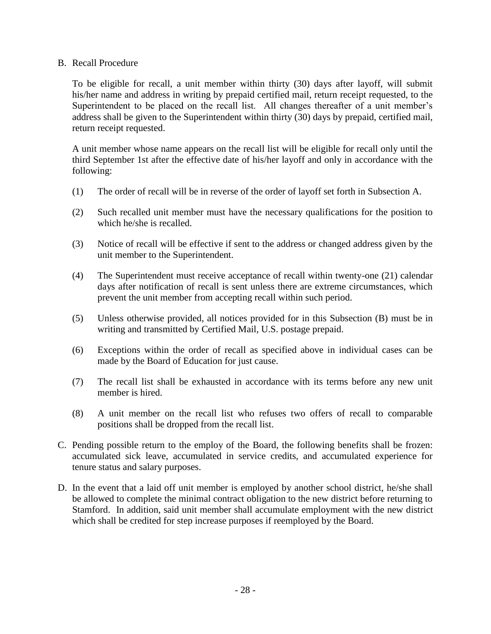#### B. Recall Procedure

To be eligible for recall, a unit member within thirty (30) days after layoff, will submit his/her name and address in writing by prepaid certified mail, return receipt requested, to the Superintendent to be placed on the recall list. All changes thereafter of a unit member's address shall be given to the Superintendent within thirty (30) days by prepaid, certified mail, return receipt requested.

A unit member whose name appears on the recall list will be eligible for recall only until the third September 1st after the effective date of his/her layoff and only in accordance with the following:

- (1) The order of recall will be in reverse of the order of layoff set forth in Subsection A.
- (2) Such recalled unit member must have the necessary qualifications for the position to which he/she is recalled.
- (3) Notice of recall will be effective if sent to the address or changed address given by the unit member to the Superintendent.
- (4) The Superintendent must receive acceptance of recall within twenty-one (21) calendar days after notification of recall is sent unless there are extreme circumstances, which prevent the unit member from accepting recall within such period.
- (5) Unless otherwise provided, all notices provided for in this Subsection (B) must be in writing and transmitted by Certified Mail, U.S. postage prepaid.
- (6) Exceptions within the order of recall as specified above in individual cases can be made by the Board of Education for just cause.
- (7) The recall list shall be exhausted in accordance with its terms before any new unit member is hired.
- (8) A unit member on the recall list who refuses two offers of recall to comparable positions shall be dropped from the recall list.
- C. Pending possible return to the employ of the Board, the following benefits shall be frozen: accumulated sick leave, accumulated in service credits, and accumulated experience for tenure status and salary purposes.
- D. In the event that a laid off unit member is employed by another school district, he/she shall be allowed to complete the minimal contract obligation to the new district before returning to Stamford. In addition, said unit member shall accumulate employment with the new district which shall be credited for step increase purposes if reemployed by the Board.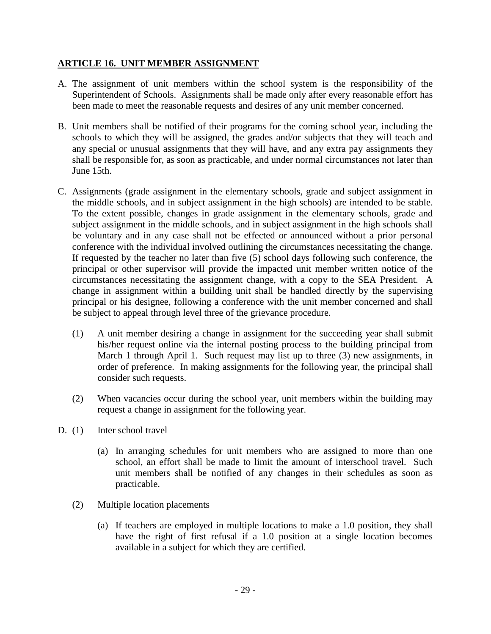### **ARTICLE 16. UNIT MEMBER ASSIGNMENT**

- A. The assignment of unit members within the school system is the responsibility of the Superintendent of Schools. Assignments shall be made only after every reasonable effort has been made to meet the reasonable requests and desires of any unit member concerned.
- B. Unit members shall be notified of their programs for the coming school year, including the schools to which they will be assigned, the grades and/or subjects that they will teach and any special or unusual assignments that they will have, and any extra pay assignments they shall be responsible for, as soon as practicable, and under normal circumstances not later than June 15th.
- C. Assignments (grade assignment in the elementary schools, grade and subject assignment in the middle schools, and in subject assignment in the high schools) are intended to be stable. To the extent possible, changes in grade assignment in the elementary schools, grade and subject assignment in the middle schools, and in subject assignment in the high schools shall be voluntary and in any case shall not be effected or announced without a prior personal conference with the individual involved outlining the circumstances necessitating the change. If requested by the teacher no later than five (5) school days following such conference, the principal or other supervisor will provide the impacted unit member written notice of the circumstances necessitating the assignment change, with a copy to the SEA President. A change in assignment within a building unit shall be handled directly by the supervising principal or his designee, following a conference with the unit member concerned and shall be subject to appeal through level three of the grievance procedure.
	- (1) A unit member desiring a change in assignment for the succeeding year shall submit his/her request online via the internal posting process to the building principal from March 1 through April 1. Such request may list up to three (3) new assignments, in order of preference. In making assignments for the following year, the principal shall consider such requests.
	- (2) When vacancies occur during the school year, unit members within the building may request a change in assignment for the following year.
- D. (1) Inter school travel
	- (a) In arranging schedules for unit members who are assigned to more than one school, an effort shall be made to limit the amount of interschool travel. Such unit members shall be notified of any changes in their schedules as soon as practicable.
	- (2) Multiple location placements
		- (a) If teachers are employed in multiple locations to make a 1.0 position, they shall have the right of first refusal if a 1.0 position at a single location becomes available in a subject for which they are certified.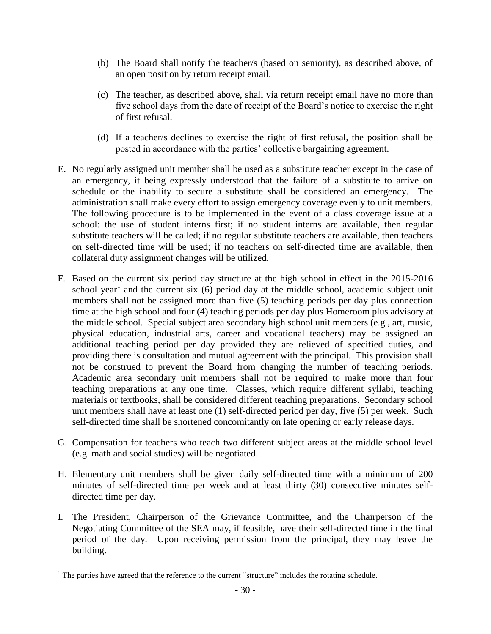- (b) The Board shall notify the teacher/s (based on seniority), as described above, of an open position by return receipt email.
- (c) The teacher, as described above, shall via return receipt email have no more than five school days from the date of receipt of the Board's notice to exercise the right of first refusal.
- (d) If a teacher/s declines to exercise the right of first refusal, the position shall be posted in accordance with the parties' collective bargaining agreement.
- E. No regularly assigned unit member shall be used as a substitute teacher except in the case of an emergency, it being expressly understood that the failure of a substitute to arrive on schedule or the inability to secure a substitute shall be considered an emergency. The administration shall make every effort to assign emergency coverage evenly to unit members. The following procedure is to be implemented in the event of a class coverage issue at a school: the use of student interns first; if no student interns are available, then regular substitute teachers will be called; if no regular substitute teachers are available, then teachers on self-directed time will be used; if no teachers on self-directed time are available, then collateral duty assignment changes will be utilized*.*
- F. Based on the current six period day structure at the high school in effect in the 2015-2016 school year<sup>1</sup> and the current six  $(6)$  period day at the middle school, academic subject unit members shall not be assigned more than five (5) teaching periods per day plus connection time at the high school and four (4) teaching periods per day plus Homeroom plus advisory at the middle school. Special subject area secondary high school unit members (e.g., art, music, physical education, industrial arts, career and vocational teachers) may be assigned an additional teaching period per day provided they are relieved of specified duties, and providing there is consultation and mutual agreement with the principal. This provision shall not be construed to prevent the Board from changing the number of teaching periods. Academic area secondary unit members shall not be required to make more than four teaching preparations at any one time. Classes, which require different syllabi, teaching materials or textbooks, shall be considered different teaching preparations. Secondary school unit members shall have at least one (1) self-directed period per day, five (5) per week. Such self-directed time shall be shortened concomitantly on late opening or early release days.
- G. Compensation for teachers who teach two different subject areas at the middle school level (e.g. math and social studies) will be negotiated.
- H. Elementary unit members shall be given daily self-directed time with a minimum of 200 minutes of self-directed time per week and at least thirty (30) consecutive minutes selfdirected time per day.
- I. The President, Chairperson of the Grievance Committee, and the Chairperson of the Negotiating Committee of the SEA may, if feasible, have their self-directed time in the final period of the day. Upon receiving permission from the principal, they may leave the building.

 $\overline{a}$ 

 $<sup>1</sup>$  The parties have agreed that the reference to the current "structure" includes the rotating schedule.</sup>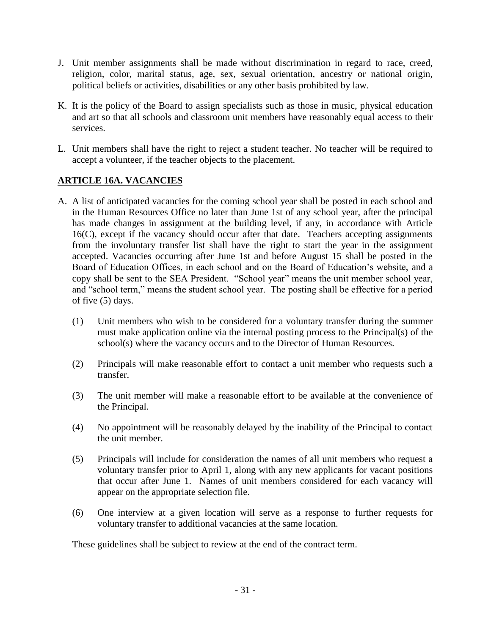- J. Unit member assignments shall be made without discrimination in regard to race, creed, religion, color, marital status, age, sex, sexual orientation, ancestry or national origin, political beliefs or activities, disabilities or any other basis prohibited by law.
- K. It is the policy of the Board to assign specialists such as those in music, physical education and art so that all schools and classroom unit members have reasonably equal access to their services.
- L. Unit members shall have the right to reject a student teacher. No teacher will be required to accept a volunteer, if the teacher objects to the placement.

# **ARTICLE 16A. VACANCIES**

- A. A list of anticipated vacancies for the coming school year shall be posted in each school and in the Human Resources Office no later than June 1st of any school year, after the principal has made changes in assignment at the building level, if any, in accordance with Article 16(C), except if the vacancy should occur after that date. Teachers accepting assignments from the involuntary transfer list shall have the right to start the year in the assignment accepted. Vacancies occurring after June 1st and before August 15 shall be posted in the Board of Education Offices, in each school and on the Board of Education's website, and a copy shall be sent to the SEA President. "School year" means the unit member school year, and "school term," means the student school year. The posting shall be effective for a period of five (5) days.
	- (1) Unit members who wish to be considered for a voluntary transfer during the summer must make application online via the internal posting process to the Principal(s) of the school(s) where the vacancy occurs and to the Director of Human Resources.
	- (2) Principals will make reasonable effort to contact a unit member who requests such a transfer.
	- (3) The unit member will make a reasonable effort to be available at the convenience of the Principal.
	- (4) No appointment will be reasonably delayed by the inability of the Principal to contact the unit member.
	- (5) Principals will include for consideration the names of all unit members who request a voluntary transfer prior to April 1, along with any new applicants for vacant positions that occur after June 1. Names of unit members considered for each vacancy will appear on the appropriate selection file.
	- (6) One interview at a given location will serve as a response to further requests for voluntary transfer to additional vacancies at the same location.

These guidelines shall be subject to review at the end of the contract term.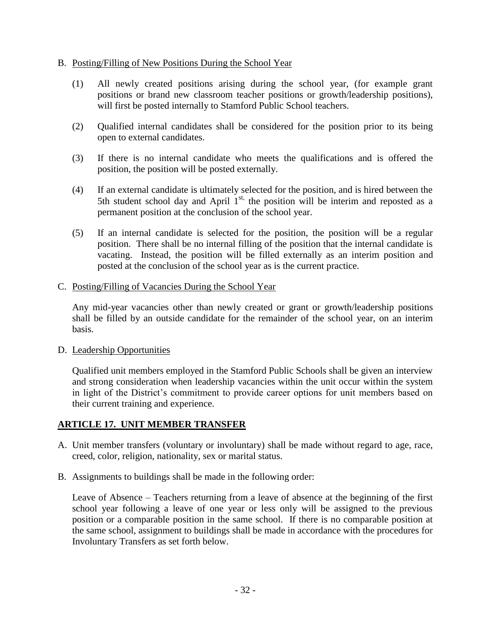#### B. Posting/Filling of New Positions During the School Year

- (1) All newly created positions arising during the school year, (for example grant positions or brand new classroom teacher positions or growth/leadership positions), will first be posted internally to Stamford Public School teachers.
- (2) Qualified internal candidates shall be considered for the position prior to its being open to external candidates.
- (3) If there is no internal candidate who meets the qualifications and is offered the position, the position will be posted externally.
- (4) If an external candidate is ultimately selected for the position, and is hired between the 5th student school day and April  $1<sup>st</sup>$ , the position will be interim and reposted as a permanent position at the conclusion of the school year.
- (5) If an internal candidate is selected for the position, the position will be a regular position. There shall be no internal filling of the position that the internal candidate is vacating. Instead, the position will be filled externally as an interim position and posted at the conclusion of the school year as is the current practice.

#### C. Posting/Filling of Vacancies During the School Year

Any mid-year vacancies other than newly created or grant or growth/leadership positions shall be filled by an outside candidate for the remainder of the school year, on an interim basis.

### D. Leadership Opportunities

Qualified unit members employed in the Stamford Public Schools shall be given an interview and strong consideration when leadership vacancies within the unit occur within the system in light of the District's commitment to provide career options for unit members based on their current training and experience.

### **ARTICLE 17. UNIT MEMBER TRANSFER**

- A. Unit member transfers (voluntary or involuntary) shall be made without regard to age, race, creed, color, religion, nationality, sex or marital status.
- B. Assignments to buildings shall be made in the following order:

Leave of Absence – Teachers returning from a leave of absence at the beginning of the first school year following a leave of one year or less only will be assigned to the previous position or a comparable position in the same school. If there is no comparable position at the same school, assignment to buildings shall be made in accordance with the procedures for Involuntary Transfers as set forth below.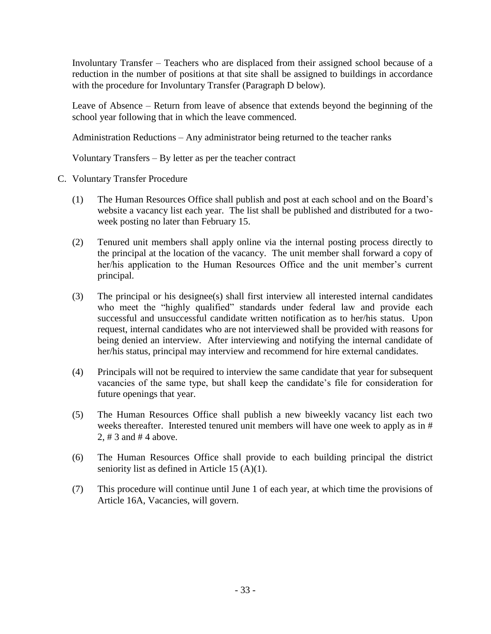Involuntary Transfer – Teachers who are displaced from their assigned school because of a reduction in the number of positions at that site shall be assigned to buildings in accordance with the procedure for Involuntary Transfer (Paragraph D below).

Leave of Absence – Return from leave of absence that extends beyond the beginning of the school year following that in which the leave commenced.

Administration Reductions – Any administrator being returned to the teacher ranks

Voluntary Transfers – By letter as per the teacher contract

- C. Voluntary Transfer Procedure
	- (1) The Human Resources Office shall publish and post at each school and on the Board's website a vacancy list each year. The list shall be published and distributed for a twoweek posting no later than February 15.
	- (2) Tenured unit members shall apply online via the internal posting process directly to the principal at the location of the vacancy. The unit member shall forward a copy of her/his application to the Human Resources Office and the unit member's current principal.
	- (3) The principal or his designee(s) shall first interview all interested internal candidates who meet the "highly qualified" standards under federal law and provide each successful and unsuccessful candidate written notification as to her/his status. Upon request, internal candidates who are not interviewed shall be provided with reasons for being denied an interview.After interviewing and notifying the internal candidate of her/his status, principal may interview and recommend for hire external candidates.
	- (4) Principals will not be required to interview the same candidate that year for subsequent vacancies of the same type, but shall keep the candidate's file for consideration for future openings that year.
	- (5) The Human Resources Office shall publish a new biweekly vacancy list each two weeks thereafter. Interested tenured unit members will have one week to apply as in # 2, # 3 and # 4 above.
	- (6) The Human Resources Office shall provide to each building principal the district seniority list as defined in Article 15 (A)(1).
	- (7) This procedure will continue until June 1 of each year, at which time the provisions of Article 16A, Vacancies, will govern.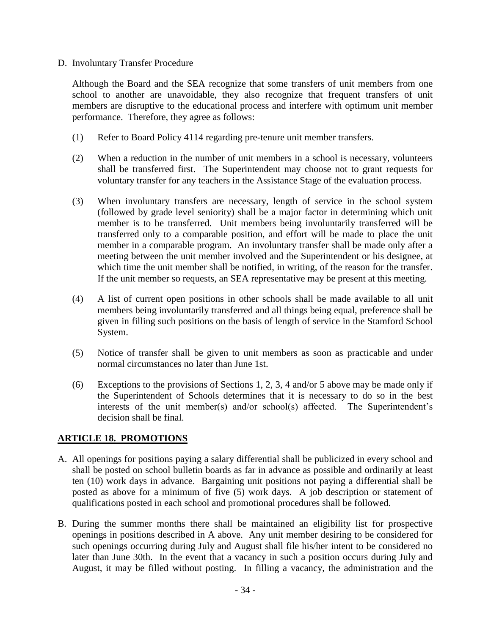#### D. Involuntary Transfer Procedure

Although the Board and the SEA recognize that some transfers of unit members from one school to another are unavoidable, they also recognize that frequent transfers of unit members are disruptive to the educational process and interfere with optimum unit member performance. Therefore, they agree as follows:

- (1) Refer to Board Policy 4114 regarding pre-tenure unit member transfers.
- (2) When a reduction in the number of unit members in a school is necessary, volunteers shall be transferred first. The Superintendent may choose not to grant requests for voluntary transfer for any teachers in the Assistance Stage of the evaluation process.
- (3) When involuntary transfers are necessary, length of service in the school system (followed by grade level seniority) shall be a major factor in determining which unit member is to be transferred. Unit members being involuntarily transferred will be transferred only to a comparable position, and effort will be made to place the unit member in a comparable program. An involuntary transfer shall be made only after a meeting between the unit member involved and the Superintendent or his designee, at which time the unit member shall be notified, in writing, of the reason for the transfer. If the unit member so requests, an SEA representative may be present at this meeting.
- (4) A list of current open positions in other schools shall be made available to all unit members being involuntarily transferred and all things being equal, preference shall be given in filling such positions on the basis of length of service in the Stamford School System.
- (5) Notice of transfer shall be given to unit members as soon as practicable and under normal circumstances no later than June 1st.
- (6) Exceptions to the provisions of Sections 1, 2, 3, 4 and/or 5 above may be made only if the Superintendent of Schools determines that it is necessary to do so in the best interests of the unit member(s) and/or school(s) affected. The Superintendent's decision shall be final.

### **ARTICLE 18. PROMOTIONS**

- A. All openings for positions paying a salary differential shall be publicized in every school and shall be posted on school bulletin boards as far in advance as possible and ordinarily at least ten (10) work days in advance. Bargaining unit positions not paying a differential shall be posted as above for a minimum of five (5) work days. A job description or statement of qualifications posted in each school and promotional procedures shall be followed.
- B. During the summer months there shall be maintained an eligibility list for prospective openings in positions described in A above. Any unit member desiring to be considered for such openings occurring during July and August shall file his/her intent to be considered no later than June 30th. In the event that a vacancy in such a position occurs during July and August, it may be filled without posting. In filling a vacancy, the administration and the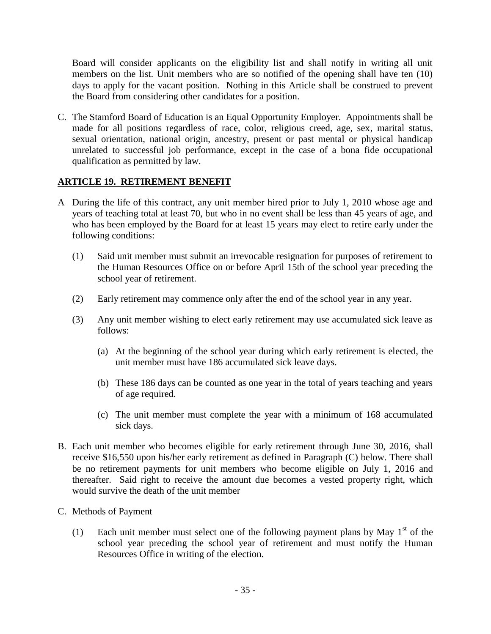Board will consider applicants on the eligibility list and shall notify in writing all unit members on the list. Unit members who are so notified of the opening shall have ten (10) days to apply for the vacant position. Nothing in this Article shall be construed to prevent the Board from considering other candidates for a position.

C. The Stamford Board of Education is an Equal Opportunity Employer. Appointments shall be made for all positions regardless of race, color, religious creed, age, sex, marital status, sexual orientation, national origin, ancestry, present or past mental or physical handicap unrelated to successful job performance, except in the case of a bona fide occupational qualification as permitted by law.

### **ARTICLE 19. RETIREMENT BENEFIT**

- A During the life of this contract, any unit member hired prior to July 1, 2010 whose age and years of teaching total at least 70, but who in no event shall be less than 45 years of age, and who has been employed by the Board for at least 15 years may elect to retire early under the following conditions:
	- (1) Said unit member must submit an irrevocable resignation for purposes of retirement to the Human Resources Office on or before April 15th of the school year preceding the school year of retirement.
	- (2) Early retirement may commence only after the end of the school year in any year.
	- (3) Any unit member wishing to elect early retirement may use accumulated sick leave as follows:
		- (a) At the beginning of the school year during which early retirement is elected, the unit member must have 186 accumulated sick leave days.
		- (b) These 186 days can be counted as one year in the total of years teaching and years of age required.
		- (c) The unit member must complete the year with a minimum of 168 accumulated sick days.
- B. Each unit member who becomes eligible for early retirement through June 30, 2016, shall receive \$16,550 upon his/her early retirement as defined in Paragraph (C) below. There shall be no retirement payments for unit members who become eligible on July 1, 2016 and thereafter. Said right to receive the amount due becomes a vested property right, which would survive the death of the unit member
- C. Methods of Payment
	- (1) Each unit member must select one of the following payment plans by May  $1<sup>st</sup>$  of the school year preceding the school year of retirement and must notify the Human Resources Office in writing of the election.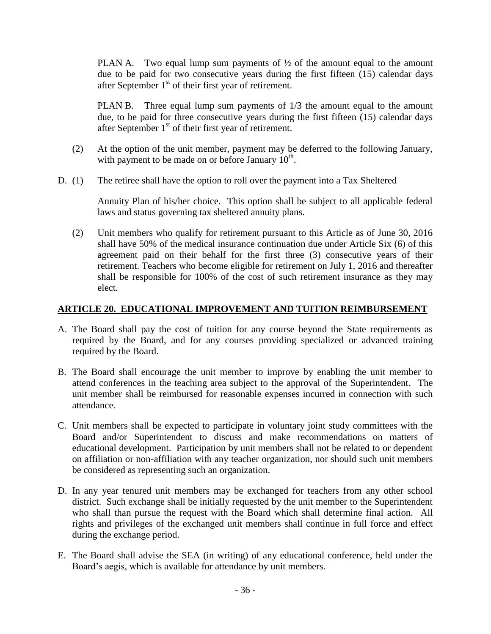PLAN A. Two equal lump sum payments of  $\frac{1}{2}$  of the amount equal to the amount due to be paid for two consecutive years during the first fifteen (15) calendar days after September  $1<sup>st</sup>$  of their first year of retirement.

PLAN B. Three equal lump sum payments of 1/3 the amount equal to the amount due, to be paid for three consecutive years during the first fifteen (15) calendar days after September  $1<sup>st</sup>$  of their first year of retirement.

- (2) At the option of the unit member, payment may be deferred to the following January, with payment to be made on or before January  $10^{th}$ .
- D. (1) The retiree shall have the option to roll over the payment into a Tax Sheltered

Annuity Plan of his/her choice. This option shall be subject to all applicable federal laws and status governing tax sheltered annuity plans.

(2) Unit members who qualify for retirement pursuant to this Article as of June 30, 2016 shall have 50% of the medical insurance continuation due under Article Six (6) of this agreement paid on their behalf for the first three (3) consecutive years of their retirement. Teachers who become eligible for retirement on July 1, 2016 and thereafter shall be responsible for 100% of the cost of such retirement insurance as they may elect.

### **ARTICLE 20. EDUCATIONAL IMPROVEMENT AND TUITION REIMBURSEMENT**

- A. The Board shall pay the cost of tuition for any course beyond the State requirements as required by the Board, and for any courses providing specialized or advanced training required by the Board.
- B. The Board shall encourage the unit member to improve by enabling the unit member to attend conferences in the teaching area subject to the approval of the Superintendent. The unit member shall be reimbursed for reasonable expenses incurred in connection with such attendance.
- C. Unit members shall be expected to participate in voluntary joint study committees with the Board and/or Superintendent to discuss and make recommendations on matters of educational development. Participation by unit members shall not be related to or dependent on affiliation or non-affiliation with any teacher organization, nor should such unit members be considered as representing such an organization.
- D. In any year tenured unit members may be exchanged for teachers from any other school district. Such exchange shall be initially requested by the unit member to the Superintendent who shall than pursue the request with the Board which shall determine final action. All rights and privileges of the exchanged unit members shall continue in full force and effect during the exchange period.
- E. The Board shall advise the SEA (in writing) of any educational conference, held under the Board's aegis, which is available for attendance by unit members.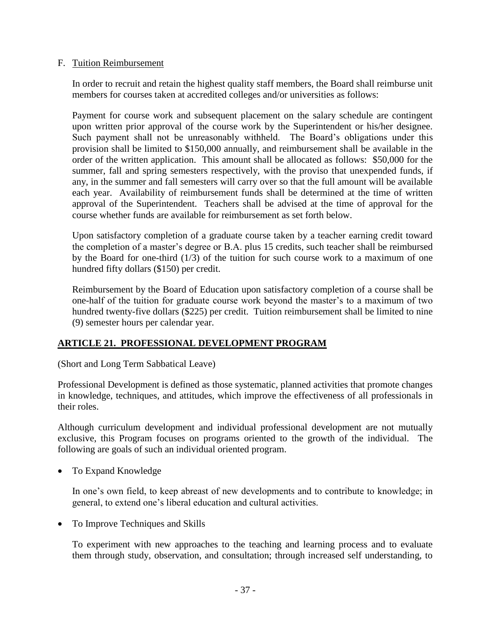#### F. Tuition Reimbursement

In order to recruit and retain the highest quality staff members, the Board shall reimburse unit members for courses taken at accredited colleges and/or universities as follows:

Payment for course work and subsequent placement on the salary schedule are contingent upon written prior approval of the course work by the Superintendent or his/her designee. Such payment shall not be unreasonably withheld. The Board's obligations under this provision shall be limited to \$150,000 annually, and reimbursement shall be available in the order of the written application. This amount shall be allocated as follows: \$50,000 for the summer, fall and spring semesters respectively, with the proviso that unexpended funds, if any, in the summer and fall semesters will carry over so that the full amount will be available each year. Availability of reimbursement funds shall be determined at the time of written approval of the Superintendent. Teachers shall be advised at the time of approval for the course whether funds are available for reimbursement as set forth below.

Upon satisfactory completion of a graduate course taken by a teacher earning credit toward the completion of a master's degree or B.A. plus 15 credits, such teacher shall be reimbursed by the Board for one-third (1/3) of the tuition for such course work to a maximum of one hundred fifty dollars (\$150) per credit.

Reimbursement by the Board of Education upon satisfactory completion of a course shall be one-half of the tuition for graduate course work beyond the master's to a maximum of two hundred twenty-five dollars (\$225) per credit. Tuition reimbursement shall be limited to nine (9) semester hours per calendar year.

# **ARTICLE 21. PROFESSIONAL DEVELOPMENT PROGRAM**

(Short and Long Term Sabbatical Leave)

Professional Development is defined as those systematic, planned activities that promote changes in knowledge, techniques, and attitudes, which improve the effectiveness of all professionals in their roles.

Although curriculum development and individual professional development are not mutually exclusive, this Program focuses on programs oriented to the growth of the individual. The following are goals of such an individual oriented program.

To Expand Knowledge

In one's own field, to keep abreast of new developments and to contribute to knowledge; in general, to extend one's liberal education and cultural activities.

• To Improve Techniques and Skills

To experiment with new approaches to the teaching and learning process and to evaluate them through study, observation, and consultation; through increased self understanding, to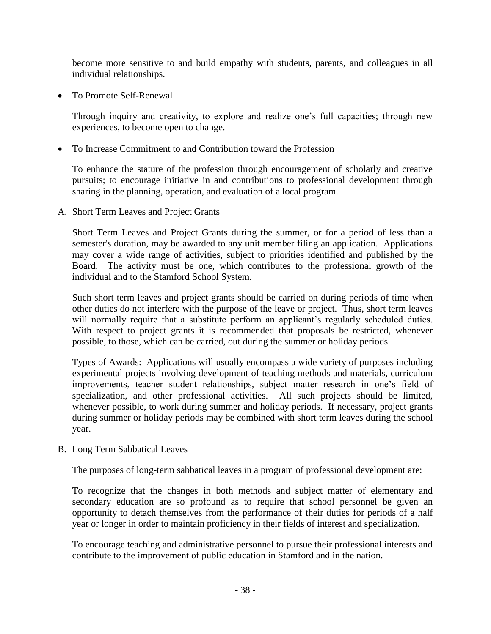become more sensitive to and build empathy with students, parents, and colleagues in all individual relationships.

To Promote Self-Renewal

Through inquiry and creativity, to explore and realize one's full capacities; through new experiences, to become open to change.

To Increase Commitment to and Contribution toward the Profession

To enhance the stature of the profession through encouragement of scholarly and creative pursuits; to encourage initiative in and contributions to professional development through sharing in the planning, operation, and evaluation of a local program.

A. Short Term Leaves and Project Grants

Short Term Leaves and Project Grants during the summer, or for a period of less than a semester's duration, may be awarded to any unit member filing an application. Applications may cover a wide range of activities, subject to priorities identified and published by the Board. The activity must be one, which contributes to the professional growth of the individual and to the Stamford School System.

Such short term leaves and project grants should be carried on during periods of time when other duties do not interfere with the purpose of the leave or project. Thus, short term leaves will normally require that a substitute perform an applicant's regularly scheduled duties. With respect to project grants it is recommended that proposals be restricted, whenever possible, to those, which can be carried, out during the summer or holiday periods.

Types of Awards: Applications will usually encompass a wide variety of purposes including experimental projects involving development of teaching methods and materials, curriculum improvements, teacher student relationships, subject matter research in one's field of specialization, and other professional activities. All such projects should be limited, whenever possible, to work during summer and holiday periods. If necessary, project grants during summer or holiday periods may be combined with short term leaves during the school year.

B. Long Term Sabbatical Leaves

The purposes of long-term sabbatical leaves in a program of professional development are:

To recognize that the changes in both methods and subject matter of elementary and secondary education are so profound as to require that school personnel be given an opportunity to detach themselves from the performance of their duties for periods of a half year or longer in order to maintain proficiency in their fields of interest and specialization.

To encourage teaching and administrative personnel to pursue their professional interests and contribute to the improvement of public education in Stamford and in the nation.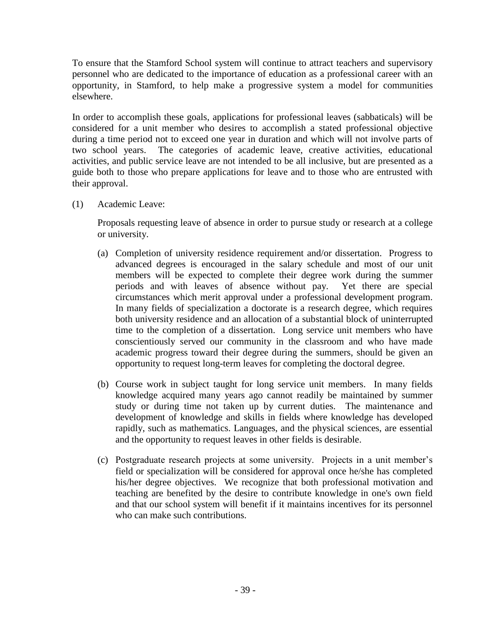To ensure that the Stamford School system will continue to attract teachers and supervisory personnel who are dedicated to the importance of education as a professional career with an opportunity, in Stamford, to help make a progressive system a model for communities elsewhere.

In order to accomplish these goals, applications for professional leaves (sabbaticals) will be considered for a unit member who desires to accomplish a stated professional objective during a time period not to exceed one year in duration and which will not involve parts of two school years. The categories of academic leave, creative activities, educational activities, and public service leave are not intended to be all inclusive, but are presented as a guide both to those who prepare applications for leave and to those who are entrusted with their approval.

(1) Academic Leave:

Proposals requesting leave of absence in order to pursue study or research at a college or university.

- (a) Completion of university residence requirement and/or dissertation. Progress to advanced degrees is encouraged in the salary schedule and most of our unit members will be expected to complete their degree work during the summer periods and with leaves of absence without pay. Yet there are special circumstances which merit approval under a professional development program. In many fields of specialization a doctorate is a research degree, which requires both university residence and an allocation of a substantial block of uninterrupted time to the completion of a dissertation. Long service unit members who have conscientiously served our community in the classroom and who have made academic progress toward their degree during the summers, should be given an opportunity to request long-term leaves for completing the doctoral degree.
- (b) Course work in subject taught for long service unit members. In many fields knowledge acquired many years ago cannot readily be maintained by summer study or during time not taken up by current duties. The maintenance and development of knowledge and skills in fields where knowledge has developed rapidly, such as mathematics. Languages, and the physical sciences, are essential and the opportunity to request leaves in other fields is desirable.
- (c) Postgraduate research projects at some university. Projects in a unit member's field or specialization will be considered for approval once he/she has completed his/her degree objectives. We recognize that both professional motivation and teaching are benefited by the desire to contribute knowledge in one's own field and that our school system will benefit if it maintains incentives for its personnel who can make such contributions.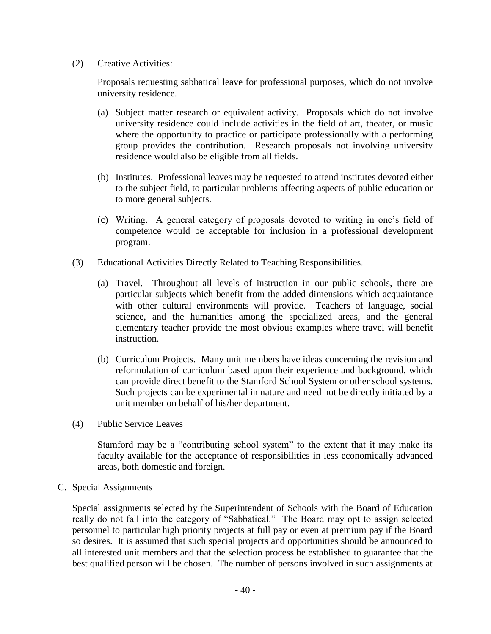(2) Creative Activities:

Proposals requesting sabbatical leave for professional purposes, which do not involve university residence.

- (a) Subject matter research or equivalent activity. Proposals which do not involve university residence could include activities in the field of art, theater, or music where the opportunity to practice or participate professionally with a performing group provides the contribution. Research proposals not involving university residence would also be eligible from all fields.
- (b) Institutes. Professional leaves may be requested to attend institutes devoted either to the subject field, to particular problems affecting aspects of public education or to more general subjects.
- (c) Writing. A general category of proposals devoted to writing in one's field of competence would be acceptable for inclusion in a professional development program.
- (3) Educational Activities Directly Related to Teaching Responsibilities.
	- (a) Travel. Throughout all levels of instruction in our public schools, there are particular subjects which benefit from the added dimensions which acquaintance with other cultural environments will provide. Teachers of language, social science, and the humanities among the specialized areas, and the general elementary teacher provide the most obvious examples where travel will benefit instruction.
	- (b) Curriculum Projects. Many unit members have ideas concerning the revision and reformulation of curriculum based upon their experience and background, which can provide direct benefit to the Stamford School System or other school systems. Such projects can be experimental in nature and need not be directly initiated by a unit member on behalf of his/her department.
- (4) Public Service Leaves

Stamford may be a "contributing school system" to the extent that it may make its faculty available for the acceptance of responsibilities in less economically advanced areas, both domestic and foreign.

C. Special Assignments

Special assignments selected by the Superintendent of Schools with the Board of Education really do not fall into the category of "Sabbatical." The Board may opt to assign selected personnel to particular high priority projects at full pay or even at premium pay if the Board so desires. It is assumed that such special projects and opportunities should be announced to all interested unit members and that the selection process be established to guarantee that the best qualified person will be chosen. The number of persons involved in such assignments at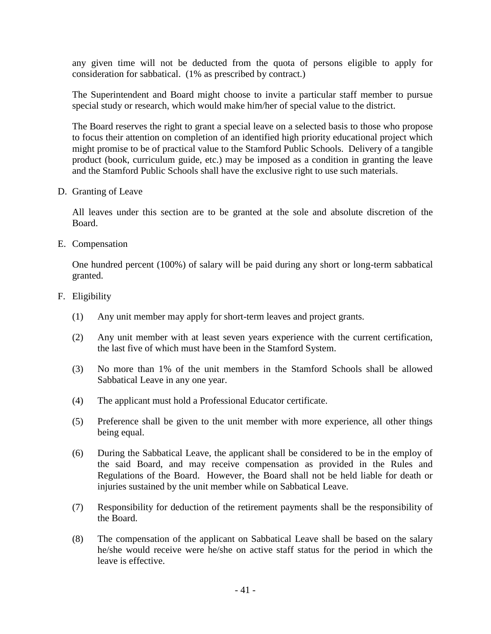any given time will not be deducted from the quota of persons eligible to apply for consideration for sabbatical. (1% as prescribed by contract.)

The Superintendent and Board might choose to invite a particular staff member to pursue special study or research, which would make him/her of special value to the district.

The Board reserves the right to grant a special leave on a selected basis to those who propose to focus their attention on completion of an identified high priority educational project which might promise to be of practical value to the Stamford Public Schools. Delivery of a tangible product (book, curriculum guide, etc.) may be imposed as a condition in granting the leave and the Stamford Public Schools shall have the exclusive right to use such materials.

D. Granting of Leave

All leaves under this section are to be granted at the sole and absolute discretion of the Board.

E. Compensation

One hundred percent (100%) of salary will be paid during any short or long-term sabbatical granted.

- F. Eligibility
	- (1) Any unit member may apply for short-term leaves and project grants.
	- (2) Any unit member with at least seven years experience with the current certification, the last five of which must have been in the Stamford System.
	- (3) No more than 1% of the unit members in the Stamford Schools shall be allowed Sabbatical Leave in any one year.
	- (4) The applicant must hold a Professional Educator certificate.
	- (5) Preference shall be given to the unit member with more experience, all other things being equal.
	- (6) During the Sabbatical Leave, the applicant shall be considered to be in the employ of the said Board, and may receive compensation as provided in the Rules and Regulations of the Board. However, the Board shall not be held liable for death or injuries sustained by the unit member while on Sabbatical Leave.
	- (7) Responsibility for deduction of the retirement payments shall be the responsibility of the Board.
	- (8) The compensation of the applicant on Sabbatical Leave shall be based on the salary he/she would receive were he/she on active staff status for the period in which the leave is effective.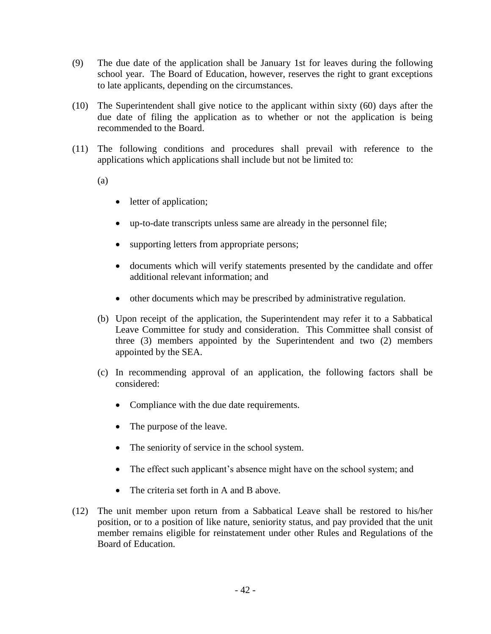- (9) The due date of the application shall be January 1st for leaves during the following school year. The Board of Education, however, reserves the right to grant exceptions to late applicants, depending on the circumstances.
- (10) The Superintendent shall give notice to the applicant within sixty (60) days after the due date of filing the application as to whether or not the application is being recommended to the Board.
- (11) The following conditions and procedures shall prevail with reference to the applications which applications shall include but not be limited to:

(a)

- letter of application;
- up-to-date transcripts unless same are already in the personnel file;
- supporting letters from appropriate persons;
- documents which will verify statements presented by the candidate and offer additional relevant information; and
- other documents which may be prescribed by administrative regulation.
- (b) Upon receipt of the application, the Superintendent may refer it to a Sabbatical Leave Committee for study and consideration. This Committee shall consist of three (3) members appointed by the Superintendent and two (2) members appointed by the SEA.
- (c) In recommending approval of an application, the following factors shall be considered:
	- Compliance with the due date requirements.
	- The purpose of the leave.
	- The seniority of service in the school system.
	- The effect such applicant's absence might have on the school system; and
	- The criteria set forth in A and B above.
- (12) The unit member upon return from a Sabbatical Leave shall be restored to his/her position, or to a position of like nature, seniority status, and pay provided that the unit member remains eligible for reinstatement under other Rules and Regulations of the Board of Education.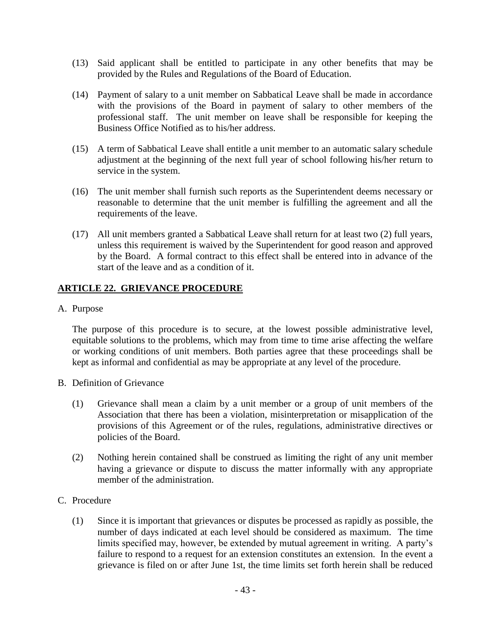- (13) Said applicant shall be entitled to participate in any other benefits that may be provided by the Rules and Regulations of the Board of Education.
- (14) Payment of salary to a unit member on Sabbatical Leave shall be made in accordance with the provisions of the Board in payment of salary to other members of the professional staff. The unit member on leave shall be responsible for keeping the Business Office Notified as to his/her address.
- (15) A term of Sabbatical Leave shall entitle a unit member to an automatic salary schedule adjustment at the beginning of the next full year of school following his/her return to service in the system.
- (16) The unit member shall furnish such reports as the Superintendent deems necessary or reasonable to determine that the unit member is fulfilling the agreement and all the requirements of the leave.
- (17) All unit members granted a Sabbatical Leave shall return for at least two (2) full years, unless this requirement is waived by the Superintendent for good reason and approved by the Board. A formal contract to this effect shall be entered into in advance of the start of the leave and as a condition of it.

### **ARTICLE 22. GRIEVANCE PROCEDURE**

A. Purpose

The purpose of this procedure is to secure, at the lowest possible administrative level, equitable solutions to the problems, which may from time to time arise affecting the welfare or working conditions of unit members. Both parties agree that these proceedings shall be kept as informal and confidential as may be appropriate at any level of the procedure.

- B. Definition of Grievance
	- (1) Grievance shall mean a claim by a unit member or a group of unit members of the Association that there has been a violation, misinterpretation or misapplication of the provisions of this Agreement or of the rules, regulations, administrative directives or policies of the Board.
	- (2) Nothing herein contained shall be construed as limiting the right of any unit member having a grievance or dispute to discuss the matter informally with any appropriate member of the administration.
- C. Procedure
	- (1) Since it is important that grievances or disputes be processed as rapidly as possible, the number of days indicated at each level should be considered as maximum. The time limits specified may, however, be extended by mutual agreement in writing. A party's failure to respond to a request for an extension constitutes an extension. In the event a grievance is filed on or after June 1st, the time limits set forth herein shall be reduced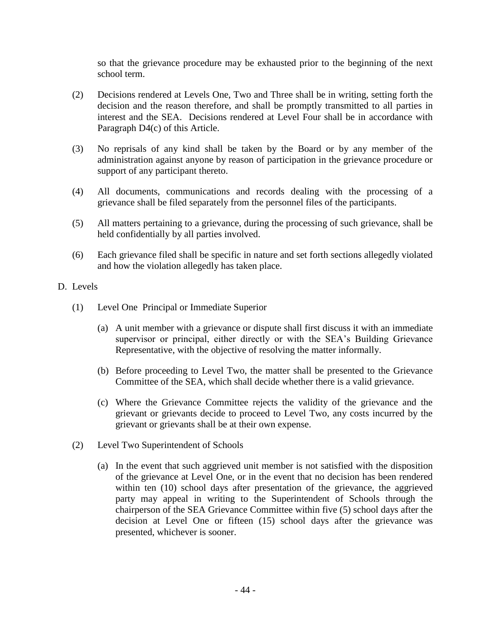so that the grievance procedure may be exhausted prior to the beginning of the next school term.

- (2) Decisions rendered at Levels One, Two and Three shall be in writing, setting forth the decision and the reason therefore, and shall be promptly transmitted to all parties in interest and the SEA. Decisions rendered at Level Four shall be in accordance with Paragraph D4(c) of this Article.
- (3) No reprisals of any kind shall be taken by the Board or by any member of the administration against anyone by reason of participation in the grievance procedure or support of any participant thereto.
- (4) All documents, communications and records dealing with the processing of a grievance shall be filed separately from the personnel files of the participants.
- (5) All matters pertaining to a grievance, during the processing of such grievance, shall be held confidentially by all parties involved.
- (6) Each grievance filed shall be specific in nature and set forth sections allegedly violated and how the violation allegedly has taken place.
- D. Levels
	- (1) Level One Principal or Immediate Superior
		- (a) A unit member with a grievance or dispute shall first discuss it with an immediate supervisor or principal, either directly or with the SEA's Building Grievance Representative, with the objective of resolving the matter informally.
		- (b) Before proceeding to Level Two, the matter shall be presented to the Grievance Committee of the SEA, which shall decide whether there is a valid grievance.
		- (c) Where the Grievance Committee rejects the validity of the grievance and the grievant or grievants decide to proceed to Level Two, any costs incurred by the grievant or grievants shall be at their own expense.
	- (2) Level Two Superintendent of Schools
		- (a) In the event that such aggrieved unit member is not satisfied with the disposition of the grievance at Level One, or in the event that no decision has been rendered within ten (10) school days after presentation of the grievance, the aggrieved party may appeal in writing to the Superintendent of Schools through the chairperson of the SEA Grievance Committee within five (5) school days after the decision at Level One or fifteen (15) school days after the grievance was presented, whichever is sooner.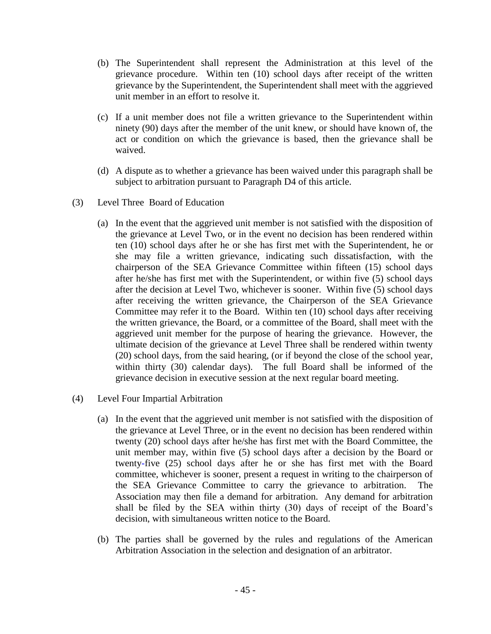- (b) The Superintendent shall represent the Administration at this level of the grievance procedure. Within ten (10) school days after receipt of the written grievance by the Superintendent, the Superintendent shall meet with the aggrieved unit member in an effort to resolve it.
- (c) If a unit member does not file a written grievance to the Superintendent within ninety (90) days after the member of the unit knew, or should have known of, the act or condition on which the grievance is based, then the grievance shall be waived.
- (d) A dispute as to whether a grievance has been waived under this paragraph shall be subject to arbitration pursuant to Paragraph D4 of this article.
- (3) Level Three Board of Education
	- (a) In the event that the aggrieved unit member is not satisfied with the disposition of the grievance at Level Two, or in the event no decision has been rendered within ten (10) school days after he or she has first met with the Superintendent, he or she may file a written grievance, indicating such dissatisfaction, with the chairperson of the SEA Grievance Committee within fifteen (15) school days after he/she has first met with the Superintendent, or within five (5) school days after the decision at Level Two, whichever is sooner. Within five (5) school days after receiving the written grievance, the Chairperson of the SEA Grievance Committee may refer it to the Board. Within ten (10) school days after receiving the written grievance, the Board, or a committee of the Board, shall meet with the aggrieved unit member for the purpose of hearing the grievance. However, the ultimate decision of the grievance at Level Three shall be rendered within twenty (20) school days, from the said hearing, (or if beyond the close of the school year, within thirty (30) calendar days). The full Board shall be informed of the grievance decision in executive session at the next regular board meeting.
- (4) Level Four Impartial Arbitration
	- (a) In the event that the aggrieved unit member is not satisfied with the disposition of the grievance at Level Three, or in the event no decision has been rendered within twenty (20) school days after he/she has first met with the Board Committee, the unit member may, within five (5) school days after a decision by the Board or twenty-five (25) school days after he or she has first met with the Board committee, whichever is sooner, present a request in writing to the chairperson of the SEA Grievance Committee to carry the grievance to arbitration. The Association may then file a demand for arbitration. Any demand for arbitration shall be filed by the SEA within thirty (30) days of receipt of the Board's decision, with simultaneous written notice to the Board.
	- (b) The parties shall be governed by the rules and regulations of the American Arbitration Association in the selection and designation of an arbitrator.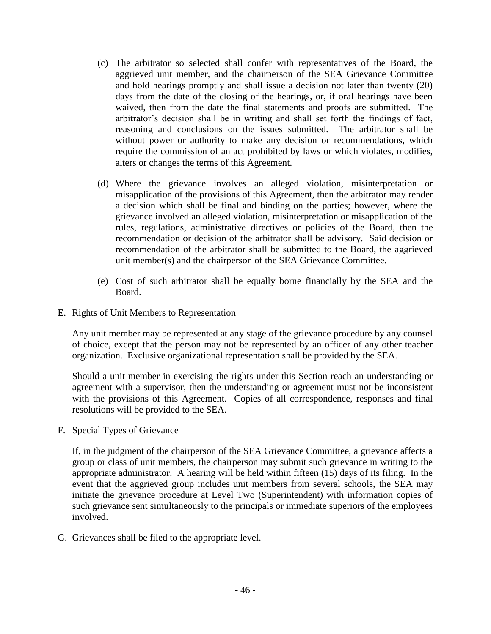- (c) The arbitrator so selected shall confer with representatives of the Board, the aggrieved unit member, and the chairperson of the SEA Grievance Committee and hold hearings promptly and shall issue a decision not later than twenty (20) days from the date of the closing of the hearings, or, if oral hearings have been waived, then from the date the final statements and proofs are submitted. The arbitrator's decision shall be in writing and shall set forth the findings of fact, reasoning and conclusions on the issues submitted. The arbitrator shall be without power or authority to make any decision or recommendations, which require the commission of an act prohibited by laws or which violates, modifies, alters or changes the terms of this Agreement.
- (d) Where the grievance involves an alleged violation, misinterpretation or misapplication of the provisions of this Agreement, then the arbitrator may render a decision which shall be final and binding on the parties; however, where the grievance involved an alleged violation, misinterpretation or misapplication of the rules, regulations, administrative directives or policies of the Board, then the recommendation or decision of the arbitrator shall be advisory. Said decision or recommendation of the arbitrator shall be submitted to the Board, the aggrieved unit member(s) and the chairperson of the SEA Grievance Committee.
- (e) Cost of such arbitrator shall be equally borne financially by the SEA and the Board.
- E. Rights of Unit Members to Representation

Any unit member may be represented at any stage of the grievance procedure by any counsel of choice, except that the person may not be represented by an officer of any other teacher organization. Exclusive organizational representation shall be provided by the SEA.

Should a unit member in exercising the rights under this Section reach an understanding or agreement with a supervisor, then the understanding or agreement must not be inconsistent with the provisions of this Agreement. Copies of all correspondence, responses and final resolutions will be provided to the SEA.

F. Special Types of Grievance

If, in the judgment of the chairperson of the SEA Grievance Committee, a grievance affects a group or class of unit members, the chairperson may submit such grievance in writing to the appropriate administrator. A hearing will be held within fifteen (15) days of its filing. In the event that the aggrieved group includes unit members from several schools, the SEA may initiate the grievance procedure at Level Two (Superintendent) with information copies of such grievance sent simultaneously to the principals or immediate superiors of the employees involved.

G. Grievances shall be filed to the appropriate level.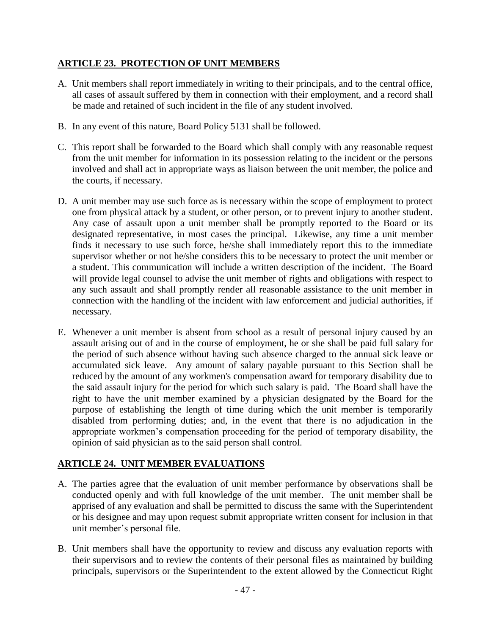### **ARTICLE 23. PROTECTION OF UNIT MEMBERS**

- A. Unit members shall report immediately in writing to their principals, and to the central office, all cases of assault suffered by them in connection with their employment, and a record shall be made and retained of such incident in the file of any student involved.
- B. In any event of this nature, Board Policy 5131 shall be followed.
- C. This report shall be forwarded to the Board which shall comply with any reasonable request from the unit member for information in its possession relating to the incident or the persons involved and shall act in appropriate ways as liaison between the unit member, the police and the courts, if necessary.
- D. A unit member may use such force as is necessary within the scope of employment to protect one from physical attack by a student, or other person, or to prevent injury to another student. Any case of assault upon a unit member shall be promptly reported to the Board or its designated representative, in most cases the principal. Likewise, any time a unit member finds it necessary to use such force, he/she shall immediately report this to the immediate supervisor whether or not he/she considers this to be necessary to protect the unit member or a student. This communication will include a written description of the incident. The Board will provide legal counsel to advise the unit member of rights and obligations with respect to any such assault and shall promptly render all reasonable assistance to the unit member in connection with the handling of the incident with law enforcement and judicial authorities, if necessary.
- E. Whenever a unit member is absent from school as a result of personal injury caused by an assault arising out of and in the course of employment, he or she shall be paid full salary for the period of such absence without having such absence charged to the annual sick leave or accumulated sick leave. Any amount of salary payable pursuant to this Section shall be reduced by the amount of any workmen's compensation award for temporary disability due to the said assault injury for the period for which such salary is paid. The Board shall have the right to have the unit member examined by a physician designated by the Board for the purpose of establishing the length of time during which the unit member is temporarily disabled from performing duties; and, in the event that there is no adjudication in the appropriate workmen's compensation proceeding for the period of temporary disability, the opinion of said physician as to the said person shall control.

# **ARTICLE 24. UNIT MEMBER EVALUATIONS**

- A. The parties agree that the evaluation of unit member performance by observations shall be conducted openly and with full knowledge of the unit member. The unit member shall be apprised of any evaluation and shall be permitted to discuss the same with the Superintendent or his designee and may upon request submit appropriate written consent for inclusion in that unit member's personal file.
- B. Unit members shall have the opportunity to review and discuss any evaluation reports with their supervisors and to review the contents of their personal files as maintained by building principals, supervisors or the Superintendent to the extent allowed by the Connecticut Right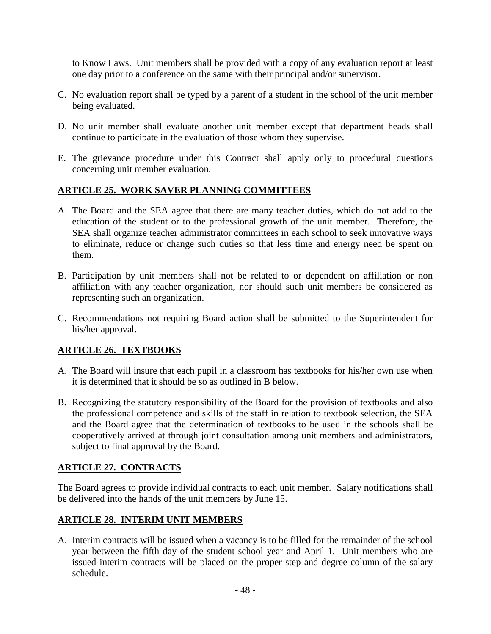to Know Laws. Unit members shall be provided with a copy of any evaluation report at least one day prior to a conference on the same with their principal and/or supervisor.

- C. No evaluation report shall be typed by a parent of a student in the school of the unit member being evaluated.
- D. No unit member shall evaluate another unit member except that department heads shall continue to participate in the evaluation of those whom they supervise.
- E. The grievance procedure under this Contract shall apply only to procedural questions concerning unit member evaluation.

### **ARTICLE 25. WORK SAVER PLANNING COMMITTEES**

- A. The Board and the SEA agree that there are many teacher duties, which do not add to the education of the student or to the professional growth of the unit member. Therefore, the SEA shall organize teacher administrator committees in each school to seek innovative ways to eliminate, reduce or change such duties so that less time and energy need be spent on them.
- B. Participation by unit members shall not be related to or dependent on affiliation or non affiliation with any teacher organization, nor should such unit members be considered as representing such an organization.
- C. Recommendations not requiring Board action shall be submitted to the Superintendent for his/her approval.

# **ARTICLE 26. TEXTBOOKS**

- A. The Board will insure that each pupil in a classroom has textbooks for his/her own use when it is determined that it should be so as outlined in B below.
- B. Recognizing the statutory responsibility of the Board for the provision of textbooks and also the professional competence and skills of the staff in relation to textbook selection, the SEA and the Board agree that the determination of textbooks to be used in the schools shall be cooperatively arrived at through joint consultation among unit members and administrators, subject to final approval by the Board.

### **ARTICLE 27. CONTRACTS**

The Board agrees to provide individual contracts to each unit member. Salary notifications shall be delivered into the hands of the unit members by June 15.

### **ARTICLE 28. INTERIM UNIT MEMBERS**

A. Interim contracts will be issued when a vacancy is to be filled for the remainder of the school year between the fifth day of the student school year and April 1. Unit members who are issued interim contracts will be placed on the proper step and degree column of the salary schedule.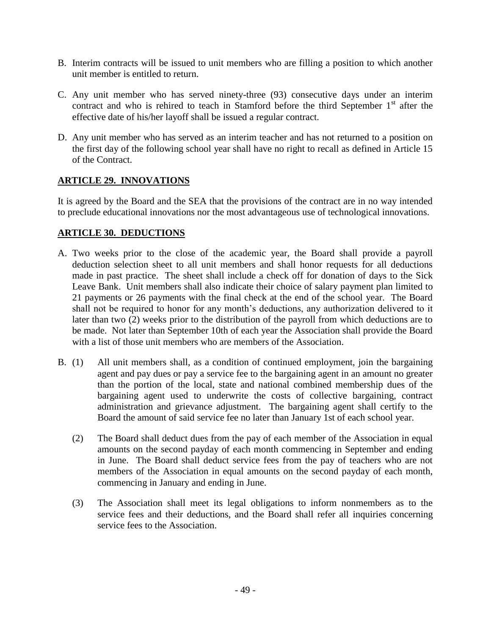- B. Interim contracts will be issued to unit members who are filling a position to which another unit member is entitled to return.
- C. Any unit member who has served ninety-three (93) consecutive days under an interim contract and who is rehired to teach in Stamford before the third September 1<sup>st</sup> after the effective date of his/her layoff shall be issued a regular contract.
- D. Any unit member who has served as an interim teacher and has not returned to a position on the first day of the following school year shall have no right to recall as defined in Article 15 of the Contract.

# **ARTICLE 29. INNOVATIONS**

It is agreed by the Board and the SEA that the provisions of the contract are in no way intended to preclude educational innovations nor the most advantageous use of technological innovations.

# **ARTICLE 30. DEDUCTIONS**

- A. Two weeks prior to the close of the academic year, the Board shall provide a payroll deduction selection sheet to all unit members and shall honor requests for all deductions made in past practice. The sheet shall include a check off for donation of days to the Sick Leave Bank. Unit members shall also indicate their choice of salary payment plan limited to 21 payments or 26 payments with the final check at the end of the school year. The Board shall not be required to honor for any month's deductions, any authorization delivered to it later than two (2) weeks prior to the distribution of the payroll from which deductions are to be made. Not later than September 10th of each year the Association shall provide the Board with a list of those unit members who are members of the Association.
- B. (1) All unit members shall, as a condition of continued employment, join the bargaining agent and pay dues or pay a service fee to the bargaining agent in an amount no greater than the portion of the local, state and national combined membership dues of the bargaining agent used to underwrite the costs of collective bargaining, contract administration and grievance adjustment. The bargaining agent shall certify to the Board the amount of said service fee no later than January 1st of each school year.
	- (2) The Board shall deduct dues from the pay of each member of the Association in equal amounts on the second payday of each month commencing in September and ending in June. The Board shall deduct service fees from the pay of teachers who are not members of the Association in equal amounts on the second payday of each month, commencing in January and ending in June.
	- (3) The Association shall meet its legal obligations to inform nonmembers as to the service fees and their deductions, and the Board shall refer all inquiries concerning service fees to the Association.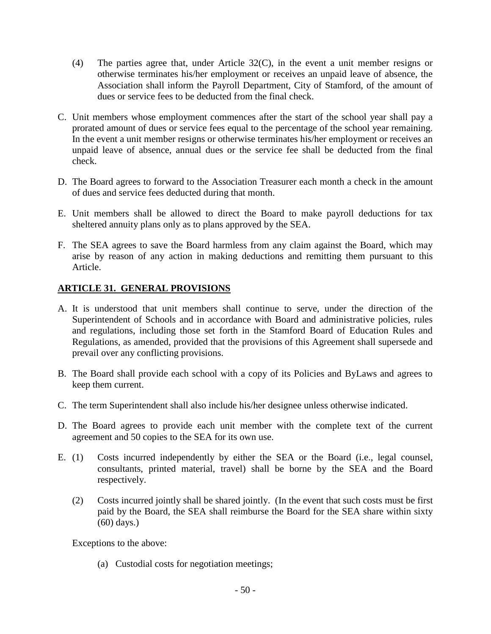- (4) The parties agree that, under Article 32(C), in the event a unit member resigns or otherwise terminates his/her employment or receives an unpaid leave of absence, the Association shall inform the Payroll Department, City of Stamford, of the amount of dues or service fees to be deducted from the final check.
- C. Unit members whose employment commences after the start of the school year shall pay a prorated amount of dues or service fees equal to the percentage of the school year remaining. In the event a unit member resigns or otherwise terminates his/her employment or receives an unpaid leave of absence, annual dues or the service fee shall be deducted from the final check.
- D. The Board agrees to forward to the Association Treasurer each month a check in the amount of dues and service fees deducted during that month.
- E. Unit members shall be allowed to direct the Board to make payroll deductions for tax sheltered annuity plans only as to plans approved by the SEA.
- F. The SEA agrees to save the Board harmless from any claim against the Board, which may arise by reason of any action in making deductions and remitting them pursuant to this Article.

### **ARTICLE 31. GENERAL PROVISIONS**

- A. It is understood that unit members shall continue to serve, under the direction of the Superintendent of Schools and in accordance with Board and administrative policies, rules and regulations, including those set forth in the Stamford Board of Education Rules and Regulations, as amended, provided that the provisions of this Agreement shall supersede and prevail over any conflicting provisions.
- B. The Board shall provide each school with a copy of its Policies and ByLaws and agrees to keep them current.
- C. The term Superintendent shall also include his/her designee unless otherwise indicated.
- D. The Board agrees to provide each unit member with the complete text of the current agreement and 50 copies to the SEA for its own use.
- E. (1) Costs incurred independently by either the SEA or the Board (i.e., legal counsel, consultants, printed material, travel) shall be borne by the SEA and the Board respectively.
	- (2) Costs incurred jointly shall be shared jointly. (In the event that such costs must be first paid by the Board, the SEA shall reimburse the Board for the SEA share within sixty (60) days.)

Exceptions to the above:

(a) Custodial costs for negotiation meetings;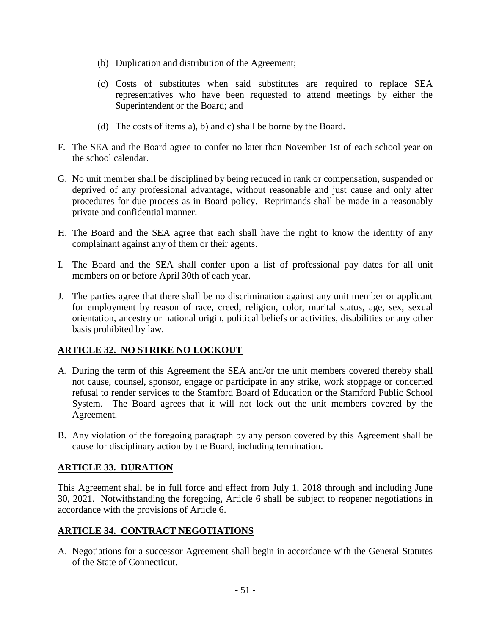- (b) Duplication and distribution of the Agreement;
- (c) Costs of substitutes when said substitutes are required to replace SEA representatives who have been requested to attend meetings by either the Superintendent or the Board; and
- (d) The costs of items a), b) and c) shall be borne by the Board.
- F. The SEA and the Board agree to confer no later than November 1st of each school year on the school calendar.
- G. No unit member shall be disciplined by being reduced in rank or compensation, suspended or deprived of any professional advantage, without reasonable and just cause and only after procedures for due process as in Board policy. Reprimands shall be made in a reasonably private and confidential manner.
- H. The Board and the SEA agree that each shall have the right to know the identity of any complainant against any of them or their agents.
- I. The Board and the SEA shall confer upon a list of professional pay dates for all unit members on or before April 30th of each year.
- J. The parties agree that there shall be no discrimination against any unit member or applicant for employment by reason of race, creed, religion, color, marital status, age, sex, sexual orientation, ancestry or national origin, political beliefs or activities, disabilities or any other basis prohibited by law.

# **ARTICLE 32. NO STRIKE NO LOCKOUT**

- A. During the term of this Agreement the SEA and/or the unit members covered thereby shall not cause, counsel, sponsor, engage or participate in any strike, work stoppage or concerted refusal to render services to the Stamford Board of Education or the Stamford Public School System. The Board agrees that it will not lock out the unit members covered by the Agreement.
- B. Any violation of the foregoing paragraph by any person covered by this Agreement shall be cause for disciplinary action by the Board, including termination.

### **ARTICLE 33. DURATION**

This Agreement shall be in full force and effect from July 1, 2018 through and including June 30, 2021. Notwithstanding the foregoing, Article 6 shall be subject to reopener negotiations in accordance with the provisions of Article 6.

# **ARTICLE 34. CONTRACT NEGOTIATIONS**

A. Negotiations for a successor Agreement shall begin in accordance with the General Statutes of the State of Connecticut.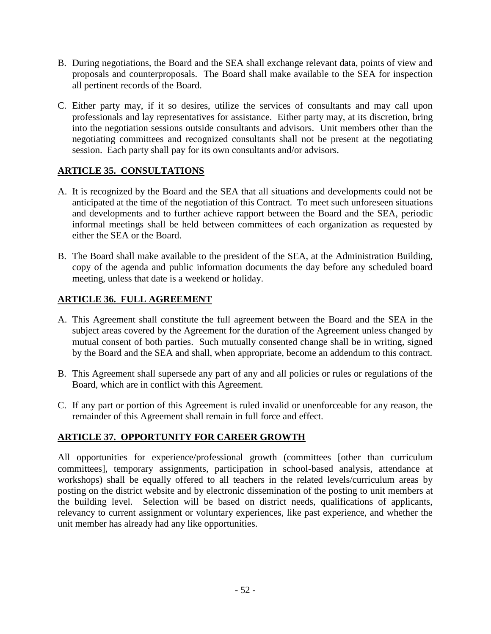- B. During negotiations, the Board and the SEA shall exchange relevant data, points of view and proposals and counterproposals. The Board shall make available to the SEA for inspection all pertinent records of the Board.
- C. Either party may, if it so desires, utilize the services of consultants and may call upon professionals and lay representatives for assistance. Either party may, at its discretion, bring into the negotiation sessions outside consultants and advisors. Unit members other than the negotiating committees and recognized consultants shall not be present at the negotiating session. Each party shall pay for its own consultants and/or advisors.

### **ARTICLE 35. CONSULTATIONS**

- A. It is recognized by the Board and the SEA that all situations and developments could not be anticipated at the time of the negotiation of this Contract. To meet such unforeseen situations and developments and to further achieve rapport between the Board and the SEA, periodic informal meetings shall be held between committees of each organization as requested by either the SEA or the Board.
- B. The Board shall make available to the president of the SEA, at the Administration Building, copy of the agenda and public information documents the day before any scheduled board meeting, unless that date is a weekend or holiday.

### **ARTICLE 36. FULL AGREEMENT**

- A. This Agreement shall constitute the full agreement between the Board and the SEA in the subject areas covered by the Agreement for the duration of the Agreement unless changed by mutual consent of both parties. Such mutually consented change shall be in writing, signed by the Board and the SEA and shall, when appropriate, become an addendum to this contract.
- B. This Agreement shall supersede any part of any and all policies or rules or regulations of the Board, which are in conflict with this Agreement.
- C. If any part or portion of this Agreement is ruled invalid or unenforceable for any reason, the remainder of this Agreement shall remain in full force and effect.

# **ARTICLE 37. OPPORTUNITY FOR CAREER GROWTH**

All opportunities for experience/professional growth (committees [other than curriculum committees], temporary assignments, participation in school-based analysis, attendance at workshops) shall be equally offered to all teachers in the related levels/curriculum areas by posting on the district website and by electronic dissemination of the posting to unit members at the building level. Selection will be based on district needs, qualifications of applicants, relevancy to current assignment or voluntary experiences, like past experience, and whether the unit member has already had any like opportunities.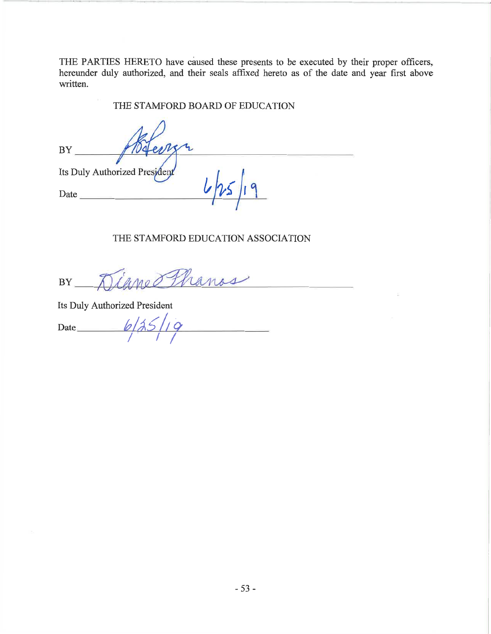THE PARTIES HERETO have caused these presents to be executed by their proper officers, hereunder duly authorized, and their seals affixed hereto as of the date and year first above written.

THE STAMFORD BOARD OF EDUCATION

**BY**  $10d$  $\ell$ Its Duly Authorized Presiden Date

### THE STAMFORD EDUCATION ASSOCIATION

Diamo Hanas  $BY$ 

Its Duly Authorized President

 $6/35/$ Date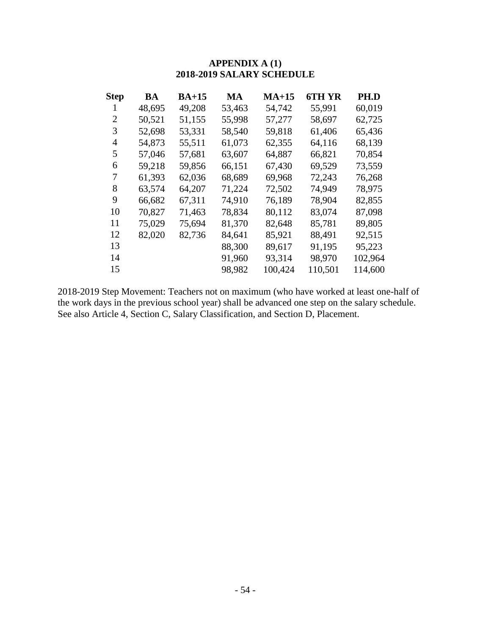### **APPENDIX A (1) 2018-2019 SALARY SCHEDULE**

| <b>Step</b> | BA     | $BA+15$ | MA     | $MA+15$ | 6TH YR  | PH.D    |
|-------------|--------|---------|--------|---------|---------|---------|
| 1           | 48,695 | 49,208  | 53,463 | 54,742  | 55,991  | 60,019  |
| 2           | 50,521 | 51,155  | 55,998 | 57,277  | 58,697  | 62,725  |
| 3           | 52,698 | 53,331  | 58,540 | 59,818  | 61,406  | 65,436  |
| 4           | 54,873 | 55,511  | 61,073 | 62,355  | 64,116  | 68,139  |
| 5           | 57,046 | 57,681  | 63,607 | 64,887  | 66,821  | 70,854  |
| 6           | 59,218 | 59,856  | 66,151 | 67,430  | 69,529  | 73,559  |
| 7           | 61,393 | 62,036  | 68,689 | 69,968  | 72,243  | 76,268  |
| 8           | 63,574 | 64,207  | 71,224 | 72,502  | 74,949  | 78,975  |
| 9           | 66,682 | 67,311  | 74,910 | 76,189  | 78,904  | 82,855  |
| 10          | 70,827 | 71,463  | 78,834 | 80,112  | 83,074  | 87,098  |
| 11          | 75,029 | 75,694  | 81,370 | 82,648  | 85,781  | 89,805  |
| 12          | 82,020 | 82,736  | 84,641 | 85,921  | 88,491  | 92,515  |
| 13          |        |         | 88,300 | 89,617  | 91,195  | 95,223  |
| 14          |        |         | 91,960 | 93,314  | 98,970  | 102,964 |
| 15          |        |         | 98,982 | 100,424 | 110,501 | 114,600 |

2018-2019 Step Movement: Teachers not on maximum (who have worked at least one-half of the work days in the previous school year) shall be advanced one step on the salary schedule. See also Article 4, Section C, Salary Classification, and Section D, Placement.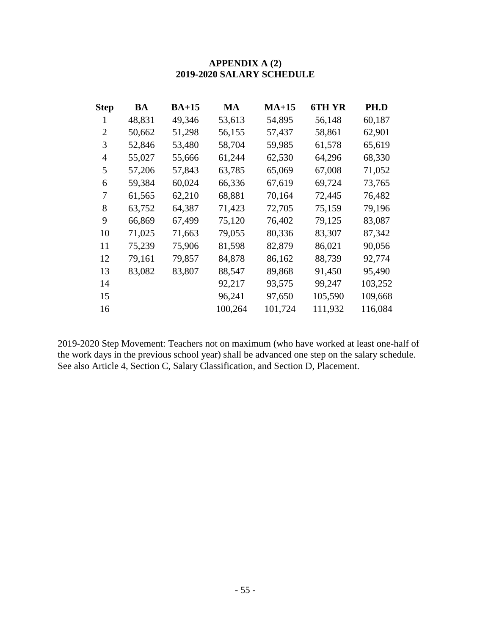### **APPENDIX A (2) 2019-2020 SALARY SCHEDULE**

| <b>Step</b>    | BA     | $BA+15$ | <b>MA</b> | $MA+15$ | 6TH YR  | PH.D    |
|----------------|--------|---------|-----------|---------|---------|---------|
| 1              | 48,831 | 49,346  | 53,613    | 54,895  | 56,148  | 60,187  |
| $\overline{2}$ | 50,662 | 51,298  | 56,155    | 57,437  | 58,861  | 62,901  |
| 3              | 52,846 | 53,480  | 58,704    | 59,985  | 61,578  | 65,619  |
| 4              | 55,027 | 55,666  | 61,244    | 62,530  | 64,296  | 68,330  |
| 5              | 57,206 | 57,843  | 63,785    | 65,069  | 67,008  | 71,052  |
| 6              | 59,384 | 60,024  | 66,336    | 67,619  | 69,724  | 73,765  |
| 7              | 61,565 | 62,210  | 68,881    | 70,164  | 72,445  | 76,482  |
| 8              | 63,752 | 64,387  | 71,423    | 72,705  | 75,159  | 79,196  |
| 9              | 66,869 | 67,499  | 75,120    | 76,402  | 79,125  | 83,087  |
| 10             | 71,025 | 71,663  | 79,055    | 80,336  | 83,307  | 87,342  |
| 11             | 75,239 | 75,906  | 81,598    | 82,879  | 86,021  | 90,056  |
| 12             | 79,161 | 79,857  | 84,878    | 86,162  | 88,739  | 92,774  |
| 13             | 83,082 | 83,807  | 88,547    | 89,868  | 91,450  | 95,490  |
| 14             |        |         | 92,217    | 93,575  | 99,247  | 103,252 |
| 15             |        |         | 96,241    | 97,650  | 105,590 | 109,668 |
| 16             |        |         | 100,264   | 101,724 | 111,932 | 116,084 |

2019-2020 Step Movement: Teachers not on maximum (who have worked at least one-half of the work days in the previous school year) shall be advanced one step on the salary schedule. See also Article 4, Section C, Salary Classification, and Section D, Placement.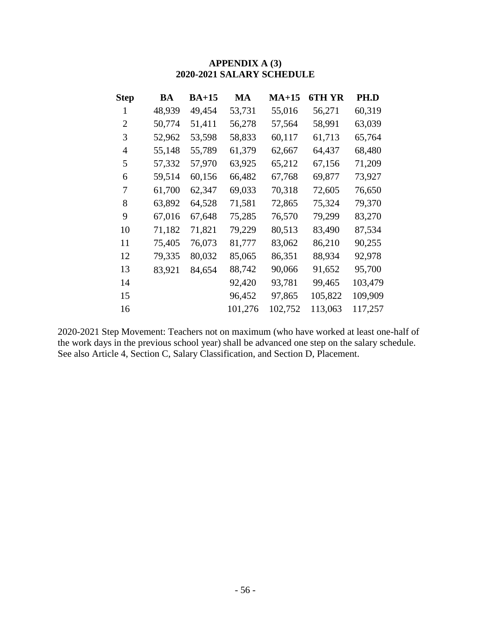| Step           | BA     | $BA+15$ | MA      | $MA+15$ | 6TH YR  | PH.D    |
|----------------|--------|---------|---------|---------|---------|---------|
| 1              | 48,939 | 49,454  | 53,731  | 55,016  | 56,271  | 60,319  |
| $\overline{2}$ | 50,774 | 51,411  | 56,278  | 57,564  | 58,991  | 63,039  |
| 3              | 52,962 | 53,598  | 58,833  | 60,117  | 61,713  | 65,764  |
| 4              | 55,148 | 55,789  | 61,379  | 62,667  | 64,437  | 68,480  |
| 5              | 57,332 | 57,970  | 63,925  | 65,212  | 67,156  | 71,209  |
| 6              | 59,514 | 60,156  | 66,482  | 67,768  | 69,877  | 73,927  |
| 7              | 61,700 | 62,347  | 69,033  | 70,318  | 72,605  | 76,650  |
| 8              | 63,892 | 64,528  | 71,581  | 72,865  | 75,324  | 79,370  |
| 9              | 67,016 | 67,648  | 75,285  | 76,570  | 79,299  | 83,270  |
| 10             | 71,182 | 71,821  | 79,229  | 80,513  | 83,490  | 87,534  |
| 11             | 75,405 | 76,073  | 81,777  | 83,062  | 86,210  | 90,255  |
| 12             | 79,335 | 80,032  | 85,065  | 86,351  | 88,934  | 92,978  |
| 13             | 83,921 | 84,654  | 88,742  | 90,066  | 91,652  | 95,700  |
| 14             |        |         | 92,420  | 93,781  | 99,465  | 103,479 |
| 15             |        |         | 96,452  | 97,865  | 105,822 | 109,909 |
| 16             |        |         | 101,276 | 102,752 | 113,063 | 117,257 |

# **APPENDIX A (3) 2020-2021 SALARY SCHEDULE**

2020-2021 Step Movement: Teachers not on maximum (who have worked at least one-half of the work days in the previous school year) shall be advanced one step on the salary schedule. See also Article 4, Section C, Salary Classification, and Section D, Placement.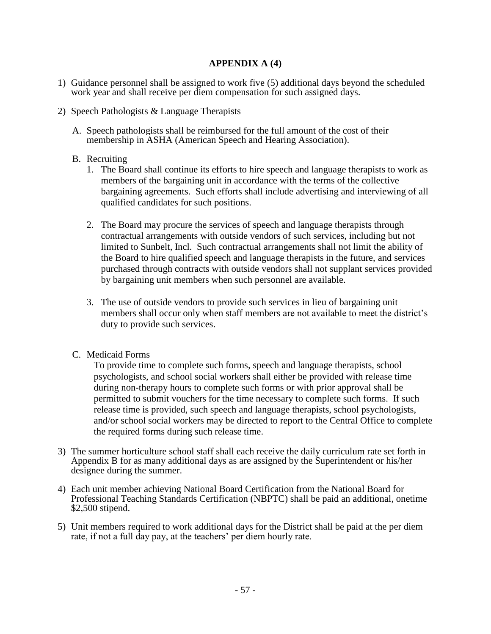#### **APPENDIX A (4)**

- 1) Guidance personnel shall be assigned to work five (5) additional days beyond the scheduled work year and shall receive per diem compensation for such assigned days.
- 2) Speech Pathologists & Language Therapists
	- A. Speech pathologists shall be reimbursed for the full amount of the cost of their membership in ASHA (American Speech and Hearing Association).

#### B. Recruiting

- 1. The Board shall continue its efforts to hire speech and language therapists to work as members of the bargaining unit in accordance with the terms of the collective bargaining agreements. Such efforts shall include advertising and interviewing of all qualified candidates for such positions.
- 2. The Board may procure the services of speech and language therapists through contractual arrangements with outside vendors of such services, including but not limited to Sunbelt, Incl. Such contractual arrangements shall not limit the ability of the Board to hire qualified speech and language therapists in the future, and services purchased through contracts with outside vendors shall not supplant services provided by bargaining unit members when such personnel are available.
- 3. The use of outside vendors to provide such services in lieu of bargaining unit members shall occur only when staff members are not available to meet the district's duty to provide such services.
- C. Medicaid Forms

To provide time to complete such forms, speech and language therapists, school psychologists, and school social workers shall either be provided with release time during non-therapy hours to complete such forms or with prior approval shall be permitted to submit vouchers for the time necessary to complete such forms. If such release time is provided, such speech and language therapists, school psychologists, and/or school social workers may be directed to report to the Central Office to complete the required forms during such release time.

- 3) The summer horticulture school staff shall each receive the daily curriculum rate set forth in Appendix B for as many additional days as are assigned by the Superintendent or his/her designee during the summer.
- 4) Each unit member achieving National Board Certification from the National Board for Professional Teaching Standards Certification (NBPTC) shall be paid an additional, onetime \$2,500 stipend.
- 5) Unit members required to work additional days for the District shall be paid at the per diem rate, if not a full day pay, at the teachers' per diem hourly rate.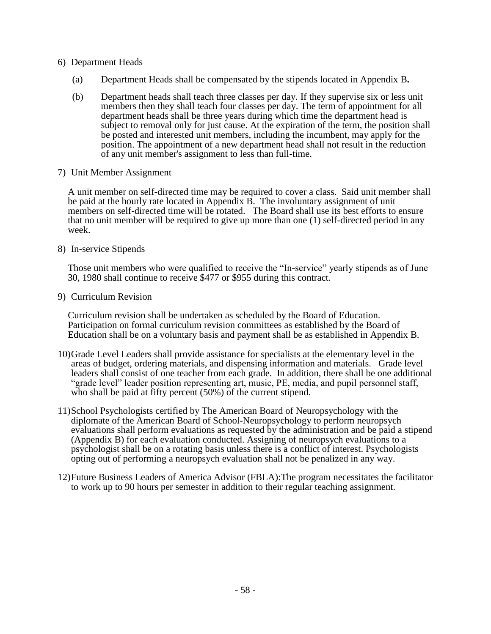- 6) Department Heads
	- (a) Department Heads shall be compensated by the stipends located in Appendix B**.**
	- (b) Department heads shall teach three classes per day. If they supervise six or less unit members then they shall teach four classes per day. The term of appointment for all department heads shall be three years during which time the department head is subject to removal only for just cause. At the expiration of the term, the position shall be posted and interested unit members, including the incumbent, may apply for the position. The appointment of a new department head shall not result in the reduction of any unit member's assignment to less than full-time.
- 7) Unit Member Assignment

A unit member on self-directed time may be required to cover a class. Said unit member shall be paid at the hourly rate located in Appendix B. The involuntary assignment of unit members on self-directed time will be rotated. The Board shall use its best efforts to ensure that no unit member will be required to give up more than one (1) self-directed period in any week.

8) In-service Stipends

Those unit members who were qualified to receive the "In-service" yearly stipends as of June 30, 1980 shall continue to receive \$477 or \$955 during this contract.

9) Curriculum Revision

Curriculum revision shall be undertaken as scheduled by the Board of Education. Participation on formal curriculum revision committees as established by the Board of Education shall be on a voluntary basis and payment shall be as established in Appendix B.

- 10)Grade Level Leaders shall provide assistance for specialists at the elementary level in the areas of budget, ordering materials, and dispensing information and materials. Grade level leaders shall consist of one teacher from each grade. In addition, there shall be one additional "grade level" leader position representing art, music, PE, media, and pupil personnel staff, who shall be paid at fifty percent (50%) of the current stipend.
- 11)School Psychologists certified by The American Board of Neuropsychology with the diplomate of the American Board of School-Neuropsychology to perform neuropsych evaluations shall perform evaluations as requested by the administration and be paid a stipend (Appendix B) for each evaluation conducted. Assigning of neuropsych evaluations to a psychologist shall be on a rotating basis unless there is a conflict of interest. Psychologists opting out of performing a neuropsych evaluation shall not be penalized in any way.
- 12)Future Business Leaders of America Advisor (FBLA):The program necessitates the facilitator to work up to 90 hours per semester in addition to their regular teaching assignment.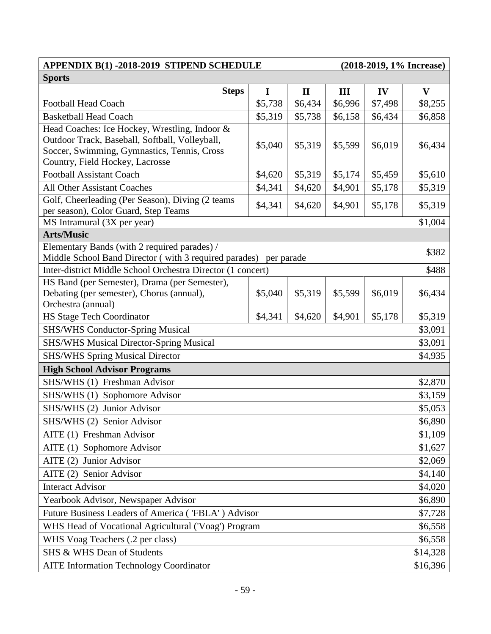#### **APPENDIX B(1) -2018-2019 STIPEND SCHEDULE (2018-2019, 1% Increase) Sports**

| <b>Steps</b>                                                                               | I       | $\mathbf{I}$ | Ш       | IV      | $\mathbf{V}$ |  |
|--------------------------------------------------------------------------------------------|---------|--------------|---------|---------|--------------|--|
| <b>Football Head Coach</b>                                                                 | \$5,738 | \$6,434      | \$6,996 | \$7,498 | \$8,255      |  |
| <b>Basketball Head Coach</b>                                                               | \$5,319 | \$5,738      | \$6,158 | \$6,434 | \$6,858      |  |
| Head Coaches: Ice Hockey, Wrestling, Indoor &                                              |         |              |         |         |              |  |
| Outdoor Track, Baseball, Softball, Volleyball,                                             | \$5,040 | \$5,319      | \$5,599 | \$6,019 | \$6,434      |  |
| Soccer, Swimming, Gymnastics, Tennis, Cross                                                |         |              |         |         |              |  |
| Country, Field Hockey, Lacrosse                                                            |         |              |         |         |              |  |
| <b>Football Assistant Coach</b>                                                            | \$4,620 | \$5,319      | \$5,174 | \$5,459 | \$5,610      |  |
| <b>All Other Assistant Coaches</b>                                                         | \$4,341 | \$4,620      | \$4,901 | \$5,178 | \$5,319      |  |
| Golf, Cheerleading (Per Season), Diving (2 teams                                           | \$4,341 | \$4,620      | \$4,901 | \$5,178 | \$5,319      |  |
| per season), Color Guard, Step Teams                                                       |         |              |         |         |              |  |
| MS Intramural (3X per year)                                                                |         |              |         |         | \$1,004      |  |
| <b>Arts/Music</b>                                                                          |         |              |         |         |              |  |
| Elementary Bands (with 2 required parades) /                                               |         |              |         |         | \$382        |  |
| Middle School Band Director (with 3 required parades) per parade                           |         |              |         |         |              |  |
| Inter-district Middle School Orchestra Director (1 concert)                                |         |              |         |         | \$488        |  |
| HS Band (per Semester), Drama (per Semester),<br>Debating (per semester), Chorus (annual), | \$5,040 | \$5,319      | \$5,599 | \$6,019 | \$6,434      |  |
| Orchestra (annual)                                                                         |         |              |         |         |              |  |
| <b>HS Stage Tech Coordinator</b>                                                           | \$4,341 | \$4,620      | \$4,901 | \$5,178 | \$5,319      |  |
| <b>SHS/WHS Conductor-Spring Musical</b>                                                    |         |              |         |         | \$3,091      |  |
| <b>SHS/WHS Musical Director-Spring Musical</b><br>\$3,091                                  |         |              |         |         |              |  |
| <b>SHS/WHS Spring Musical Director</b>                                                     |         |              |         |         | \$4,935      |  |
| <b>High School Advisor Programs</b>                                                        |         |              |         |         |              |  |
| SHS/WHS (1) Freshman Advisor                                                               |         |              |         |         | \$2,870      |  |
| SHS/WHS (1) Sophomore Advisor                                                              |         |              |         |         | \$3,159      |  |
| SHS/WHS (2) Junior Advisor                                                                 |         |              |         |         | \$5,053      |  |
| SHS/WHS (2) Senior Advisor                                                                 |         |              |         |         | \$6,890      |  |
| AITE (1) Freshman Advisor                                                                  |         |              |         |         | \$1,109      |  |
| AITE (1) Sophomore Advisor                                                                 |         |              |         |         | \$1,627      |  |
| AITE(2)<br>Junior Advisor                                                                  |         |              |         |         | \$2,069      |  |
| AITE (2) Senior Advisor                                                                    |         |              |         |         |              |  |
| \$4,140<br><b>Interact Advisor</b><br>\$4,020                                              |         |              |         |         |              |  |
| Yearbook Advisor, Newspaper Advisor<br>\$6,890                                             |         |              |         |         |              |  |
| Future Business Leaders of America ('FBLA') Advisor<br>\$7,728                             |         |              |         |         |              |  |
| WHS Head of Vocational Agricultural ('Voag') Program<br>\$6,558                            |         |              |         |         |              |  |
| WHS Voag Teachers (.2 per class)<br>\$6,558                                                |         |              |         |         |              |  |
| SHS & WHS Dean of Students                                                                 |         |              |         |         | \$14,328     |  |
| <b>AITE Information Technology Coordinator</b><br>\$16,396                                 |         |              |         |         |              |  |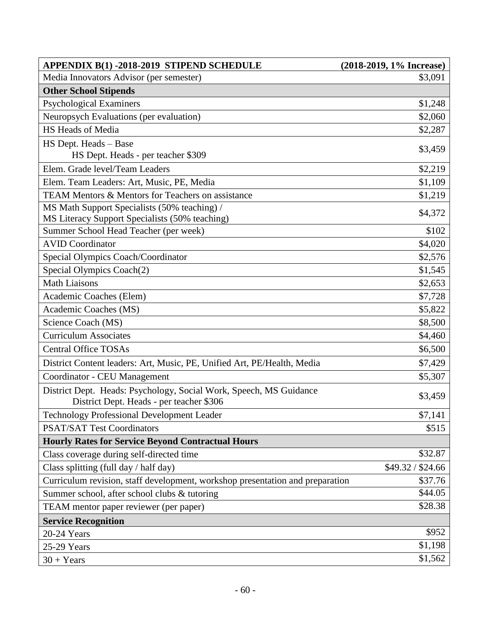| <b>APPENDIX B(1) -2018-2019 STIPEND SCHEDULE</b>                                                               | (2018-2019, 1% Increase) |
|----------------------------------------------------------------------------------------------------------------|--------------------------|
| Media Innovators Advisor (per semester)                                                                        | \$3,091                  |
| <b>Other School Stipends</b>                                                                                   |                          |
| <b>Psychological Examiners</b>                                                                                 | \$1,248                  |
| Neuropsych Evaluations (per evaluation)                                                                        | \$2,060                  |
| HS Heads of Media                                                                                              | \$2,287                  |
| HS Dept. Heads - Base                                                                                          | \$3,459                  |
| HS Dept. Heads - per teacher \$309                                                                             |                          |
| Elem. Grade level/Team Leaders                                                                                 | \$2,219                  |
| Elem. Team Leaders: Art, Music, PE, Media                                                                      | \$1,109                  |
| TEAM Mentors & Mentors for Teachers on assistance                                                              | \$1,219                  |
| MS Math Support Specialists (50% teaching) /                                                                   | \$4,372                  |
| MS Literacy Support Specialists (50% teaching)                                                                 |                          |
| Summer School Head Teacher (per week)                                                                          | \$102                    |
| <b>AVID Coordinator</b>                                                                                        | \$4,020                  |
| Special Olympics Coach/Coordinator                                                                             | \$2,576                  |
| Special Olympics Coach(2)                                                                                      | \$1,545                  |
| <b>Math Liaisons</b>                                                                                           | \$2,653                  |
| Academic Coaches (Elem)                                                                                        | \$7,728                  |
| Academic Coaches (MS)                                                                                          | \$5,822                  |
| Science Coach (MS)                                                                                             | \$8,500                  |
| <b>Curriculum Associates</b>                                                                                   | \$4,460                  |
| <b>Central Office TOSAs</b>                                                                                    | \$6,500                  |
| District Content leaders: Art, Music, PE, Unified Art, PE/Health, Media                                        | \$7,429                  |
| <b>Coordinator - CEU Management</b>                                                                            | \$5,307                  |
| District Dept. Heads: Psychology, Social Work, Speech, MS Guidance<br>District Dept. Heads - per teacher \$306 | \$3,459                  |
| Technology Professional Development Leader                                                                     | \$7,141                  |
| <b>PSAT/SAT Test Coordinators</b>                                                                              | \$515                    |
| <b>Hourly Rates for Service Beyond Contractual Hours</b>                                                       |                          |
| Class coverage during self-directed time                                                                       | \$32.87                  |
| Class splitting (full day / half day)                                                                          | \$49.32 / \$24.66        |
| Curriculum revision, staff development, workshop presentation and preparation                                  | \$37.76                  |
| Summer school, after school clubs & tutoring                                                                   | \$44.05                  |
| TEAM mentor paper reviewer (per paper)                                                                         | \$28.38                  |
| <b>Service Recognition</b>                                                                                     |                          |
| 20-24 Years                                                                                                    | \$952                    |
| 25-29 Years                                                                                                    | \$1,198                  |
| $30 + Years$                                                                                                   | \$1,562                  |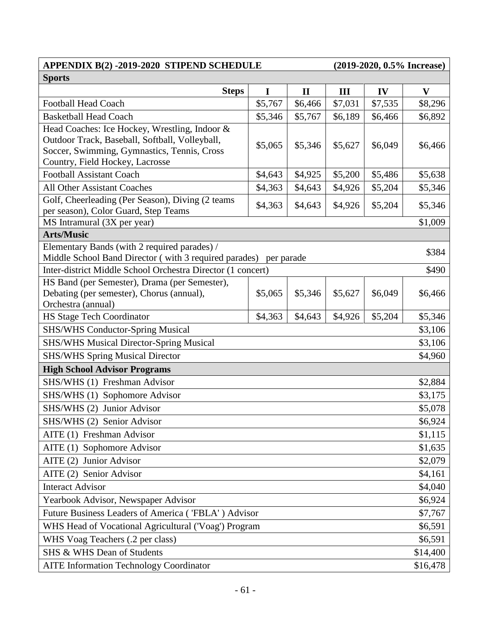#### **APPENDIX B(2) -2019-2020 STIPEND SCHEDULE (2019-2020, 0.5% Increase) Sports**

| <b>Steps</b>                                                                                                     | I       | $\mathbf{I}$ | Ш       | IV      | $\mathbf{V}$ |  |
|------------------------------------------------------------------------------------------------------------------|---------|--------------|---------|---------|--------------|--|
| <b>Football Head Coach</b>                                                                                       | \$5,767 | \$6,466      | \$7,031 | \$7,535 | \$8,296      |  |
| <b>Basketball Head Coach</b>                                                                                     | \$5,346 | \$5,767      | \$6,189 | \$6,466 | \$6,892      |  |
| Head Coaches: Ice Hockey, Wrestling, Indoor &                                                                    |         |              |         |         |              |  |
| Outdoor Track, Baseball, Softball, Volleyball,                                                                   | \$5,065 | \$5,346      | \$5,627 | \$6,049 | \$6,466      |  |
| Soccer, Swimming, Gymnastics, Tennis, Cross                                                                      |         |              |         |         |              |  |
| Country, Field Hockey, Lacrosse                                                                                  |         |              |         |         |              |  |
| <b>Football Assistant Coach</b>                                                                                  | \$4,643 | \$4,925      | \$5,200 | \$5,486 | \$5,638      |  |
| <b>All Other Assistant Coaches</b>                                                                               | \$4,363 | \$4,643      | \$4,926 | \$5,204 | \$5,346      |  |
| Golf, Cheerleading (Per Season), Diving (2 teams                                                                 | \$4,363 | \$4,643      | \$4,926 | \$5,204 | \$5,346      |  |
| per season), Color Guard, Step Teams                                                                             |         |              |         |         |              |  |
| MS Intramural (3X per year)                                                                                      |         |              |         |         | \$1,009      |  |
| <b>Arts/Music</b>                                                                                                |         |              |         |         |              |  |
| Elementary Bands (with 2 required parades) /<br>Middle School Band Director (with 3 required parades) per parade |         |              |         |         | \$384        |  |
| Inter-district Middle School Orchestra Director (1 concert)                                                      |         |              |         |         | \$490        |  |
| HS Band (per Semester), Drama (per Semester),                                                                    |         |              |         |         |              |  |
| Debating (per semester), Chorus (annual),                                                                        | \$5,065 | \$5,346      | \$5,627 | \$6,049 | \$6,466      |  |
| Orchestra (annual)                                                                                               |         |              |         |         |              |  |
| <b>HS Stage Tech Coordinator</b>                                                                                 | \$4,363 | \$4,643      | \$4,926 | \$5,204 | \$5,346      |  |
| <b>SHS/WHS Conductor-Spring Musical</b>                                                                          |         |              |         |         |              |  |
| \$3,106<br><b>SHS/WHS Musical Director-Spring Musical</b><br>\$3,106                                             |         |              |         |         |              |  |
| <b>SHS/WHS Spring Musical Director</b>                                                                           |         |              |         |         | \$4,960      |  |
| <b>High School Advisor Programs</b>                                                                              |         |              |         |         |              |  |
| SHS/WHS (1) Freshman Advisor                                                                                     |         |              |         |         | \$2,884      |  |
| SHS/WHS (1) Sophomore Advisor                                                                                    |         |              |         |         | \$3,175      |  |
| SHS/WHS (2) Junior Advisor                                                                                       |         |              |         |         | \$5,078      |  |
| SHS/WHS (2) Senior Advisor                                                                                       |         |              |         |         | \$6,924      |  |
| AITE (1) Freshman Advisor                                                                                        |         |              |         |         | \$1,115      |  |
| AITE (1) Sophomore Advisor                                                                                       |         |              |         |         | \$1,635      |  |
| AITE(2)<br>Junior Advisor                                                                                        |         |              |         |         | \$2,079      |  |
| AITE (2) Senior Advisor                                                                                          |         |              |         |         |              |  |
| <b>Interact Advisor</b>                                                                                          |         |              |         |         | \$4,040      |  |
| Yearbook Advisor, Newspaper Advisor<br>\$6,924                                                                   |         |              |         |         |              |  |
| Future Business Leaders of America ('FBLA') Advisor<br>\$7,767                                                   |         |              |         |         |              |  |
| WHS Head of Vocational Agricultural ('Voag') Program<br>\$6,591                                                  |         |              |         |         |              |  |
| WHS Voag Teachers (.2 per class)<br>\$6,591                                                                      |         |              |         |         |              |  |
| SHS & WHS Dean of Students                                                                                       |         |              |         |         | \$14,400     |  |
| <b>AITE Information Technology Coordinator</b><br>\$16,478                                                       |         |              |         |         |              |  |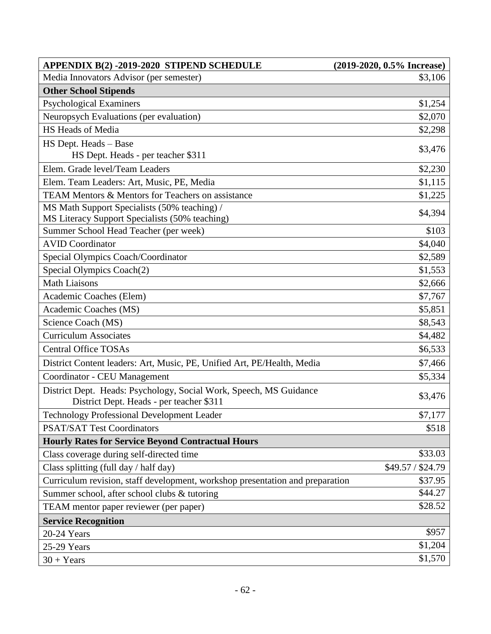| <b>APPENDIX B(2) -2019-2020 STIPEND SCHEDULE</b>                                                               | (2019-2020, 0.5% Increase) |
|----------------------------------------------------------------------------------------------------------------|----------------------------|
| Media Innovators Advisor (per semester)                                                                        | \$3,106                    |
| <b>Other School Stipends</b>                                                                                   |                            |
| <b>Psychological Examiners</b>                                                                                 | \$1,254                    |
| Neuropsych Evaluations (per evaluation)                                                                        | \$2,070                    |
| HS Heads of Media                                                                                              | \$2,298                    |
| HS Dept. Heads - Base                                                                                          | \$3,476                    |
| HS Dept. Heads - per teacher \$311                                                                             |                            |
| Elem. Grade level/Team Leaders                                                                                 | \$2,230                    |
| Elem. Team Leaders: Art, Music, PE, Media                                                                      | \$1,115                    |
| <b>TEAM Mentors &amp; Mentors for Teachers on assistance</b>                                                   | \$1,225                    |
| MS Math Support Specialists (50% teaching) /                                                                   | \$4,394                    |
| MS Literacy Support Specialists (50% teaching)                                                                 |                            |
| Summer School Head Teacher (per week)                                                                          | \$103                      |
| <b>AVID Coordinator</b>                                                                                        | \$4,040                    |
| Special Olympics Coach/Coordinator                                                                             | \$2,589                    |
| Special Olympics Coach(2)                                                                                      | \$1,553                    |
| <b>Math Liaisons</b>                                                                                           | \$2,666                    |
| Academic Coaches (Elem)                                                                                        | \$7,767                    |
| Academic Coaches (MS)                                                                                          | \$5,851                    |
| Science Coach (MS)                                                                                             | \$8,543                    |
| <b>Curriculum Associates</b>                                                                                   | \$4,482                    |
| <b>Central Office TOSAs</b>                                                                                    | \$6,533                    |
| District Content leaders: Art, Music, PE, Unified Art, PE/Health, Media                                        | \$7,466                    |
| Coordinator - CEU Management                                                                                   | \$5,334                    |
| District Dept. Heads: Psychology, Social Work, Speech, MS Guidance<br>District Dept. Heads - per teacher \$311 | \$3,476                    |
| Technology Professional Development Leader                                                                     | \$7,177                    |
| <b>PSAT/SAT Test Coordinators</b>                                                                              | \$518                      |
| <b>Hourly Rates for Service Beyond Contractual Hours</b>                                                       |                            |
| Class coverage during self-directed time                                                                       | \$33.03                    |
| Class splitting (full day / half day)                                                                          | \$49.57 / \$24.79          |
| Curriculum revision, staff development, workshop presentation and preparation                                  | \$37.95                    |
| Summer school, after school clubs & tutoring                                                                   | \$44.27                    |
| TEAM mentor paper reviewer (per paper)                                                                         | \$28.52                    |
| <b>Service Recognition</b>                                                                                     |                            |
| 20-24 Years                                                                                                    | \$957                      |
| 25-29 Years                                                                                                    | \$1,204                    |
| $30 + Years$                                                                                                   | \$1,570                    |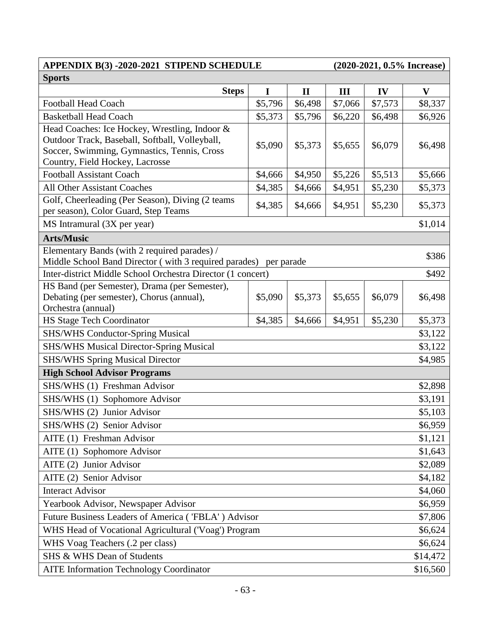### **APPENDIX B(3) -2020-2021 STIPEND SCHEDULE (2020-2021, 0.5% Increase) Sports**

|                                                                                                                  | <b>Steps</b> | 1       | $\mathbf{I}$ | Ш       | IV      | $\mathbf{V}$ |
|------------------------------------------------------------------------------------------------------------------|--------------|---------|--------------|---------|---------|--------------|
| <b>Football Head Coach</b>                                                                                       |              | \$5,796 | \$6,498      | \$7,066 | \$7,573 | \$8,337      |
| <b>Basketball Head Coach</b>                                                                                     |              | \$5,373 | \$5,796      | \$6,220 | \$6,498 | \$6,926      |
| Head Coaches: Ice Hockey, Wrestling, Indoor &                                                                    |              |         |              |         |         |              |
| Outdoor Track, Baseball, Softball, Volleyball,                                                                   |              | \$5,090 | \$5,373      | \$5,655 | \$6,079 | \$6,498      |
| Soccer, Swimming, Gymnastics, Tennis, Cross                                                                      |              |         |              |         |         |              |
| Country, Field Hockey, Lacrosse                                                                                  |              |         |              |         |         |              |
| <b>Football Assistant Coach</b>                                                                                  |              | \$4,666 | \$4,950      | \$5,226 | \$5,513 | \$5,666      |
| <b>All Other Assistant Coaches</b>                                                                               |              | \$4,385 | \$4,666      | \$4,951 | \$5,230 | \$5,373      |
| Golf, Cheerleading (Per Season), Diving (2 teams                                                                 |              | \$4,385 | \$4,666      | \$4,951 | \$5,230 | \$5,373      |
| per season), Color Guard, Step Teams                                                                             |              |         |              |         |         |              |
| MS Intramural (3X per year)                                                                                      |              |         |              |         |         | \$1,014      |
| <b>Arts/Music</b>                                                                                                |              |         |              |         |         |              |
| Elementary Bands (with 2 required parades) /<br>Middle School Band Director (with 3 required parades) per parade |              |         |              |         |         | \$386        |
| Inter-district Middle School Orchestra Director (1 concert)                                                      |              |         |              |         |         | \$492        |
| HS Band (per Semester), Drama (per Semester),                                                                    |              |         |              |         |         |              |
| Debating (per semester), Chorus (annual),                                                                        |              | \$5,090 | \$5,373      | \$5,655 | \$6,079 | \$6,498      |
| Orchestra (annual)                                                                                               |              |         |              |         |         |              |
| <b>HS Stage Tech Coordinator</b>                                                                                 |              | \$4,385 | \$4,666      | \$4,951 | \$5,230 | \$5,373      |
| <b>SHS/WHS Conductor-Spring Musical</b><br>\$3,122                                                               |              |         |              |         |         |              |
| <b>SHS/WHS Musical Director-Spring Musical</b><br>\$3,122                                                        |              |         |              |         |         |              |
| <b>SHS/WHS Spring Musical Director</b>                                                                           |              |         |              |         |         | \$4,985      |
| <b>High School Advisor Programs</b>                                                                              |              |         |              |         |         |              |
| SHS/WHS (1) Freshman Advisor                                                                                     |              |         |              |         |         | \$2,898      |
| SHS/WHS (1) Sophomore Advisor                                                                                    |              |         |              |         |         | \$3,191      |
| SHS/WHS (2) Junior Advisor                                                                                       |              |         |              |         |         | \$5,103      |
| SHS/WHS (2) Senior Advisor                                                                                       |              |         |              |         |         | \$6,959      |
| AITE (1) Freshman Advisor                                                                                        |              |         |              |         |         | \$1,121      |
| AITE (1) Sophomore Advisor                                                                                       |              |         |              |         |         | \$1,643      |
| AITE (2) Junior Advisor                                                                                          |              |         |              |         |         | \$2,089      |
| AITE (2) Senior Advisor                                                                                          |              |         |              |         |         | \$4,182      |
| <b>Interact Advisor</b>                                                                                          |              |         |              |         |         | \$4,060      |
| Yearbook Advisor, Newspaper Advisor<br>\$6,959                                                                   |              |         |              |         |         |              |
| Future Business Leaders of America ('FBLA') Advisor<br>\$7,806                                                   |              |         |              |         |         |              |
| WHS Head of Vocational Agricultural ('Voag') Program<br>\$6,624                                                  |              |         |              |         |         |              |
| WHS Voag Teachers (.2 per class)<br>\$6,624                                                                      |              |         |              |         |         |              |
| SHS & WHS Dean of Students                                                                                       |              |         |              |         |         | \$14,472     |
| <b>AITE Information Technology Coordinator</b><br>\$16,560                                                       |              |         |              |         |         |              |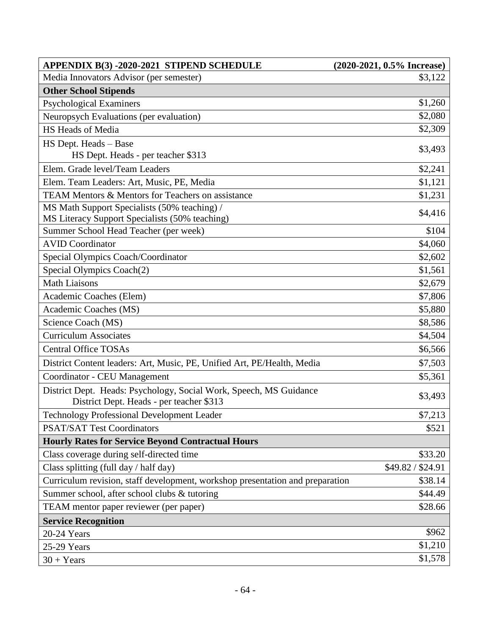| APPENDIX B(3) -2020-2021 STIPEND SCHEDULE                                                                      | $(2020-2021, 0.5\%$ Increase) |
|----------------------------------------------------------------------------------------------------------------|-------------------------------|
| Media Innovators Advisor (per semester)                                                                        | \$3,122                       |
| <b>Other School Stipends</b>                                                                                   |                               |
| <b>Psychological Examiners</b>                                                                                 | \$1,260                       |
| Neuropsych Evaluations (per evaluation)                                                                        | \$2,080                       |
| HS Heads of Media                                                                                              | \$2,309                       |
| HS Dept. Heads - Base                                                                                          | \$3,493                       |
| HS Dept. Heads - per teacher \$313                                                                             |                               |
| Elem. Grade level/Team Leaders                                                                                 | \$2,241                       |
| Elem. Team Leaders: Art, Music, PE, Media                                                                      | \$1,121                       |
| <b>TEAM Mentors &amp; Mentors for Teachers on assistance</b>                                                   | \$1,231                       |
| MS Math Support Specialists (50% teaching) /                                                                   | \$4,416                       |
| MS Literacy Support Specialists (50% teaching)                                                                 |                               |
| Summer School Head Teacher (per week)                                                                          | \$104                         |
| <b>AVID Coordinator</b>                                                                                        | \$4,060                       |
| Special Olympics Coach/Coordinator                                                                             | \$2,602                       |
| Special Olympics Coach(2)                                                                                      | \$1,561                       |
| <b>Math Liaisons</b>                                                                                           | \$2,679                       |
| Academic Coaches (Elem)                                                                                        | \$7,806                       |
| Academic Coaches (MS)                                                                                          | \$5,880                       |
| Science Coach (MS)                                                                                             | \$8,586                       |
| <b>Curriculum Associates</b>                                                                                   | \$4,504                       |
| <b>Central Office TOSAs</b>                                                                                    | \$6,566                       |
| District Content leaders: Art, Music, PE, Unified Art, PE/Health, Media                                        | \$7,503                       |
| Coordinator - CEU Management                                                                                   | \$5,361                       |
| District Dept. Heads: Psychology, Social Work, Speech, MS Guidance<br>District Dept. Heads - per teacher \$313 | \$3,493                       |
| Technology Professional Development Leader                                                                     | \$7,213                       |
| <b>PSAT/SAT Test Coordinators</b>                                                                              | \$521                         |
| <b>Hourly Rates for Service Beyond Contractual Hours</b>                                                       |                               |
| Class coverage during self-directed time                                                                       | \$33.20                       |
| Class splitting (full day / half day)                                                                          | \$49.82 / \$24.91             |
| Curriculum revision, staff development, workshop presentation and preparation                                  | \$38.14                       |
| Summer school, after school clubs & tutoring                                                                   | \$44.49                       |
| TEAM mentor paper reviewer (per paper)                                                                         | \$28.66                       |
| <b>Service Recognition</b>                                                                                     |                               |
| 20-24 Years                                                                                                    | \$962                         |
| 25-29 Years                                                                                                    | \$1,210                       |
| $30 + Years$                                                                                                   | \$1,578                       |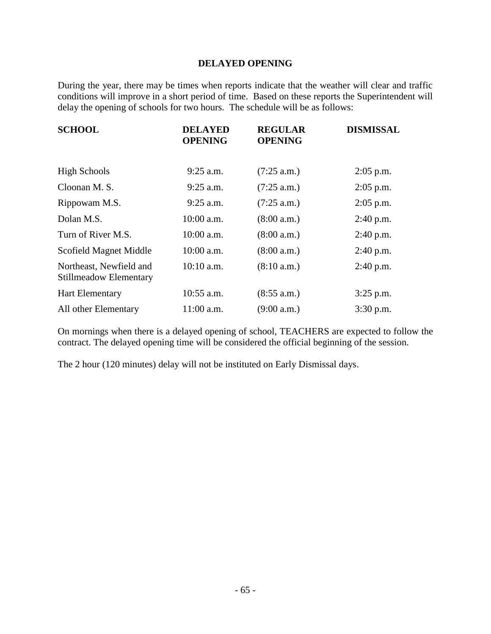#### **DELAYED OPENING**

During the year, there may be times when reports indicate that the weather will clear and traffic conditions will improve in a short period of time. Based on these reports the Superintendent will delay the opening of schools for two hours. The schedule will be as follows:

| <b>SCHOOL</b>                                     | <b>DELAYED</b><br><b>OPENING</b> | <b>REGULAR</b><br><b>OPENING</b> | <b>DISMISSAL</b> |
|---------------------------------------------------|----------------------------------|----------------------------------|------------------|
| <b>High Schools</b>                               | $9:25$ a.m.                      | (7:25 a.m.)                      | $2:05$ p.m.      |
| Cloonan M.S.                                      | $9:25$ a.m.                      | (7:25 a.m.)                      | $2:05$ p.m.      |
| Rippowam M.S.                                     | $9:25$ a.m.                      | (7:25 a.m.)                      | $2:05$ p.m.      |
| Dolan M.S.                                        | 10:00 a.m.                       | (8:00 a.m.)                      | $2:40$ p.m.      |
| Turn of River M.S.                                | $10:00$ a.m.                     | (8:00 a.m.)                      | 2:40 p.m.        |
| Scofield Magnet Middle                            | 10:00 a.m.                       | (8:00 a.m.)                      | 2:40 p.m.        |
| Northeast, Newfield and<br>Stillmeadow Elementary | $10:10$ a.m.                     | (8:10 a.m.)                      | $2:40$ p.m.      |
| <b>Hart Elementary</b>                            | $10:55$ a.m.                     | (8:55 a.m.)                      | $3:25$ p.m.      |
| All other Elementary                              | $11:00$ a.m.                     | (9:00 a.m.)                      | $3:30$ p.m.      |

On mornings when there is a delayed opening of school, TEACHERS are expected to follow the contract. The delayed opening time will be considered the official beginning of the session.

The 2 hour (120 minutes) delay will not be instituted on Early Dismissal days.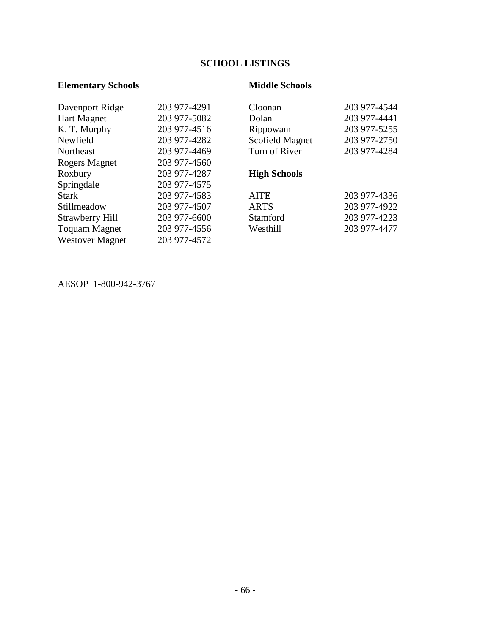# **SCHOOL LISTINGS**

## **Elementary Schools Middle Schools**

| Davenport Ridge        | 203 977-4291 | Cloonan             | 203 977-4544 |
|------------------------|--------------|---------------------|--------------|
| <b>Hart Magnet</b>     | 203 977-5082 | Dolan               | 203 977-4441 |
| K. T. Murphy           | 203 977-4516 | Rippowam            | 203 977-5255 |
| Newfield               | 203 977-4282 | Scofield Magnet     | 203 977-2750 |
| Northeast              | 203 977-4469 | Turn of River       | 203 977-4284 |
| Rogers Magnet          | 203 977-4560 |                     |              |
| Roxbury                | 203 977-4287 | <b>High Schools</b> |              |
| Springdale             | 203 977-4575 |                     |              |
| <b>Stark</b>           | 203 977-4583 | <b>AITE</b>         | 203 977-4336 |
| Stillmeadow            | 203 977-4507 | <b>ARTS</b>         | 203 977-4922 |
| Strawberry Hill        | 203 977-6600 | Stamford            | 203 977-4223 |
| <b>Toquam Magnet</b>   | 203 977-4556 | Westhill            | 203 977-4477 |
| <b>Westover Magnet</b> | 203 977-4572 |                     |              |
|                        |              |                     |              |

AESOP 1-800-942-3767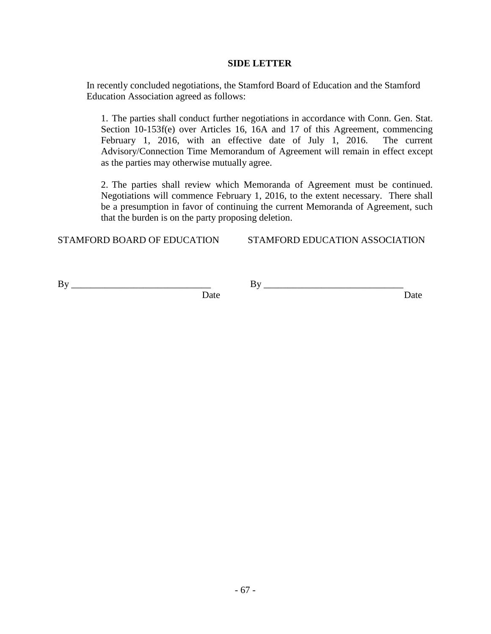#### **SIDE LETTER**

In recently concluded negotiations, the Stamford Board of Education and the Stamford Education Association agreed as follows:

1. The parties shall conduct further negotiations in accordance with Conn. Gen. Stat. Section 10-153f(e) over Articles 16, 16A and 17 of this Agreement, commencing February 1, 2016, with an effective date of July 1, 2016. The current Advisory/Connection Time Memorandum of Agreement will remain in effect except as the parties may otherwise mutually agree.

2. The parties shall review which Memoranda of Agreement must be continued. Negotiations will commence February 1, 2016, to the extent necessary. There shall be a presumption in favor of continuing the current Memoranda of Agreement, such that the burden is on the party proposing deletion.

STAMFORD BOARD OF EDUCATION STAMFORD EDUCATION ASSOCIATION

 $\mathbf{B} \mathbf{y}$   $\mathbf{B} \mathbf{y}$   $\mathbf{B} \mathbf{y}$ 

Date Date Date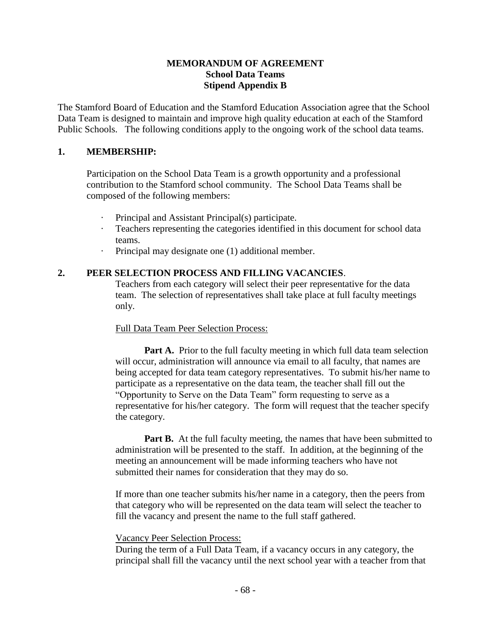#### **MEMORANDUM OF AGREEMENT School Data Teams Stipend Appendix B**

The Stamford Board of Education and the Stamford Education Association agree that the School Data Team is designed to maintain and improve high quality education at each of the Stamford Public Schools. The following conditions apply to the ongoing work of the school data teams.

#### **1. MEMBERSHIP:**

Participation on the School Data Team is a growth opportunity and a professional contribution to the Stamford school community.The School Data Teams shall be composed of the following members:

- Principal and Assistant Principal(s) participate.
- Teachers representing the categories identified in this document for school data teams.
- · Principal may designate one (1) additional member.

### **2. PEER SELECTION PROCESS AND FILLING VACANCIES**.

Teachers from each category will select their peer representative for the data team. The selection of representatives shall take place at full faculty meetings only.

### Full Data Team Peer Selection Process:

**Part A.** Prior to the full faculty meeting in which full data team selection will occur, administration will announce via email to all faculty, that names are being accepted for data team category representatives. To submit his/her name to participate as a representative on the data team, the teacher shall fill out the "Opportunity to Serve on the Data Team" form requesting to serve as a representative for his/her category. The form will request that the teacher specify the category.

**Part B.** At the full faculty meeting, the names that have been submitted to administration will be presented to the staff. In addition, at the beginning of the meeting an announcement will be made informing teachers who have not submitted their names for consideration that they may do so.

If more than one teacher submits his/her name in a category, then the peers from that category who will be represented on the data team will select the teacher to fill the vacancy and present the name to the full staff gathered.

#### Vacancy Peer Selection Process:

During the term of a Full Data Team, if a vacancy occurs in any category, the principal shall fill the vacancy until the next school year with a teacher from that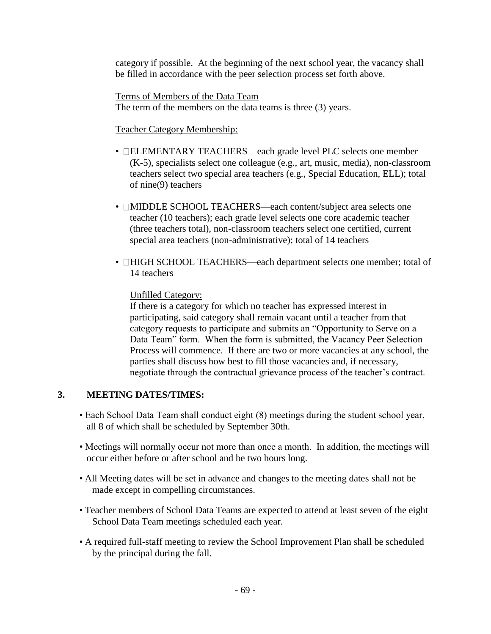category if possible. At the beginning of the next school year, the vacancy shall be filled in accordance with the peer selection process set forth above.

 Terms of Members of the Data Team The term of the members on the data teams is three (3) years.

## Teacher Category Membership:

- **ELEMENTARY TEACHERS—each grade level PLC selects one member** (K-5), specialists select one colleague (e.g., art, music, media), non-classroom teachers select two special area teachers (e.g., Special Education, ELL); total of nine(9) teachers
- **IMIDDLE SCHOOL TEACHERS—each content/subject area selects one** teacher (10 teachers); each grade level selects one core academic teacher (three teachers total), non-classroom teachers select one certified, current special area teachers (non-administrative); total of 14 teachers
- **HIGH SCHOOL TEACHERS—each department selects one member; total of** 14 teachers

## Unfilled Category:

If there is a category for which no teacher has expressed interest in participating, said category shall remain vacant until a teacher from that category requests to participate and submits an "Opportunity to Serve on a Data Team" form. When the form is submitted, the Vacancy Peer Selection Process will commence. If there are two or more vacancies at any school, the parties shall discuss how best to fill those vacancies and, if necessary, negotiate through the contractual grievance process of the teacher's contract.

## **3. MEETING DATES/TIMES:**

- Each School Data Team shall conduct eight (8) meetings during the student school year, all 8 of which shall be scheduled by September 30th.
- Meetings will normally occur not more than once a month. In addition, the meetings will occur either before or after school and be two hours long.
- All Meeting dates will be set in advance and changes to the meeting dates shall not be made except in compelling circumstances.
- Teacher members of School Data Teams are expected to attend at least seven of the eight School Data Team meetings scheduled each year.
- A required full-staff meeting to review the School Improvement Plan shall be scheduled by the principal during the fall.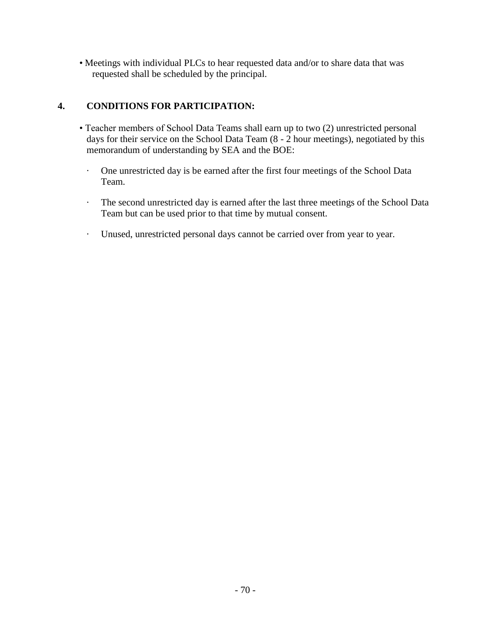• Meetings with individual PLCs to hear requested data and/or to share data that was requested shall be scheduled by the principal.

# **4. CONDITIONS FOR PARTICIPATION:**

- Teacher members of School Data Teams shall earn up to two (2) unrestricted personal days for their service on the School Data Team (8 - 2 hour meetings), negotiated by this memorandum of understanding by SEA and the BOE:
	- · One unrestricted day is be earned after the first four meetings of the School Data Team.
	- · The second unrestricted day is earned after the last three meetings of the School Data Team but can be used prior to that time by mutual consent.
	- · Unused, unrestricted personal days cannot be carried over from year to year.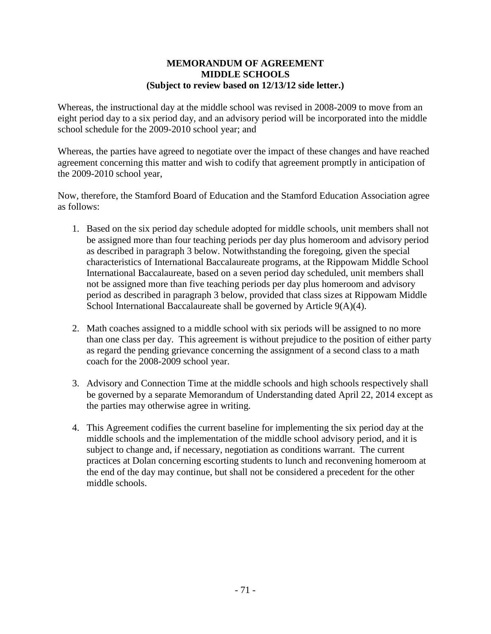#### **MEMORANDUM OF AGREEMENT MIDDLE SCHOOLS (Subject to review based on 12/13/12 side letter.)**

Whereas, the instructional day at the middle school was revised in 2008-2009 to move from an eight period day to a six period day, and an advisory period will be incorporated into the middle school schedule for the 2009-2010 school year; and

Whereas, the parties have agreed to negotiate over the impact of these changes and have reached agreement concerning this matter and wish to codify that agreement promptly in anticipation of the 2009-2010 school year,

Now, therefore, the Stamford Board of Education and the Stamford Education Association agree as follows:

- 1. Based on the six period day schedule adopted for middle schools, unit members shall not be assigned more than four teaching periods per day plus homeroom and advisory period as described in paragraph 3 below. Notwithstanding the foregoing, given the special characteristics of International Baccalaureate programs, at the Rippowam Middle School International Baccalaureate, based on a seven period day scheduled, unit members shall not be assigned more than five teaching periods per day plus homeroom and advisory period as described in paragraph 3 below, provided that class sizes at Rippowam Middle School International Baccalaureate shall be governed by Article 9(A)(4).
- 2. Math coaches assigned to a middle school with six periods will be assigned to no more than one class per day. This agreement is without prejudice to the position of either party as regard the pending grievance concerning the assignment of a second class to a math coach for the 2008-2009 school year.
- 3. Advisory and Connection Time at the middle schools and high schools respectively shall be governed by a separate Memorandum of Understanding dated April 22, 2014 except as the parties may otherwise agree in writing.
- 4. This Agreement codifies the current baseline for implementing the six period day at the middle schools and the implementation of the middle school advisory period, and it is subject to change and, if necessary, negotiation as conditions warrant. The current practices at Dolan concerning escorting students to lunch and reconvening homeroom at the end of the day may continue, but shall not be considered a precedent for the other middle schools.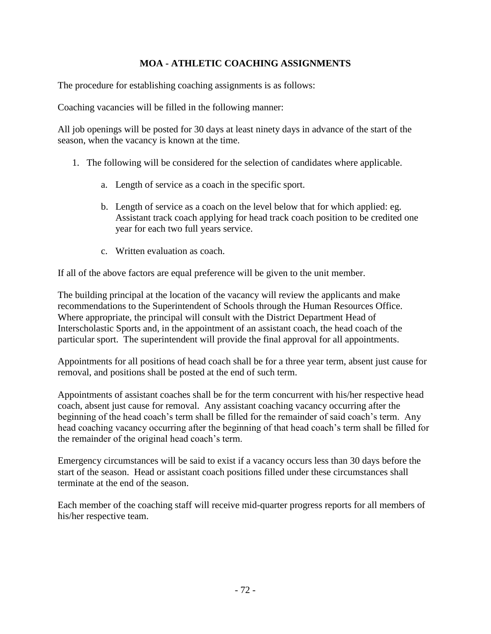## **MOA - ATHLETIC COACHING ASSIGNMENTS**

The procedure for establishing coaching assignments is as follows:

Coaching vacancies will be filled in the following manner:

All job openings will be posted for 30 days at least ninety days in advance of the start of the season, when the vacancy is known at the time.

- 1. The following will be considered for the selection of candidates where applicable.
	- a. Length of service as a coach in the specific sport.
	- b. Length of service as a coach on the level below that for which applied: eg. Assistant track coach applying for head track coach position to be credited one year for each two full years service.
	- c. Written evaluation as coach.

If all of the above factors are equal preference will be given to the unit member.

The building principal at the location of the vacancy will review the applicants and make recommendations to the Superintendent of Schools through the Human Resources Office. Where appropriate, the principal will consult with the District Department Head of Interscholastic Sports and, in the appointment of an assistant coach, the head coach of the particular sport. The superintendent will provide the final approval for all appointments.

Appointments for all positions of head coach shall be for a three year term, absent just cause for removal, and positions shall be posted at the end of such term.

Appointments of assistant coaches shall be for the term concurrent with his/her respective head coach, absent just cause for removal. Any assistant coaching vacancy occurring after the beginning of the head coach's term shall be filled for the remainder of said coach's term. Any head coaching vacancy occurring after the beginning of that head coach's term shall be filled for the remainder of the original head coach's term.

Emergency circumstances will be said to exist if a vacancy occurs less than 30 days before the start of the season. Head or assistant coach positions filled under these circumstances shall terminate at the end of the season.

Each member of the coaching staff will receive mid-quarter progress reports for all members of his/her respective team.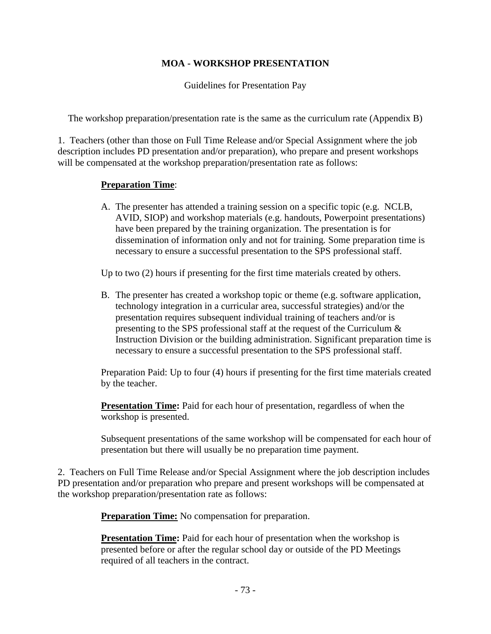## **MOA - WORKSHOP PRESENTATION**

Guidelines for Presentation Pay

The workshop preparation/presentation rate is the same as the curriculum rate (Appendix B)

1. Teachers (other than those on Full Time Release and/or Special Assignment where the job description includes PD presentation and/or preparation), who prepare and present workshops will be compensated at the workshop preparation/presentation rate as follows:

#### **Preparation Time**:

A. The presenter has attended a training session on a specific topic (e.g. NCLB, AVID, SIOP) and workshop materials (e.g. handouts, Powerpoint presentations) have been prepared by the training organization. The presentation is for dissemination of information only and not for training*.* Some preparation time is necessary to ensure a successful presentation to the SPS professional staff.

Up to two (2) hours if presenting for the first time materials created by others.

B. The presenter has created a workshop topic or theme (e.g. software application, technology integration in a curricular area, successful strategies) and/or the presentation requires subsequent individual training of teachers and/or is presenting to the SPS professional staff at the request of the Curriculum & Instruction Division or the building administration. Significant preparation time is necessary to ensure a successful presentation to the SPS professional staff.

Preparation Paid: Up to four (4) hours if presenting for the first time materials created by the teacher.

**Presentation Time:** Paid for each hour of presentation, regardless of when the workshop is presented.

Subsequent presentations of the same workshop will be compensated for each hour of presentation but there will usually be no preparation time payment.

2. Teachers on Full Time Release and/or Special Assignment where the job description includes PD presentation and/or preparation who prepare and present workshops will be compensated at the workshop preparation/presentation rate as follows:

**Preparation Time:** No compensation for preparation.

**Presentation Time:** Paid for each hour of presentation when the workshop is presented before or after the regular school day or outside of the PD Meetings required of all teachers in the contract.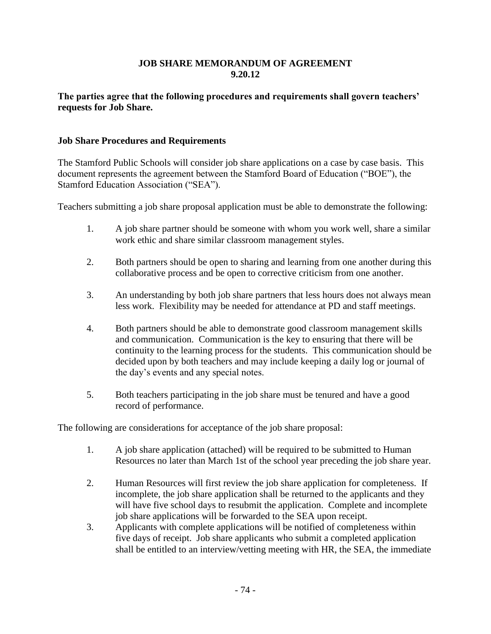#### **JOB SHARE MEMORANDUM OF AGREEMENT 9.20.12**

#### **The parties agree that the following procedures and requirements shall govern teachers' requests for Job Share.**

#### **Job Share Procedures and Requirements**

The Stamford Public Schools will consider job share applications on a case by case basis. This document represents the agreement between the Stamford Board of Education ("BOE"), the Stamford Education Association ("SEA").

Teachers submitting a job share proposal application must be able to demonstrate the following:

- 1. A job share partner should be someone with whom you work well, share a similar work ethic and share similar classroom management styles.
- 2. Both partners should be open to sharing and learning from one another during this collaborative process and be open to corrective criticism from one another.
- 3. An understanding by both job share partners that less hours does not always mean less work. Flexibility may be needed for attendance at PD and staff meetings.
- 4. Both partners should be able to demonstrate good classroom management skills and communication. Communication is the key to ensuring that there will be continuity to the learning process for the students. This communication should be decided upon by both teachers and may include keeping a daily log or journal of the day's events and any special notes.
- 5. Both teachers participating in the job share must be tenured and have a good record of performance.

The following are considerations for acceptance of the job share proposal:

- 1. A job share application (attached) will be required to be submitted to Human Resources no later than March 1st of the school year preceding the job share year.
- 2. Human Resources will first review the job share application for completeness. If incomplete, the job share application shall be returned to the applicants and they will have five school days to resubmit the application. Complete and incomplete job share applications will be forwarded to the SEA upon receipt.
- 3. Applicants with complete applications will be notified of completeness within five days of receipt. Job share applicants who submit a completed application shall be entitled to an interview/vetting meeting with HR, the SEA, the immediate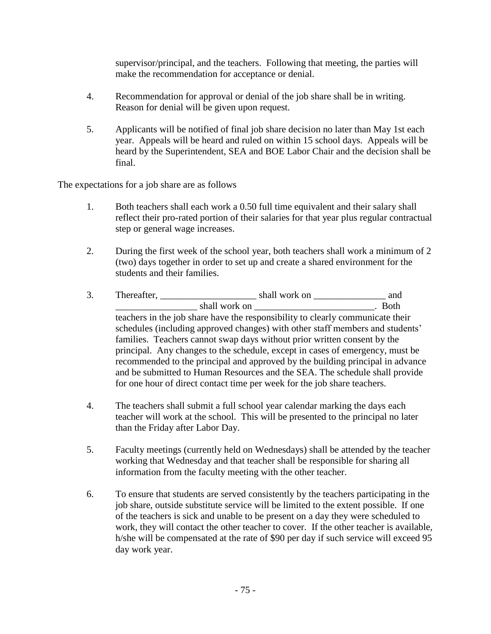supervisor/principal, and the teachers. Following that meeting, the parties will make the recommendation for acceptance or denial.

- 4. Recommendation for approval or denial of the job share shall be in writing. Reason for denial will be given upon request.
- 5. Applicants will be notified of final job share decision no later than May 1st each year. Appeals will be heard and ruled on within 15 school days. Appeals will be heard by the Superintendent, SEA and BOE Labor Chair and the decision shall be final.

The expectations for a job share are as follows

- 1. Both teachers shall each work a 0.50 full time equivalent and their salary shall reflect their pro-rated portion of their salaries for that year plus regular contractual step or general wage increases.
- 2. During the first week of the school year, both teachers shall work a minimum of 2 (two) days together in order to set up and create a shared environment for the students and their families.
- 3. Thereafter, \_\_\_\_\_\_\_\_\_\_\_\_\_\_\_\_\_\_\_\_ shall work on \_\_\_\_\_\_\_\_\_\_\_\_\_\_\_ and \_\_\_\_\_\_\_\_\_\_\_\_\_\_\_\_\_ shall work on \_\_\_\_\_\_\_\_\_\_\_\_\_\_\_\_\_\_\_\_\_\_\_\_\_. Both teachers in the job share have the responsibility to clearly communicate their schedules (including approved changes) with other staff members and students' families. Teachers cannot swap days without prior written consent by the principal. Any changes to the schedule, except in cases of emergency, must be recommended to the principal and approved by the building principal in advance and be submitted to Human Resources and the SEA. The schedule shall provide for one hour of direct contact time per week for the job share teachers.
- 4. The teachers shall submit a full school year calendar marking the days each teacher will work at the school. This will be presented to the principal no later than the Friday after Labor Day.
- 5. Faculty meetings (currently held on Wednesdays) shall be attended by the teacher working that Wednesday and that teacher shall be responsible for sharing all information from the faculty meeting with the other teacher.
- 6. To ensure that students are served consistently by the teachers participating in the job share, outside substitute service will be limited to the extent possible. If one of the teachers is sick and unable to be present on a day they were scheduled to work, they will contact the other teacher to cover. If the other teacher is available, h/she will be compensated at the rate of \$90 per day if such service will exceed 95 day work year.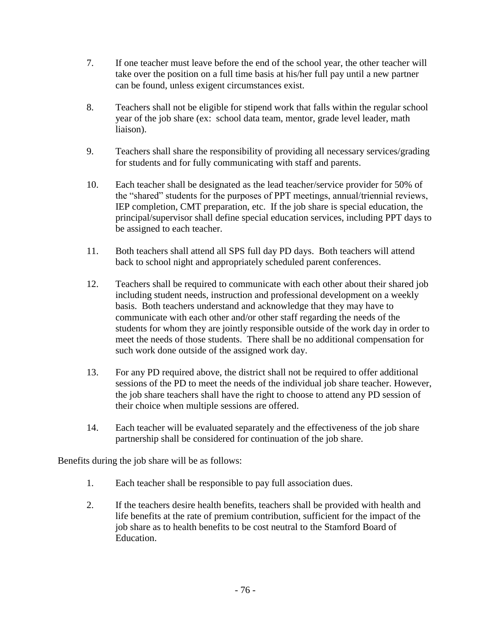- 7. If one teacher must leave before the end of the school year, the other teacher will take over the position on a full time basis at his/her full pay until a new partner can be found, unless exigent circumstances exist.
- 8. Teachers shall not be eligible for stipend work that falls within the regular school year of the job share (ex: school data team, mentor, grade level leader, math liaison).
- 9. Teachers shall share the responsibility of providing all necessary services/grading for students and for fully communicating with staff and parents.
- 10. Each teacher shall be designated as the lead teacher/service provider for 50% of the "shared" students for the purposes of PPT meetings, annual/triennial reviews, IEP completion, CMT preparation, etc. If the job share is special education, the principal/supervisor shall define special education services, including PPT days to be assigned to each teacher.
- 11. Both teachers shall attend all SPS full day PD days. Both teachers will attend back to school night and appropriately scheduled parent conferences.
- 12. Teachers shall be required to communicate with each other about their shared job including student needs, instruction and professional development on a weekly basis. Both teachers understand and acknowledge that they may have to communicate with each other and/or other staff regarding the needs of the students for whom they are jointly responsible outside of the work day in order to meet the needs of those students. There shall be no additional compensation for such work done outside of the assigned work day.
- 13. For any PD required above, the district shall not be required to offer additional sessions of the PD to meet the needs of the individual job share teacher. However, the job share teachers shall have the right to choose to attend any PD session of their choice when multiple sessions are offered.
- 14. Each teacher will be evaluated separately and the effectiveness of the job share partnership shall be considered for continuation of the job share.

Benefits during the job share will be as follows:

- 1. Each teacher shall be responsible to pay full association dues.
- 2. If the teachers desire health benefits, teachers shall be provided with health and life benefits at the rate of premium contribution, sufficient for the impact of the job share as to health benefits to be cost neutral to the Stamford Board of Education.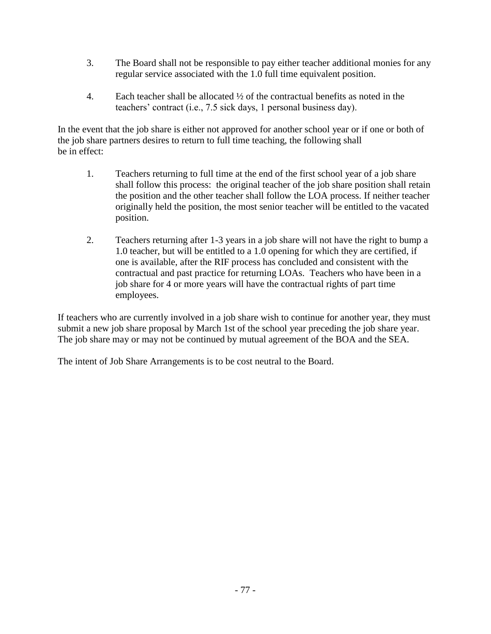- 3. The Board shall not be responsible to pay either teacher additional monies for any regular service associated with the 1.0 full time equivalent position.
- 4. Each teacher shall be allocated  $\frac{1}{2}$  of the contractual benefits as noted in the teachers' contract (i.e., 7.5 sick days, 1 personal business day).

In the event that the job share is either not approved for another school year or if one or both of the job share partners desires to return to full time teaching, the following shall be in effect:

- 1. Teachers returning to full time at the end of the first school year of a job share shall follow this process: the original teacher of the job share position shall retain the position and the other teacher shall follow the LOA process. If neither teacher originally held the position, the most senior teacher will be entitled to the vacated position.
- 2. Teachers returning after 1-3 years in a job share will not have the right to bump a 1.0 teacher, but will be entitled to a 1.0 opening for which they are certified, if one is available, after the RIF process has concluded and consistent with the contractual and past practice for returning LOAs. Teachers who have been in a job share for 4 or more years will have the contractual rights of part time employees.

If teachers who are currently involved in a job share wish to continue for another year, they must submit a new job share proposal by March 1st of the school year preceding the job share year. The job share may or may not be continued by mutual agreement of the BOA and the SEA.

The intent of Job Share Arrangements is to be cost neutral to the Board.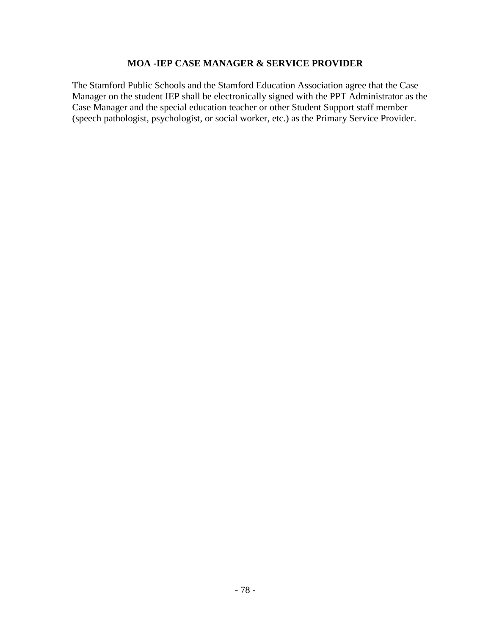### **MOA -IEP CASE MANAGER & SERVICE PROVIDER**

The Stamford Public Schools and the Stamford Education Association agree that the Case Manager on the student IEP shall be electronically signed with the PPT Administrator as the Case Manager and the special education teacher or other Student Support staff member (speech pathologist, psychologist, or social worker, etc.) as the Primary Service Provider.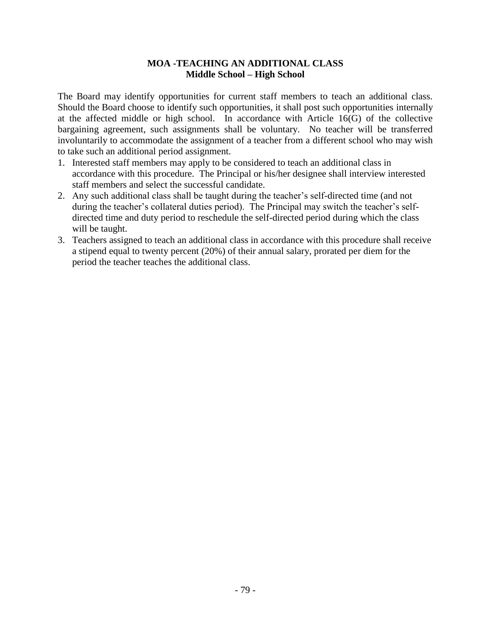#### **MOA -TEACHING AN ADDITIONAL CLASS Middle School – High School**

The Board may identify opportunities for current staff members to teach an additional class. Should the Board choose to identify such opportunities, it shall post such opportunities internally at the affected middle or high school. In accordance with Article 16(G) of the collective bargaining agreement, such assignments shall be voluntary. No teacher will be transferred involuntarily to accommodate the assignment of a teacher from a different school who may wish to take such an additional period assignment.

- 1. Interested staff members may apply to be considered to teach an additional class in accordance with this procedure. The Principal or his/her designee shall interview interested staff members and select the successful candidate.
- 2. Any such additional class shall be taught during the teacher's self-directed time (and not during the teacher's collateral duties period). The Principal may switch the teacher's selfdirected time and duty period to reschedule the self-directed period during which the class will be taught.
- 3. Teachers assigned to teach an additional class in accordance with this procedure shall receive a stipend equal to twenty percent (20%) of their annual salary, prorated per diem for the period the teacher teaches the additional class.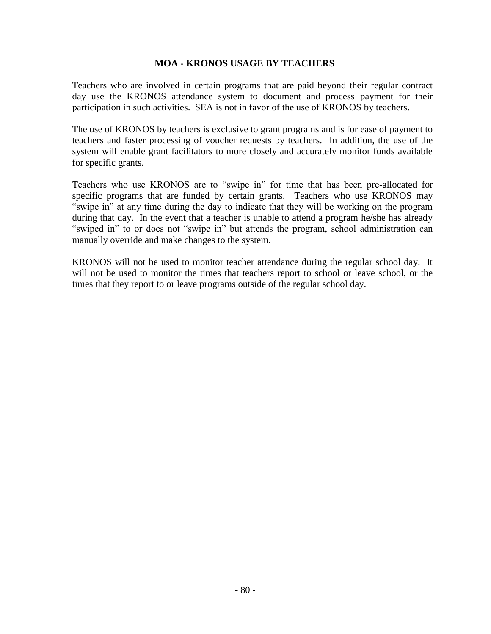#### **MOA - KRONOS USAGE BY TEACHERS**

Teachers who are involved in certain programs that are paid beyond their regular contract day use the KRONOS attendance system to document and process payment for their participation in such activities. SEA is not in favor of the use of KRONOS by teachers.

The use of KRONOS by teachers is exclusive to grant programs and is for ease of payment to teachers and faster processing of voucher requests by teachers. In addition, the use of the system will enable grant facilitators to more closely and accurately monitor funds available for specific grants.

Teachers who use KRONOS are to "swipe in" for time that has been pre-allocated for specific programs that are funded by certain grants. Teachers who use KRONOS may "swipe in" at any time during the day to indicate that they will be working on the program during that day. In the event that a teacher is unable to attend a program he/she has already "swiped in" to or does not "swipe in" but attends the program, school administration can manually override and make changes to the system.

KRONOS will not be used to monitor teacher attendance during the regular school day. It will not be used to monitor the times that teachers report to school or leave school, or the times that they report to or leave programs outside of the regular school day.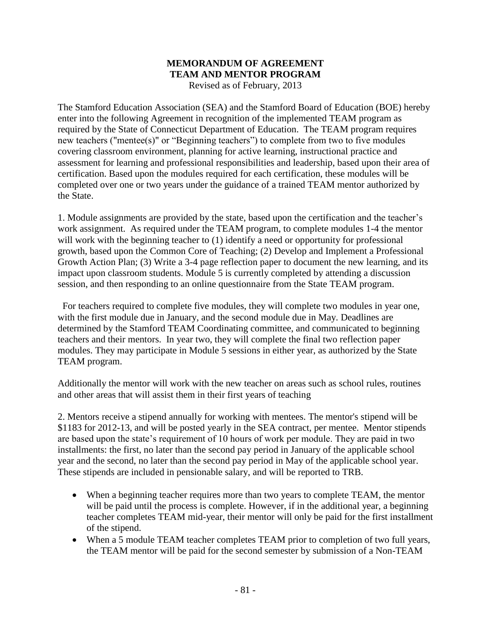#### **MEMORANDUM OF AGREEMENT TEAM AND MENTOR PROGRAM** Revised as of February, 2013

The Stamford Education Association (SEA) and the Stamford Board of Education (BOE) hereby enter into the following Agreement in recognition of the implemented TEAM program as required by the State of Connecticut Department of Education. The TEAM program requires new teachers ("mentee(s)" or "Beginning teachers") to complete from two to five modules covering classroom environment, planning for active learning, instructional practice and assessment for learning and professional responsibilities and leadership, based upon their area of certification. Based upon the modules required for each certification, these modules will be completed over one or two years under the guidance of a trained TEAM mentor authorized by the State.

1. Module assignments are provided by the state, based upon the certification and the teacher's work assignment. As required under the TEAM program, to complete modules 1-4 the mentor will work with the beginning teacher to (1) identify a need or opportunity for professional growth, based upon the Common Core of Teaching; (2) Develop and Implement a Professional Growth Action Plan; (3) Write a 3-4 page reflection paper to document the new learning, and its impact upon classroom students. Module 5 is currently completed by attending a discussion session, and then responding to an online questionnaire from the State TEAM program.

 For teachers required to complete five modules, they will complete two modules in year one, with the first module due in January, and the second module due in May. Deadlines are determined by the Stamford TEAM Coordinating committee, and communicated to beginning teachers and their mentors. In year two, they will complete the final two reflection paper modules. They may participate in Module 5 sessions in either year, as authorized by the State TEAM program.

Additionally the mentor will work with the new teacher on areas such as school rules, routines and other areas that will assist them in their first years of teaching

2. Mentors receive a stipend annually for working with mentees. The mentor's stipend will be \$1183 for 2012-13, and will be posted yearly in the SEA contract, per mentee. Mentor stipends are based upon the state's requirement of 10 hours of work per module. They are paid in two installments: the first, no later than the second pay period in January of the applicable school year and the second, no later than the second pay period in May of the applicable school year. These stipends are included in pensionable salary, and will be reported to TRB.

- When a beginning teacher requires more than two years to complete TEAM, the mentor will be paid until the process is complete. However, if in the additional year, a beginning teacher completes TEAM mid-year, their mentor will only be paid for the first installment of the stipend.
- When a 5 module TEAM teacher completes TEAM prior to completion of two full years, the TEAM mentor will be paid for the second semester by submission of a Non-TEAM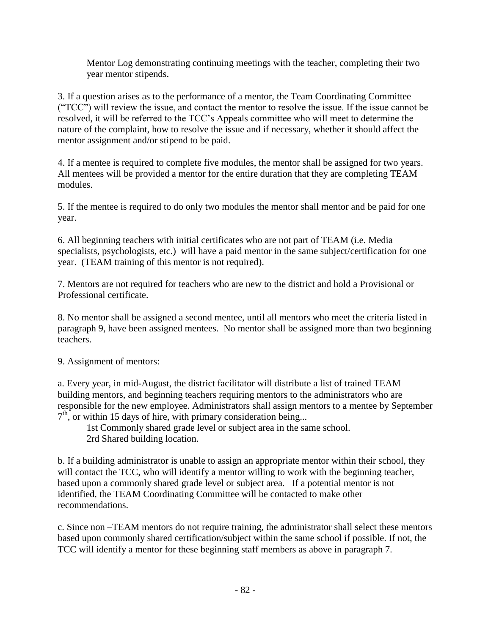Mentor Log demonstrating continuing meetings with the teacher, completing their two year mentor stipends.

3. If a question arises as to the performance of a mentor, the Team Coordinating Committee ("TCC") will review the issue, and contact the mentor to resolve the issue. If the issue cannot be resolved, it will be referred to the TCC's Appeals committee who will meet to determine the nature of the complaint, how to resolve the issue and if necessary, whether it should affect the mentor assignment and/or stipend to be paid.

4. If a mentee is required to complete five modules, the mentor shall be assigned for two years. All mentees will be provided a mentor for the entire duration that they are completing TEAM modules.

5. If the mentee is required to do only two modules the mentor shall mentor and be paid for one year.

6. All beginning teachers with initial certificates who are not part of TEAM (i.e. Media specialists, psychologists, etc.) will have a paid mentor in the same subject/certification for one year. (TEAM training of this mentor is not required).

7. Mentors are not required for teachers who are new to the district and hold a Provisional or Professional certificate.

8. No mentor shall be assigned a second mentee, until all mentors who meet the criteria listed in paragraph 9, have been assigned mentees. No mentor shall be assigned more than two beginning teachers.

9. Assignment of mentors:

a. Every year, in mid-August, the district facilitator will distribute a list of trained TEAM building mentors, and beginning teachers requiring mentors to the administrators who are responsible for the new employee. Administrators shall assign mentors to a mentee by September  $7<sup>th</sup>$ , or within 15 days of hire, with primary consideration being...

1st Commonly shared grade level or subject area in the same school. 2rd Shared building location.

b. If a building administrator is unable to assign an appropriate mentor within their school, they will contact the TCC, who will identify a mentor willing to work with the beginning teacher, based upon a commonly shared grade level or subject area. If a potential mentor is not identified, the TEAM Coordinating Committee will be contacted to make other recommendations.

c. Since non –TEAM mentors do not require training, the administrator shall select these mentors based upon commonly shared certification/subject within the same school if possible. If not, the TCC will identify a mentor for these beginning staff members as above in paragraph 7.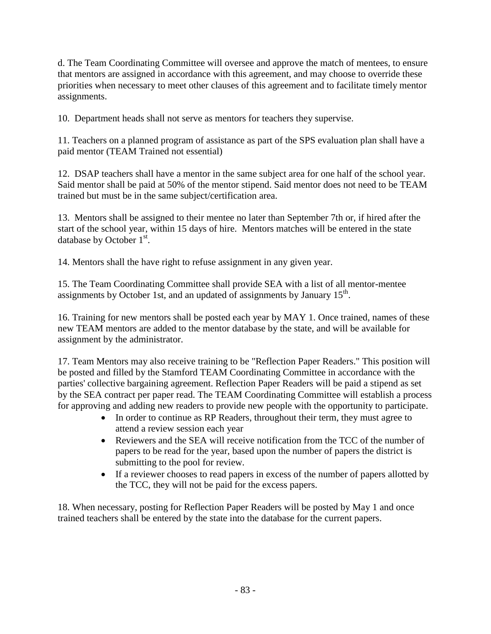d. The Team Coordinating Committee will oversee and approve the match of mentees, to ensure that mentors are assigned in accordance with this agreement, and may choose to override these priorities when necessary to meet other clauses of this agreement and to facilitate timely mentor assignments.

10. Department heads shall not serve as mentors for teachers they supervise.

11. Teachers on a planned program of assistance as part of the SPS evaluation plan shall have a paid mentor (TEAM Trained not essential)

12. DSAP teachers shall have a mentor in the same subject area for one half of the school year. Said mentor shall be paid at 50% of the mentor stipend. Said mentor does not need to be TEAM trained but must be in the same subject/certification area.

13. Mentors shall be assigned to their mentee no later than September 7th or, if hired after the start of the school year, within 15 days of hire. Mentors matches will be entered in the state database by October  $1<sup>st</sup>$ .

14. Mentors shall the have right to refuse assignment in any given year.

15. The Team Coordinating Committee shall provide SEA with a list of all mentor-mentee assignments by October 1st, and an updated of assignments by January  $15<sup>th</sup>$ .

16. Training for new mentors shall be posted each year by MAY 1. Once trained, names of these new TEAM mentors are added to the mentor database by the state, and will be available for assignment by the administrator.

17. Team Mentors may also receive training to be "Reflection Paper Readers." This position will be posted and filled by the Stamford TEAM Coordinating Committee in accordance with the parties' collective bargaining agreement. Reflection Paper Readers will be paid a stipend as set by the SEA contract per paper read. The TEAM Coordinating Committee will establish a process for approving and adding new readers to provide new people with the opportunity to participate.

- In order to continue as RP Readers, throughout their term, they must agree to attend a review session each year
- Reviewers and the SEA will receive notification from the TCC of the number of papers to be read for the year, based upon the number of papers the district is submitting to the pool for review.
- If a reviewer chooses to read papers in excess of the number of papers allotted by the TCC, they will not be paid for the excess papers.

18. When necessary, posting for Reflection Paper Readers will be posted by May 1 and once trained teachers shall be entered by the state into the database for the current papers.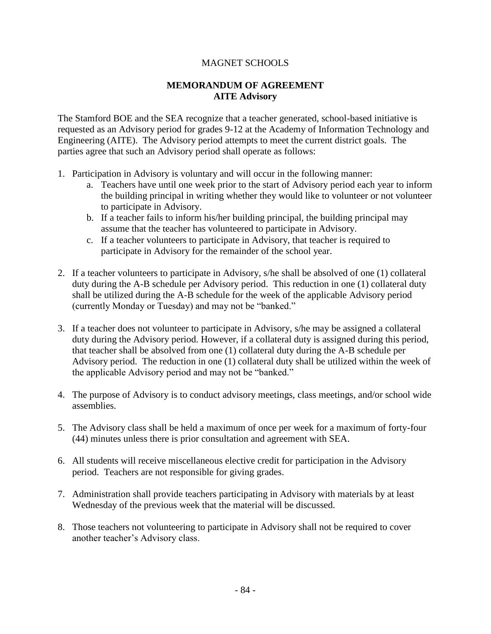### MAGNET SCHOOLS

### **MEMORANDUM OF AGREEMENT AITE Advisory**

The Stamford BOE and the SEA recognize that a teacher generated, school-based initiative is requested as an Advisory period for grades 9-12 at the Academy of Information Technology and Engineering (AITE). The Advisory period attempts to meet the current district goals. The parties agree that such an Advisory period shall operate as follows:

- 1. Participation in Advisory is voluntary and will occur in the following manner:
	- a. Teachers have until one week prior to the start of Advisory period each year to inform the building principal in writing whether they would like to volunteer or not volunteer to participate in Advisory.
	- b. If a teacher fails to inform his/her building principal, the building principal may assume that the teacher has volunteered to participate in Advisory.
	- c. If a teacher volunteers to participate in Advisory, that teacher is required to participate in Advisory for the remainder of the school year.
- 2. If a teacher volunteers to participate in Advisory, s/he shall be absolved of one (1) collateral duty during the A-B schedule per Advisory period. This reduction in one (1) collateral duty shall be utilized during the A-B schedule for the week of the applicable Advisory period (currently Monday or Tuesday) and may not be "banked."
- 3. If a teacher does not volunteer to participate in Advisory, s/he may be assigned a collateral duty during the Advisory period. However, if a collateral duty is assigned during this period, that teacher shall be absolved from one (1) collateral duty during the A-B schedule per Advisory period. The reduction in one (1) collateral duty shall be utilized within the week of the applicable Advisory period and may not be "banked."
- 4. The purpose of Advisory is to conduct advisory meetings, class meetings, and/or school wide assemblies.
- 5. The Advisory class shall be held a maximum of once per week for a maximum of forty-four (44) minutes unless there is prior consultation and agreement with SEA.
- 6. All students will receive miscellaneous elective credit for participation in the Advisory period. Teachers are not responsible for giving grades.
- 7. Administration shall provide teachers participating in Advisory with materials by at least Wednesday of the previous week that the material will be discussed.
- 8. Those teachers not volunteering to participate in Advisory shall not be required to cover another teacher's Advisory class.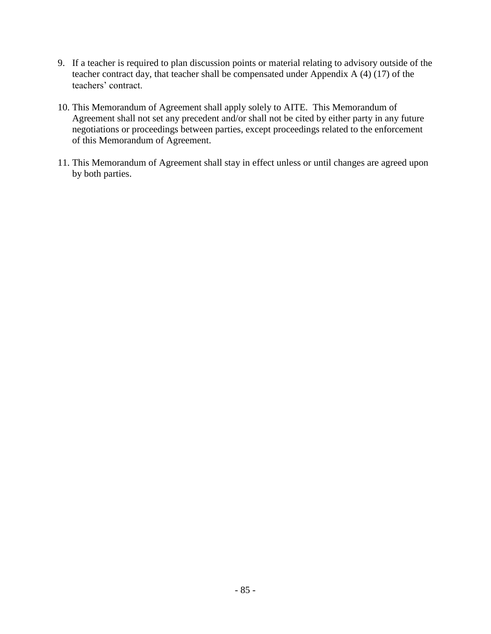- 9. If a teacher is required to plan discussion points or material relating to advisory outside of the teacher contract day, that teacher shall be compensated under Appendix A (4) (17) of the teachers' contract.
- 10. This Memorandum of Agreement shall apply solely to AITE. This Memorandum of Agreement shall not set any precedent and/or shall not be cited by either party in any future negotiations or proceedings between parties, except proceedings related to the enforcement of this Memorandum of Agreement.
- 11. This Memorandum of Agreement shall stay in effect unless or until changes are agreed upon by both parties.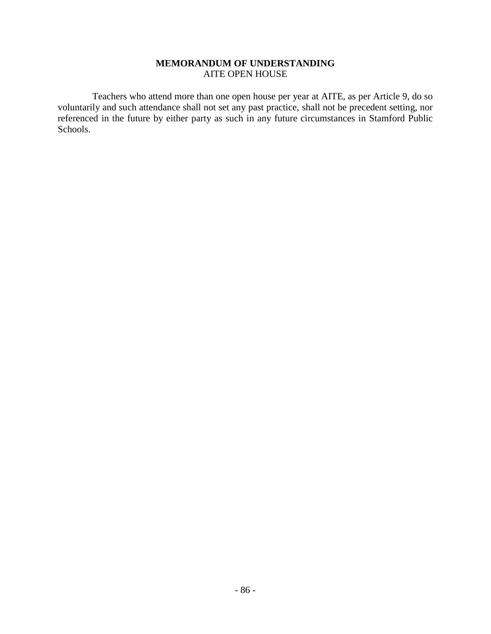#### **MEMORANDUM OF UNDERSTANDING** AITE OPEN HOUSE

Teachers who attend more than one open house per year at AITE, as per Article 9, do so voluntarily and such attendance shall not set any past practice, shall not be precedent setting, nor referenced in the future by either party as such in any future circumstances in Stamford Public Schools.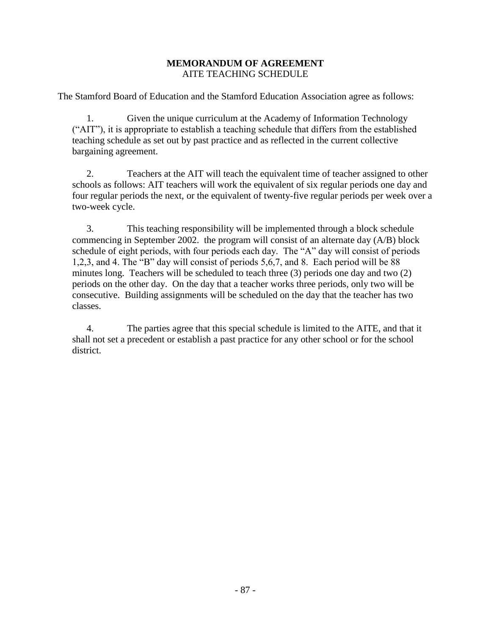#### **MEMORANDUM OF AGREEMENT** AITE TEACHING SCHEDULE

The Stamford Board of Education and the Stamford Education Association agree as follows:

1. Given the unique curriculum at the Academy of Information Technology ("AIT"), it is appropriate to establish a teaching schedule that differs from the established teaching schedule as set out by past practice and as reflected in the current collective bargaining agreement.

2. Teachers at the AIT will teach the equivalent time of teacher assigned to other schools as follows: AIT teachers will work the equivalent of six regular periods one day and four regular periods the next, or the equivalent of twenty-five regular periods per week over a two-week cycle.

3. This teaching responsibility will be implemented through a block schedule commencing in September 2002. the program will consist of an alternate day (A/B) block schedule of eight periods, with four periods each day. The "A" day will consist of periods 1,2,3, and 4. The "B" day will consist of periods 5,6,7, and 8. Each period will be 88 minutes long. Teachers will be scheduled to teach three (3) periods one day and two (2) periods on the other day. On the day that a teacher works three periods, only two will be consecutive. Building assignments will be scheduled on the day that the teacher has two classes.

4. The parties agree that this special schedule is limited to the AITE, and that it shall not set a precedent or establish a past practice for any other school or for the school district.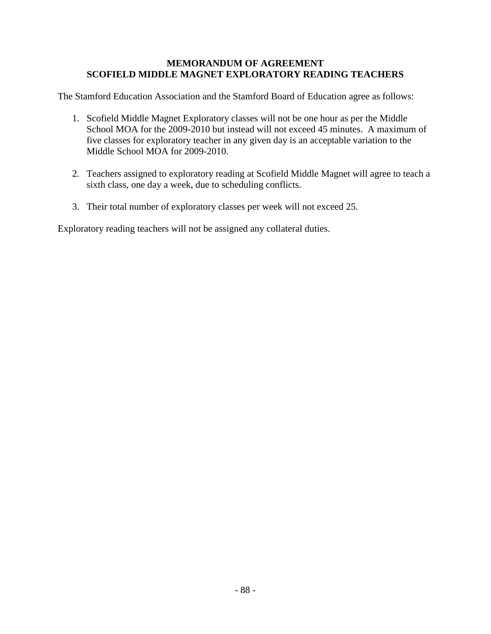#### **MEMORANDUM OF AGREEMENT SCOFIELD MIDDLE MAGNET EXPLORATORY READING TEACHERS**

The Stamford Education Association and the Stamford Board of Education agree as follows:

- 1. Scofield Middle Magnet Exploratory classes will not be one hour as per the Middle School MOA for the 2009-2010 but instead will not exceed 45 minutes. A maximum of five classes for exploratory teacher in any given day is an acceptable variation to the Middle School MOA for 2009-2010.
- 2. Teachers assigned to exploratory reading at Scofield Middle Magnet will agree to teach a sixth class, one day a week, due to scheduling conflicts.
- 3. Their total number of exploratory classes per week will not exceed 25.

Exploratory reading teachers will not be assigned any collateral duties.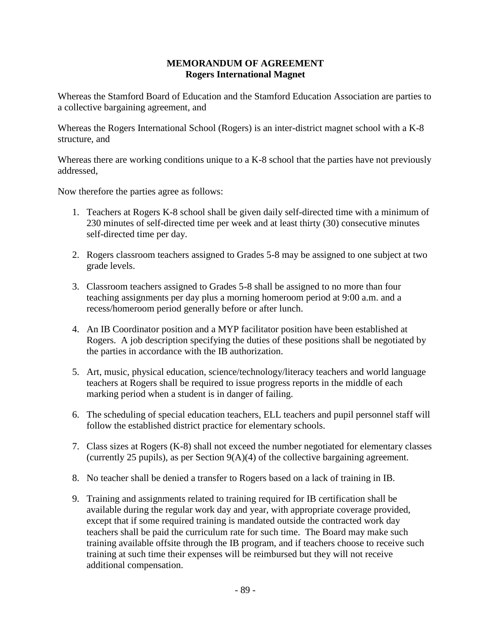#### **MEMORANDUM OF AGREEMENT Rogers International Magnet**

Whereas the Stamford Board of Education and the Stamford Education Association are parties to a collective bargaining agreement, and

Whereas the Rogers International School (Rogers) is an inter-district magnet school with a K-8 structure, and

Whereas there are working conditions unique to a K-8 school that the parties have not previously addressed,

Now therefore the parties agree as follows:

- 1. Teachers at Rogers K-8 school shall be given daily self-directed time with a minimum of 230 minutes of self-directed time per week and at least thirty (30) consecutive minutes self-directed time per day.
- 2. Rogers classroom teachers assigned to Grades 5-8 may be assigned to one subject at two grade levels.
- 3. Classroom teachers assigned to Grades 5-8 shall be assigned to no more than four teaching assignments per day plus a morning homeroom period at 9:00 a.m. and a recess/homeroom period generally before or after lunch.
- 4. An IB Coordinator position and a MYP facilitator position have been established at Rogers. A job description specifying the duties of these positions shall be negotiated by the parties in accordance with the IB authorization.
- 5. Art, music, physical education, science/technology/literacy teachers and world language teachers at Rogers shall be required to issue progress reports in the middle of each marking period when a student is in danger of failing.
- 6. The scheduling of special education teachers, ELL teachers and pupil personnel staff will follow the established district practice for elementary schools.
- 7. Class sizes at Rogers (K-8) shall not exceed the number negotiated for elementary classes (currently 25 pupils), as per Section 9(A)(4) of the collective bargaining agreement.
- 8. No teacher shall be denied a transfer to Rogers based on a lack of training in IB.
- 9. Training and assignments related to training required for IB certification shall be available during the regular work day and year, with appropriate coverage provided, except that if some required training is mandated outside the contracted work day teachers shall be paid the curriculum rate for such time. The Board may make such training available offsite through the IB program, and if teachers choose to receive such training at such time their expenses will be reimbursed but they will not receive additional compensation.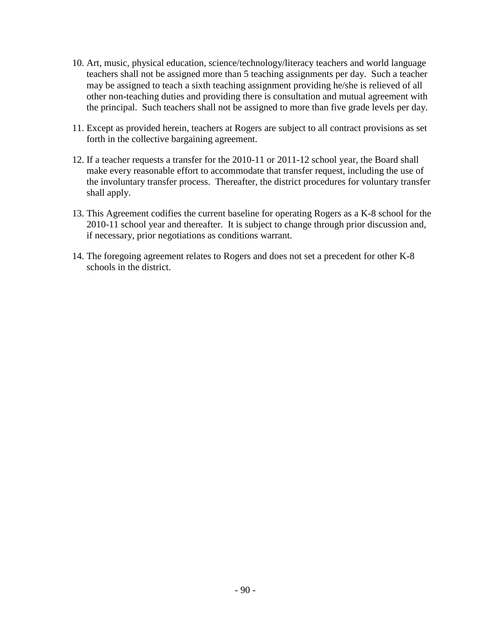- 10. Art, music, physical education, science/technology/literacy teachers and world language teachers shall not be assigned more than 5 teaching assignments per day. Such a teacher may be assigned to teach a sixth teaching assignment providing he/she is relieved of all other non-teaching duties and providing there is consultation and mutual agreement with the principal. Such teachers shall not be assigned to more than five grade levels per day.
- 11. Except as provided herein, teachers at Rogers are subject to all contract provisions as set forth in the collective bargaining agreement.
- 12. If a teacher requests a transfer for the 2010-11 or 2011-12 school year, the Board shall make every reasonable effort to accommodate that transfer request, including the use of the involuntary transfer process. Thereafter, the district procedures for voluntary transfer shall apply.
- 13. This Agreement codifies the current baseline for operating Rogers as a K-8 school for the 2010-11 school year and thereafter. It is subject to change through prior discussion and, if necessary, prior negotiations as conditions warrant.
- 14. The foregoing agreement relates to Rogers and does not set a precedent for other K-8 schools in the district.